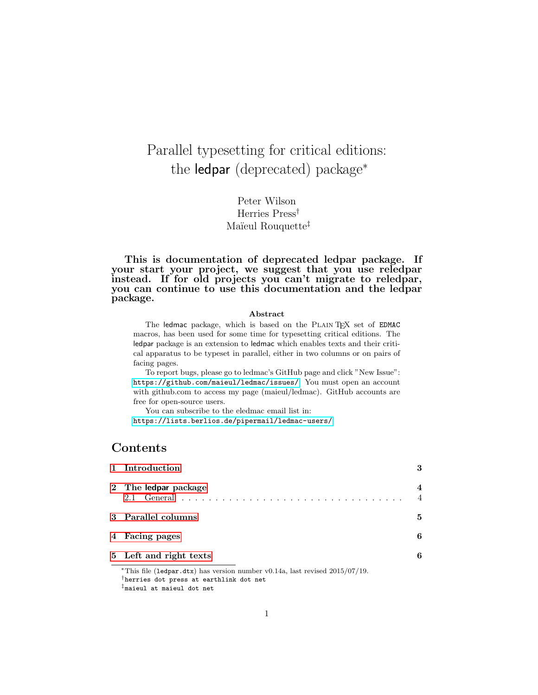# Parallel typesetting for critical editions: the ledpar (deprecated) package<sup>∗</sup>

Peter Wilson Herries Press† Maïeul Rouquette<sup>‡</sup>

This is documentation of deprecated ledpar package. If your start your project, we suggest that you use reledpar instead. If for old projects you can't migrate to reledpar, you can continue to use this documentation and the ledpar package.

#### Abstract

The ledmac package, which is based on the PLAIN TEX set of EDMAC macros, has been used for some time for typesetting critical editions. The ledpar package is an extension to ledmac which enables texts and their critical apparatus to be typeset in parallel, either in two columns or on pairs of facing pages.

To report bugs, please go to ledmac's GitHub page and click "New Issue": <https://github.com/maieul/ledmac/issues/>. You must open an account with github.com to access my page (maieul/ledmac). GitHub accounts are free for open-source users.

You can subscribe to the eledmac email list in:

<https://lists.berlios.de/pipermail/ledmac-users/>

## Contents

| 1 Introduction         | 3                   |
|------------------------|---------------------|
| 2 The ledpar package   | 4<br>$\overline{4}$ |
| 3 Parallel columns     | 5                   |
| 4 Facing pages         | 6                   |
| 5 Left and right texts | 6                   |

<sup>∗</sup>This file (ledpar.dtx) has version number v0.14a, last revised 2015/07/19. †herries dot press at earthlink dot net ‡maieul at maieul dot net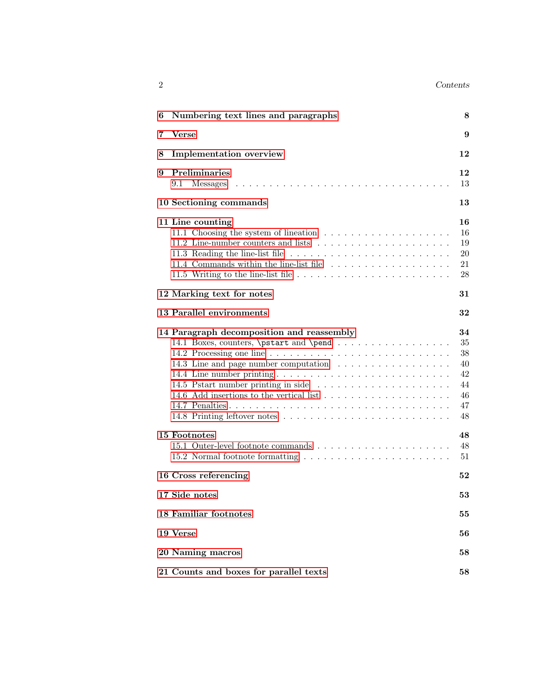| ົ<br>- | Contents |
|--------|----------|
|        |          |

| 6 | Numbering text lines and paragraphs                                                                                           | 8                                                  |
|---|-------------------------------------------------------------------------------------------------------------------------------|----------------------------------------------------|
| 7 | <b>Verse</b>                                                                                                                  | 9                                                  |
| 8 | <b>Implementation</b> overview                                                                                                | 12                                                 |
| 9 | <b>Preliminaries</b><br>9.1                                                                                                   | 12<br>13                                           |
|   | 10 Sectioning commands                                                                                                        | 13                                                 |
|   | 11 Line counting                                                                                                              | 16<br>16<br>19<br>20<br>21<br>28                   |
|   | 12 Marking text for notes                                                                                                     | 31                                                 |
|   | 13 Parallel environments                                                                                                      | 32                                                 |
|   | 14 Paragraph decomposition and reassembly<br>14.1 Boxes, counters, \pstart and \pend<br>14.3 Line and page number computation | 34<br>35<br>38<br>40<br>42<br>44<br>46<br>47<br>48 |
|   | 15 Footnotes<br>15.2 Normal footnote formatting                                                                               | 48<br>48<br>51                                     |
|   | 16 Cross referencing                                                                                                          | 52                                                 |
|   | 17 Side notes                                                                                                                 | 53                                                 |
|   | <b>18 Familiar footnotes</b>                                                                                                  | 55                                                 |
|   | 19 Verse                                                                                                                      | 56                                                 |
|   | 20 Naming macros                                                                                                              | 58                                                 |
|   | 21 Counts and boxes for parallel texts                                                                                        | 58                                                 |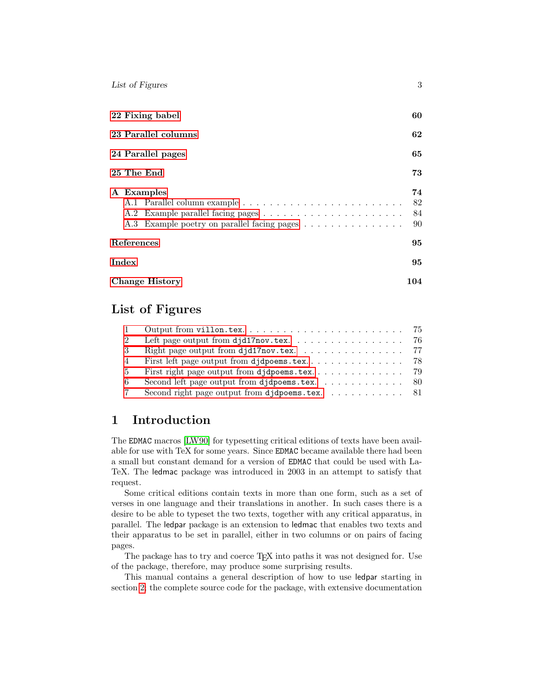| List of Figures                                           | 3                    |
|-----------------------------------------------------------|----------------------|
| 22 Fixing babel                                           | 60                   |
| 23 Parallel columns                                       | 62                   |
| 24 Parallel pages                                         | 65                   |
| 25 The End                                                | 73                   |
| A Examples<br>A.3 Example poetry on parallel facing pages | 74<br>82<br>84<br>90 |
| References                                                | 95                   |
| Index                                                     | 95                   |
| <b>Change History</b><br>104                              |                      |

## List of Figures

| 2   |                                                                              |  |
|-----|------------------------------------------------------------------------------|--|
| - 3 | Right page output from djd17nov.tex. $\ldots \ldots \ldots \ldots \ldots$ 77 |  |
| 4   |                                                                              |  |
| -5  |                                                                              |  |
| -6  | Second left page output from djdpoems.tex. $\ldots \ldots \ldots \ldots$ 80  |  |
|     | Second right page output from djdpoems.tex. 81                               |  |

## <span id="page-2-0"></span>1 Introduction

The EDMAC macros [\[LW90\]](#page-94-2) for typesetting critical editions of texts have been available for use with TeX for some years. Since EDMAC became available there had been a small but constant demand for a version of EDMAC that could be used with La-TeX. The ledmac package was introduced in 2003 in an attempt to satisfy that request.

Some critical editions contain texts in more than one form, such as a set of verses in one language and their translations in another. In such cases there is a desire to be able to typeset the two texts, together with any critical apparatus, in parallel. The ledpar package is an extension to ledmac that enables two texts and their apparatus to be set in parallel, either in two columns or on pairs of facing pages.

The package has to try and coerce T<sub>E</sub>X into paths it was not designed for. Use of the package, therefore, may produce some surprising results.

This manual contains a general description of how to use ledpar starting in section [2;](#page-3-0) the complete source code for the package, with extensive documentation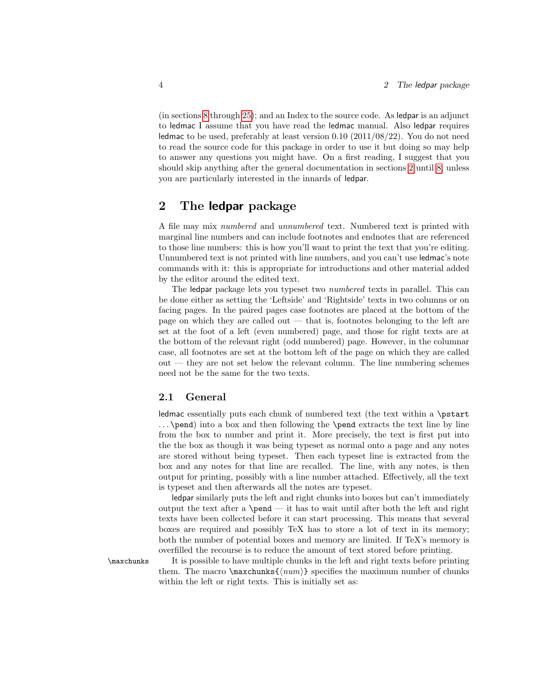(in sections [8](#page-11-0) through [25\)](#page-72-0); and an Index to the source code. As ledpar is an adjunct to ledmac I assume that you have read the ledmac manual. Also ledpar requires ledmac to be used, preferably at least version 0.10 (2011/08/22). You do not need to read the source code for this package in order to use it but doing so may help to answer any questions you might have. On a first reading, I suggest that you should skip anything after the general documentation in sections [2](#page-3-0) until [8,](#page-11-0) unless you are particularly interested in the innards of ledpar.

### <span id="page-3-0"></span>2 The ledpar package

A file may mix numbered and unnumbered text. Numbered text is printed with marginal line numbers and can include footnotes and endnotes that are referenced to those line numbers: this is how you'll want to print the text that you're editing. Unnumbered text is not printed with line numbers, and you can't use ledmac's note commands with it: this is appropriate for introductions and other material added by the editor around the edited text.

The ledpar package lets you typeset two numbered texts in parallel. This can be done either as setting the 'Leftside' and 'Rightside' texts in two columns or on facing pages. In the paired pages case footnotes are placed at the bottom of the page on which they are called out — that is, footnotes belonging to the left are set at the foot of a left (even numbered) page, and those for right texts are at the bottom of the relevant right (odd numbered) page. However, in the columnar case, all footnotes are set at the bottom left of the page on which they are called out — they are not set below the relevant column. The line numbering schemes need not be the same for the two texts.

#### <span id="page-3-1"></span>2.1 General

ledmac essentially puts each chunk of numbered text (the text within a \pstart . . . \pend) into a box and then following the \pend extracts the text line by line from the box to number and print it. More precisely, the text is first put into the the box as though it was being typeset as normal onto a page and any notes are stored without being typeset. Then each typeset line is extracted from the box and any notes for that line are recalled. The line, with any notes, is then output for printing, possibly with a line number attached. Effectively, all the text is typeset and then afterwards all the notes are typeset.

ledpar similarly puts the left and right chunks into boxes but can't immediately output the text after a  $\pend$ — it has to wait until after both the left and right texts have been collected before it can start processing. This means that several boxes are required and possibly TeX has to store a lot of text in its memory; both the number of potential boxes and memory are limited. If TeX's memory is overfilled the recourse is to reduce the amount of text stored before printing.

\maxchunks It is possible to have multiple chunks in the left and right texts before printing them. The macro  $\max$ chunks $\{\langle num \rangle\}$  specifies the maximum number of chunks within the left or right texts. This is initially set as: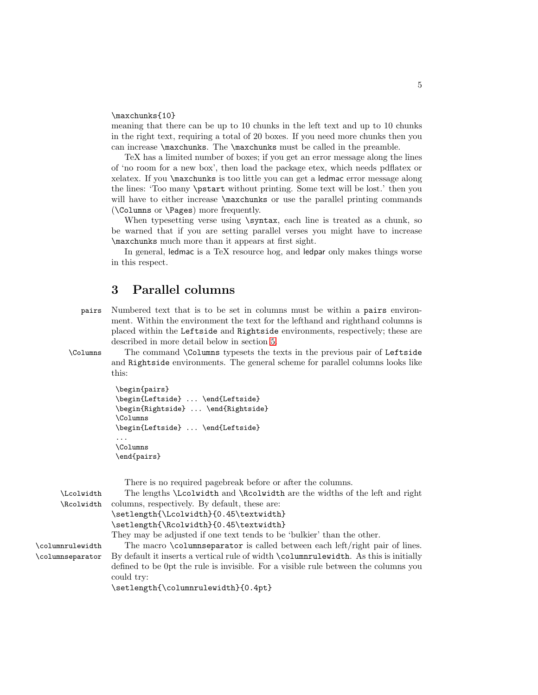#### \maxchunks{10}

meaning that there can be up to 10 chunks in the left text and up to 10 chunks in the right text, requiring a total of 20 boxes. If you need more chunks then you can increase \maxchunks. The \maxchunks must be called in the preamble.

TeX has a limited number of boxes; if you get an error message along the lines of 'no room for a new box', then load the package etex, which needs pdflatex or xelatex. If you \maxchunks is too little you can get a ledmac error message along the lines: 'Too many \pstart without printing. Some text will be lost.' then you will have to either increase  $\mathbf{u}$  axchunks or use the parallel printing commands (\Columns or \Pages) more frequently.

When typesetting verse using \syntax, each line is treated as a chunk, so be warned that if you are setting parallel verses you might have to increase \maxchunks much more than it appears at first sight.

In general, ledmac is a TeX resource hog, and ledpar only makes things worse in this respect.

### <span id="page-4-0"></span>3 Parallel columns

- pairs Numbered text that is to be set in columns must be within a pairs environment. Within the environment the text for the lefthand and righthand columns is placed within the Leftside and Rightside environments, respectively; these are described in more detail below in section [5.](#page-5-1)
- 

\Columns The command \Columns typesets the texts in the previous pair of Leftside and Rightside environments. The general scheme for parallel columns looks like this:

```
\begin{pairs}
\begin{Leftside} ... \end{Leftside}
\begin{Rightside} ... \end{Rightside}
\Columns
\begin{Leftside} ... \end{Leftside}
...
\Columns
\end{pairs}
```

|                  | There is no required pagebreak before or after the columns.                           |
|------------------|---------------------------------------------------------------------------------------|
| \Lcolwidth       | The lengths \Lcolwidth and \Rcolwidth are the widths of the left and right            |
| \Rcolwidth       | columns, respectively. By default, these are:                                         |
|                  | \setlength{\Lcolwidth}{0.45\textwidth}                                                |
|                  | \setlength{\Rcolwidth}{0.45\textwidth}                                                |
|                  | They may be adjusted if one text tends to be 'bulkier' than the other.                |
| \columnrulewidth | The macro \columnseparator is called between each left/right pair of lines.           |
| \columnseparator | By default it inserts a vertical rule of width \columnrulewidth. As this is initially |
|                  | defined to be 0pt the rule is invisible. For a visible rule between the columns you   |
|                  | could try:                                                                            |
|                  | \setlength{\columnrulewidth}{0.4pt}                                                   |
|                  |                                                                                       |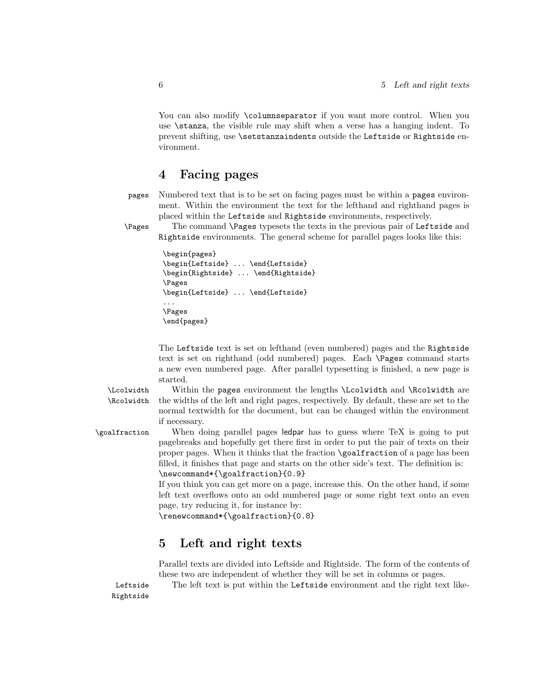You can also modify **\columnseparator** if you want more control. When you use \stanza, the visible rule may shift when a verse has a hanging indent. To prevent shifting, use \setstanzaindents outside the Leftside or Rightside environment.

### <span id="page-5-0"></span>4 Facing pages

pages Numbered text that is to be set on facing pages must be within a pages environment. Within the environment the text for the lefthand and righthand pages is placed within the Leftside and Rightside environments, respectively.

\Pages The command \Pages typesets the texts in the previous pair of Leftside and Rightside environments. The general scheme for parallel pages looks like this:

```
\begin{pages}
\begin{Leftside} ... \end{Leftside}
\begin{Rightside} ... \end{Rightside}
\Pages
\begin{Leftside} ... \end{Leftside}
...
\Pages
\end{pages}
```
The Leftside text is set on lefthand (even numbered) pages and the Rightside text is set on righthand (odd numbered) pages. Each \Pages command starts a new even numbered page. After parallel typesetting is finished, a new page is started.

Rightside

\Lcolwidth Within the pages environment the lengths \Lcolwidth and \Rcolwidth are \Rcolwidth the widths of the left and right pages, respectively. By default, these are set to the normal textwidth for the document, but can be changed within the environment if necessary.

\goalfraction When doing parallel pages ledpar has to guess where TeX is going to put pagebreaks and hopefully get there first in order to put the pair of texts on their proper pages. When it thinks that the fraction \goalfraction of a page has been filled, it finishes that page and starts on the other side's text. The definition is: \newcommand\*{\goalfraction}{0.9}

> If you think you can get more on a page, increase this. On the other hand, if some left text overflows onto an odd numbered page or some right text onto an even page, try reducing it, for instance by:

\renewcommand\*{\goalfraction}{0.8}

### <span id="page-5-1"></span>5 Left and right texts

Parallel texts are divided into Leftside and Rightside. The form of the contents of these two are independent of whether they will be set in columns or pages.

Leftside The left text is put within the Leftside environment and the right text like-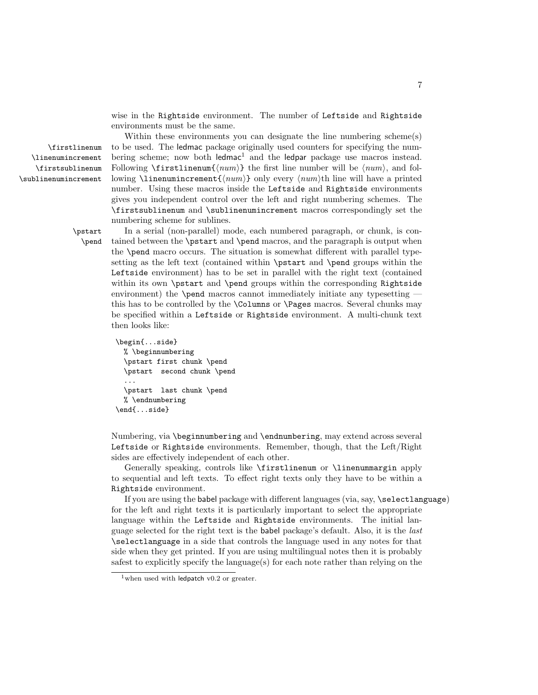wise in the Rightside environment. The number of Leftside and Rightside environments must be the same.

Within these environments you can designate the line numbering scheme(s) \firstlinenum to be used. The ledmac package originally used counters for specifying the num bering scheme; now both  $ledmac<sup>1</sup>$  and the ledpar package use macros instead. Following  $\frac{\{num\}}{\text{ }$  the first line number will be  $\langle num \rangle$ , and following **\linenumincrement**  $\{\langle num \rangle\}$  only every  $\langle num \rangle$ th line will have a printed number. Using these macros inside the Leftside and Rightside environments gives you independent control over the left and right numbering schemes. The \firstsublinenum and \sublinenumincrement macros correspondingly set the numbering scheme for sublines.

\linenumincrement \firstsublinenum \sublinenumincrement

> \pstart In a serial (non-parallel) mode, each numbered paragraph, or chunk, is con- \pend tained between the \pstart and \pend macros, and the paragraph is output when the \pend macro occurs. The situation is somewhat different with parallel typesetting as the left text (contained within \pstart and \pend groups within the Leftside environment) has to be set in parallel with the right text (contained within its own \pstart and \pend groups within the corresponding Rightside environment) the **\pend** macros cannot immediately initiate any typesetting this has to be controlled by the \Columns or \Pages macros. Several chunks may be specified within a Leftside or Rightside environment. A multi-chunk text then looks like:

```
\begin{...side}
 % \beginnumbering
  \pstart first chunk \pend
  \pstart second chunk \pend
  ...
  \pstart last chunk \pend
 % \endnumbering
\end{...side}
```
Numbering, via \beginnumbering and \endnumbering, may extend across several Leftside or Rightside environments. Remember, though, that the Left/Right sides are effectively independent of each other.

Generally speaking, controls like \firstlinenum or \linenummargin apply to sequential and left texts. To effect right texts only they have to be within a Rightside environment.

If you are using the babel package with different languages (via, say, \selectlanguage) for the left and right texts it is particularly important to select the appropriate language within the Leftside and Rightside environments. The initial language selected for the right text is the babel package's default. Also, it is the last \selectlanguage in a side that controls the language used in any notes for that side when they get printed. If you are using multilingual notes then it is probably safest to explicitly specify the language $(s)$  for each note rather than relying on the

 $1$ when used with ledpatch v0.2 or greater.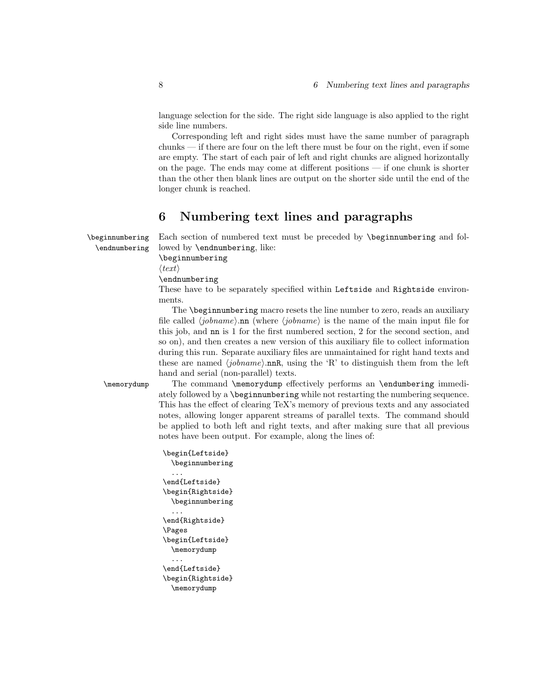language selection for the side. The right side language is also applied to the right side line numbers.

Corresponding left and right sides must have the same number of paragraph chunks — if there are four on the left there must be four on the right, even if some are empty. The start of each pair of left and right chunks are aligned horizontally on the page. The ends may come at different positions — if one chunk is shorter than the other then blank lines are output on the shorter side until the end of the longer chunk is reached.

## <span id="page-7-0"></span>6 Numbering text lines and paragraphs

\beginnumbering Each section of numbered text must be preceded by \beginnumbering and fol- \endnumbering lowed by \endnumbering, like:

\beginnumbering

 $\langle \text{text}\rangle$ 

\endnumbering

These have to be separately specified within Leftside and Rightside environments.

The \beginnumbering macro resets the line number to zero, reads an auxiliary file called  $\langle jobname \rangle$ .nn (where  $\langle jobname \rangle$  is the name of the main input file for this job, and nn is 1 for the first numbered section, 2 for the second section, and so on), and then creates a new version of this auxiliary file to collect information during this run. Separate auxiliary files are unmaintained for right hand texts and these are named  $\langle jobname \rangle$ .nnR, using the 'R' to distinguish them from the left hand and serial (non-parallel) texts.

\memorydump The command \memorydump effectively performs an \endumbering immediately followed by a \beginnumbering while not restarting the numbering sequence. This has the effect of clearing TeX's memory of previous texts and any associated notes, allowing longer apparent streams of parallel texts. The command should be applied to both left and right texts, and after making sure that all previous notes have been output. For example, along the lines of:

```
\begin{Leftside}
 \beginnumbering
  ...
\end{Leftside}
\begin{Rightside}
 \beginnumbering
  ...
\end{Rightside}
\Pages
\begin{Leftside}
  \memorydump
  ...
\end{Leftside}
\begin{Rightside}
  \memorydump
```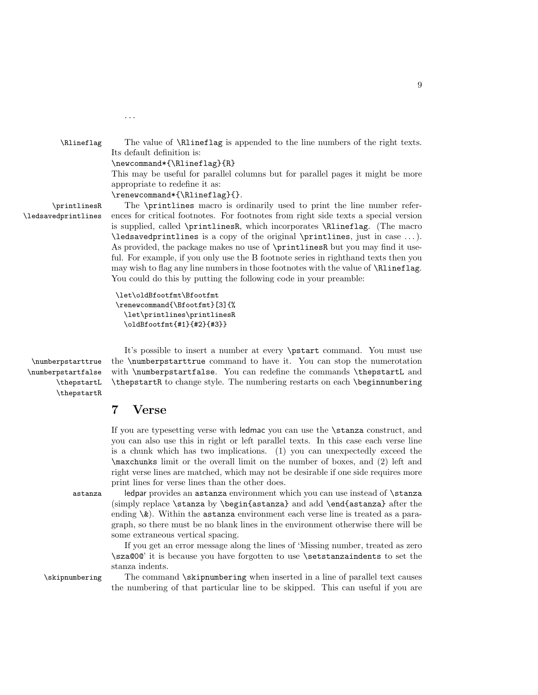\Rlineflag The value of \Rlineflag is appended to the line numbers of the right texts. Its default definition is: \newcommand\*{\Rlineflag}{R} This may be useful for parallel columns but for parallel pages it might be more appropriate to redefine it as:

\renewcommand\*{\Rlineflag}{}.

...

\printlinesR The \printlines macro is ordinarily used to print the line number refer- \ledsavedprintlines ences for critical footnotes. For footnotes from right side texts a special version is supplied, called \printlinesR, which incorporates \Rlineflag. (The macro \ledsavedprintlines is a copy of the original \printlines, just in case . . . ). As provided, the package makes no use of \printlinesR but you may find it useful. For example, if you only use the B footnote series in righthand texts then you may wish to flag any line numbers in those footnotes with the value of \Rlineflag. You could do this by putting the following code in your preamble:

> \let\oldBfootfmt\Bfootfmt \renewcommand{\Bfootfmt}[3]{% \let\printlines\printlinesR \oldBfootfmt{#1}{#2}{#3}}

\thepstartR

It's possible to insert a number at every \pstart command. You must use \numberpstarttrue the \numberpstarttrue command to have it. You can stop the numerotation \numberpstartfalse with \numberpstartfalse. You can redefine the commands \thepstartL and \thepstartL \thepstartR to change style. The numbering restarts on each \beginnumbering

### <span id="page-8-0"></span>7 Verse

If you are typesetting verse with ledmac you can use the \stanza construct, and you can also use this in right or left parallel texts. In this case each verse line is a chunk which has two implications. (1) you can unexpectedly exceed the \maxchunks limit or the overall limit on the number of boxes, and (2) left and right verse lines are matched, which may not be desirable if one side requires more print lines for verse lines than the other does.

astanza ledpar provides an astanza environment which you can use instead of \stanza (simply replace \stanza by \begin{astanza} and add \end{astanza} after the ending  $\&$ ). Within the astanza environment each verse line is treated as a paragraph, so there must be no blank lines in the environment otherwise there will be some extraneous vertical spacing.

> If you get an error message along the lines of 'Missing number, treated as zero \sza@0@' it is because you have forgotten to use \setstanzaindents to set the stanza indents.

\skipnumbering The command \skipnumbering when inserted in a line of parallel text causes the numbering of that particular line to be skipped. This can useful if you are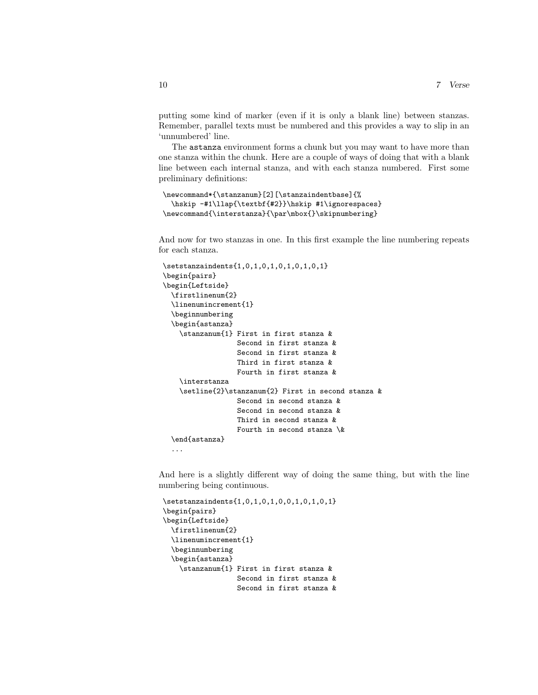putting some kind of marker (even if it is only a blank line) between stanzas. Remember, parallel texts must be numbered and this provides a way to slip in an 'unnumbered' line.

The astanza environment forms a chunk but you may want to have more than one stanza within the chunk. Here are a couple of ways of doing that with a blank line between each internal stanza, and with each stanza numbered. First some preliminary definitions:

```
\newcommand*{\stanzanum}[2][\stanzaindentbase]{%
 \hskip -#1\llap{\textbf{#2}}\hskip #1\ignorespaces}
\newcommand{\interstanza}{\par\mbox{}\skipnumbering}
```
And now for two stanzas in one. In this first example the line numbering repeats for each stanza.

```
\setstanzaindents{1,0,1,0,1,0,1,0,1,0,1}
\begin{pairs}
\begin{Leftside}
 \firstlinenum{2}
 \linenumincrement{1}
 \beginnumbering
 \begin{astanza}
    \stanzanum{1} First in first stanza &
                  Second in first stanza &
                  Second in first stanza &
                  Third in first stanza &
                  Fourth in first stanza &
    \interstanza
    \setline{2}\stanzanum{2} First in second stanza &
                  Second in second stanza &
                  Second in second stanza &
                  Third in second stanza &
                  Fourth in second stanza \&
 \end{astanza}
  ...
```
And here is a slightly different way of doing the same thing, but with the line numbering being continuous.

```
\setstanzaindents{1,0,1,0,1,0,0,1,0,1,0,1}
\begin{pairs}
\begin{Leftside}
 \firstlinenum{2}
 \linenumincrement{1}
 \beginnumbering
 \begin{astanza}
    \stanzanum{1} First in first stanza &
                  Second in first stanza &
                  Second in first stanza &
```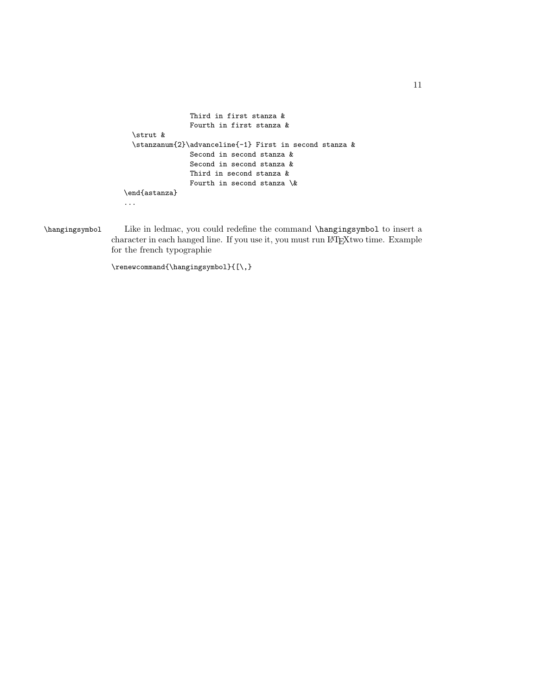```
Third in first stanza &
               Fourth in first stanza &
  \strut &
 \stanzanum{2}\advanceline{-1} First in second stanza \&Second in second stanza &
               Second in second stanza &
               Third in second stanza &
               Fourth in second stanza \&
\end{astanza}
...
```
\hangingsymbol Like in ledmac, you could redefine the command \hangingsymbol to insert a character in each hanged line. If you use it, you must run LATEXtwo time. Example for the french typographie

\renewcommand{\hangingsymbol}{[\,}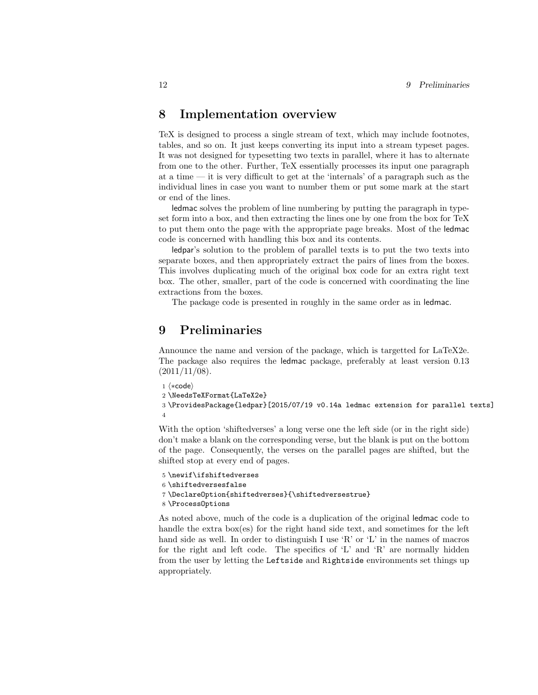### <span id="page-11-0"></span>8 Implementation overview

TeX is designed to process a single stream of text, which may include footnotes, tables, and so on. It just keeps converting its input into a stream typeset pages. It was not designed for typesetting two texts in parallel, where it has to alternate from one to the other. Further, TeX essentially processes its input one paragraph at a time — it is very difficult to get at the 'internals' of a paragraph such as the individual lines in case you want to number them or put some mark at the start or end of the lines.

ledmac solves the problem of line numbering by putting the paragraph in typeset form into a box, and then extracting the lines one by one from the box for TeX to put them onto the page with the appropriate page breaks. Most of the ledmac code is concerned with handling this box and its contents.

ledpar's solution to the problem of parallel texts is to put the two texts into separate boxes, and then appropriately extract the pairs of lines from the boxes. This involves duplicating much of the original box code for an extra right text box. The other, smaller, part of the code is concerned with coordinating the line extractions from the boxes.

The package code is presented in roughly in the same order as in ledmac.

### <span id="page-11-1"></span>9 Preliminaries

Announce the name and version of the package, which is targetted for LaTeX2e. The package also requires the ledmac package, preferably at least version 0.13  $(2011/11/08).$ 

```
1 \langle *code \rangle2 \NeedsTeXFormat{LaTeX2e}
3 \ProvidesPackage{ledpar}[2015/07/19 v0.14a ledmac extension for parallel texts]
4
```
With the option 'shiftedverses' a long verse one the left side (or in the right side) don't make a blank on the corresponding verse, but the blank is put on the bottom of the page. Consequently, the verses on the parallel pages are shifted, but the shifted stop at every end of pages.

```
5 \newif\ifshiftedverses
6 \shiftedversesfalse
7 \DeclareOption{shiftedverses}{\shiftedversestrue}
8 \ProcessOptions
```
As noted above, much of the code is a duplication of the original ledmac code to handle the extra box(es) for the right hand side text, and sometimes for the left hand side as well. In order to distinguish I use  $\mathbb{R}$  or  $\mathbb{L}$  in the names of macros for the right and left code. The specifics of 'L' and 'R' are normally hidden from the user by letting the Leftside and Rightside environments set things up appropriately.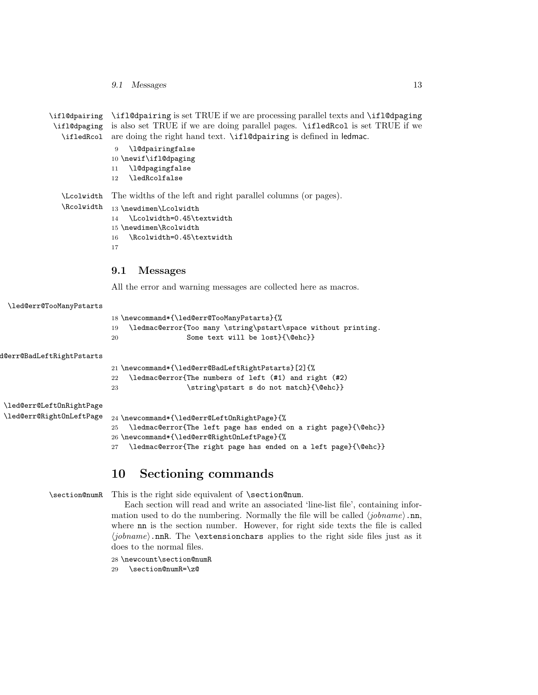9.1 Messages 13

| \ifl@dpairing     | \ifl@dpairing is set TRUE if we are processing parallel texts and \ifl@dpaging       |
|-------------------|--------------------------------------------------------------------------------------|
| \ifl@dpaging      | is also set TRUE if we are doing parallel pages. <b>\ifledRcol</b> is set TRUE if we |
| \ifledRcol        | are doing the right hand text. \ifl@dpairing is defined in ledmac.                   |
|                   | \l@dpairingfalse<br>9                                                                |
|                   | 10 \newif\ifl@dpaging                                                                |
|                   | \l@dpagingfalse<br>11                                                                |
|                   | \ledRcolfalse<br>12                                                                  |
| <b>\Lcolwidth</b> | The widths of the left and right parallel columns (or pages).                        |
| \Rcolwidth        | 13 \newdimen\Lcolwidth                                                               |
|                   | \Lcolwidth=0.45\textwidth<br>14                                                      |
|                   | 15 \newdimen\Rcolwidth                                                               |
|                   | \Rcolwidth=0.45\textwidth<br>16                                                      |
|                   | 17                                                                                   |

#### <span id="page-12-0"></span>9.1 Messages

All the error and warning messages are collected here as macros.

```
\led@err@TooManyPstarts
                         18 \newcommand*{\led@err@TooManyPstarts}{%
                         19 \ledmac@error{Too many \string\pstart\space without printing.
                         20 Some text will be lost}{\@ehc}}
d@err@BadLeftRightPstarts
                         21 \newcommand*{\led@err@BadLeftRightPstarts}[2]{%
                         22 \ledmac@error{The numbers of left (#1) and right (#2)
                         23 \string\pstart s do not match}{\@ehc}}
\led@err@LeftOnRightPage
\led@err@RightOnLeftPage 24 \newcommand*{\led@err@LeftOnRightPage}{%
                         25 \ledmac@error{The left page has ended on a right page}{\@ehc}}
                         26 \newcommand*{\led@err@RightOnLeftPage}{%
                         27 \ledmac@error{The right page has ended on a left page}{\@ehc}}
```
## <span id="page-12-1"></span>10 Sectioning commands

\section@numR This is the right side equivalent of \section@num.

Each section will read and write an associated 'line-list file', containing information used to do the numbering. Normally the file will be called  $\langle jobname \rangle$ .nn, where nn is the section number. However, for right side texts the file is called  $\langle jobname \rangle$ .nnR. The \extensionchars applies to the right side files just as it does to the normal files.

28 \newcount\section@numR

29 \section@numR=\z@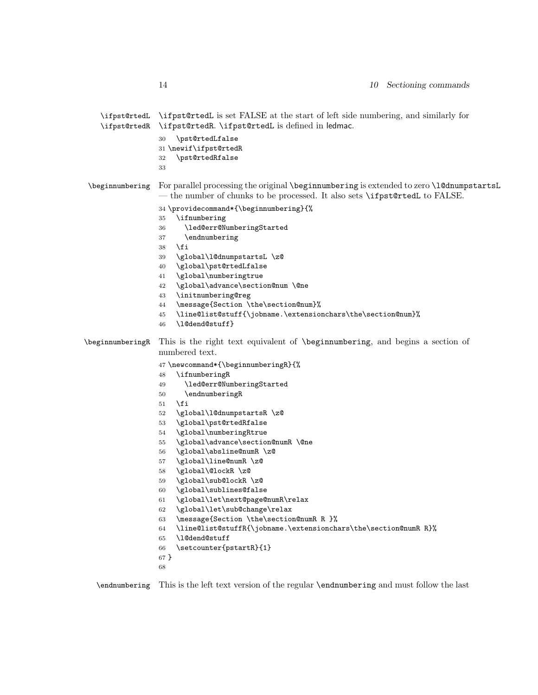| \ifpst@rtedR     | \ifpst@rtedL \ifpst@rtedL is set FALSE at the start of left side numbering, and similarly for<br>\ifpst@rtedR. \ifpst@rtedL is defined in ledmac.<br>\pst@rtedLfalse<br>30<br>31 \newif\ifpst@rtedR<br>\pst@rtedRfalse<br>32<br>33                                                                                                                                                                                                                                                                                                                                                                                                                                                                                                                                                                                                      |
|------------------|-----------------------------------------------------------------------------------------------------------------------------------------------------------------------------------------------------------------------------------------------------------------------------------------------------------------------------------------------------------------------------------------------------------------------------------------------------------------------------------------------------------------------------------------------------------------------------------------------------------------------------------------------------------------------------------------------------------------------------------------------------------------------------------------------------------------------------------------|
| \beginnumbering  | For parallel processing the original \beginnumbering is extended to zero \1@dnumpstartsL<br>- the number of chunks to be processed. It also sets \ifpst@rtedL to FALSE.<br>34 \providecommand*{\beginnumbering}{%<br>\ifnumbering<br>35<br>\led@err@NumberingStarted<br>36<br>\endnumbering<br>37<br>\fi<br>38<br>\global\l@dnumpstartsL \z@<br>39<br>\global\pst@rtedLfalse<br>40<br>\global\numberingtrue<br>41<br>\global\advance\section@num \@ne<br>42<br>\initnumbering@reg<br>43<br>\message{Section \the\section@num}%<br>44<br>\line@list@stuff{\jobname.\extensionchars\the\section@num}%<br>45<br>\l@dend@stuff}<br>46                                                                                                                                                                                                       |
| \beginnumberingR | This is the right text equivalent of <i>\beginnumbering</i> , and begins a section of<br>numbered text.<br>47\newcommand*{\beginnumberingR}{%<br>\ifnumberingR<br>48<br>\led@err@NumberingStarted<br>49<br>\endnumberingR<br>50<br>\fi<br>51<br>\global\1@dnumpstartsR \z@<br>52<br>\global\pst@rtedRfalse<br>53<br>\global\numberingRtrue<br>54<br>\global\advance\section@numR \@ne<br>55<br>\global\absline@numR \z@<br>56<br>\global\line@numR \z@<br>57<br>\global\@lockR \z@<br>58<br>\global\sub@lockR \z@<br>59<br>\global\sublines@false<br>60<br>\global\let\next@page@numR\relax<br>61<br>\global\let\sub@change\relax<br>62<br>\message{Section \the\section@numR R }%<br>63<br>\line@list@stuffR{\jobname.\extensionchars\the\section@numR R}%<br>64<br>\1@dend@stuff<br>65<br>\setcounter{pstartR}{1}<br>66<br>67 }<br>68 |

\endnumbering This is the left text version of the regular \endnumbering and must follow the last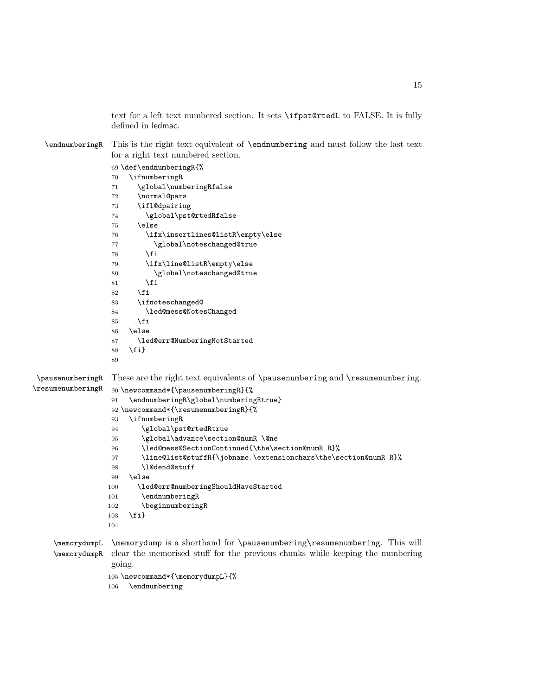text for a left text numbered section. It sets \ifpst@rtedL to FALSE. It is fully defined in ledmac.

\endnumberingR This is the right text equivalent of \endnumbering and must follow the last text for a right text numbered section.

```
69 \def\endnumberingR{%
                 70 \ifnumberingR
                 71 \global\numberingRfalse
                 72 \normal@pars
                 73 \ifl@dpairing
                 74 \global\pst@rtedRfalse
                 75 \else
                 76 \ifx\insertlines@listR\empty\else
                 77 \global\noteschanged@true
                 78 \setminusfi
                 79 \ifx\line@listR\empty\else
                 80 \global\noteschanged@true
                 81 \setminusfi
                 82 \fi
                 83 \ifnoteschanged@
                 84 \led@mess@NotesChanged
                 85 \fi
                 86 \else
                 87 \led@err@NumberingNotStarted
                 88 \fi}
                 89
 \pausenumberingR
\resumenumberingR
                 These are the right text equivalents of \pausenumbering and \resumenumbering.
                 90 \newcommand*{\pausenumberingR}{%
                 91 \endnumberingR\global\numberingRtrue}
                 92 \newcommand*{\resumenumberingR}{%
                 93 \ifnumberingR
                 94 \global\pst@rtedRtrue
                 95 \global\advance\section@numR \@ne
                 96 \led@mess@SectionContinued{\the\section@numR R}%
                 97 \line@list@stuffR{\jobname.\extensionchars\the\section@numR R}%
                 98 \l@dend@stuff
                 99 \else
                 100 \led@err@numberingShouldHaveStarted
                 101 \endnumberingR
                 102 \beginnumberingR
                 103 \fi}
                 104
    \memorydumpL
    \memorydumpR
                \memorydump is a shorthand for \pausenumbering\resumenumbering. This will
                 clear the memorised stuff for the previous chunks while keeping the numbering
                 going.
```
\newcommand\*{\memorydumpL}{%

\endnumbering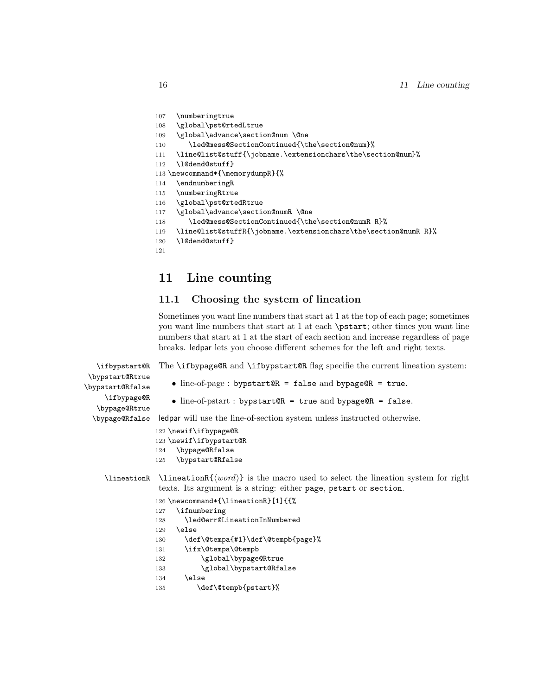```
107 \numberingtrue
```

```
108 \global\pst@rtedLtrue
```
- 109 \global\advance\section@num \@ne
- 110 \led@mess@SectionContinued{\the\section@num}%
- 111 \line@list@stuff{\jobname.\extensionchars\the\section@num}%
- 112 \l@dend@stuff}
- 113 \newcommand\*{\memorydumpR}{%
- 114 \endnumberingR
- 115 \numberingRtrue
- 116 \global\pst@rtedRtrue
- 117 \global\advance\section@numR \@ne
- 118 \led@mess@SectionContinued{\the\section@numR R}%
- 119 \line@list@stuffR{\jobname.\extensionchars\the\section@numR R}%

```
120 \l@dend@stuff}
```

```
121
```
## <span id="page-15-0"></span>11 Line counting

### <span id="page-15-1"></span>11.1 Choosing the system of lineation

Sometimes you want line numbers that start at 1 at the top of each page; sometimes you want line numbers that start at 1 at each \pstart; other times you want line numbers that start at 1 at the start of each section and increase regardless of page breaks. ledpar lets you choose different schemes for the left and right texts.

The \ifbypage@R and \ifbypstart@R flag specifie the current lineation system:

\ifbypstart@R \bypstart@Rtrue \bypstart@Rfalse \ifbypage@R \bypage@Rtrue \bypage@Rfalse

```
• line-of-page : bypstart@R = false and bypage@R = true.
```

```
• line-of-pstart : bypstart@R = true and bypage@R = false.
```
ledpar will use the line-of-section system unless instructed otherwise.

```
122 \newif\ifbypage@R
```

```
123 \newif\ifbypstart@R
```
- 124 \bypage@Rfalse
- 125 \bypstart@Rfalse

 $\line{\text{h}}$  \lineationR{ $\{word\}$ } is the macro used to select the lineation system for right texts. Its argument is a string: either page, pstart or section.

126 \newcommand\*{\lineationR}[1]{{%

- 127 \ifnumbering
- 128 \led@err@LineationInNumbered
- 129 \else
- 130 \def\@tempa{#1}\def\@tempb{page}%
- 131 \ifx\@tempa\@tempb
- 132 \global\bypage@Rtrue
- 133 \global\bypstart@Rfalse
- 134 \else
- 135 \def\@tempb{pstart}%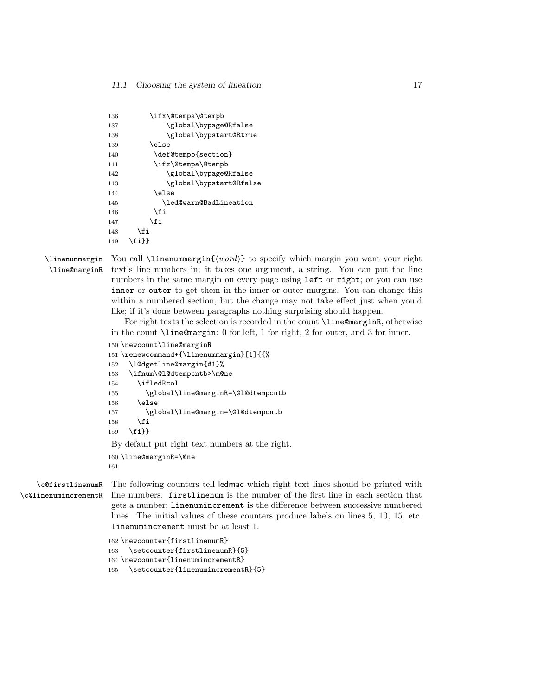| 136 |       | \ifx\@tempa\@tempb      |
|-----|-------|-------------------------|
| 137 |       | \global\bypage@Rfalse   |
| 138 |       | \global\bypstart@Rtrue  |
| 139 |       | \else                   |
| 140 |       | \def@tempb{section}     |
| 141 |       | \ifx\@tempa\@tempb      |
| 142 |       | \global\bypage@Rfalse   |
| 143 |       | \global\bypstart@Rfalse |
| 144 |       | \else                   |
| 145 |       | \led@warn@BadLineation  |
| 146 |       | \fi                     |
| 147 | \fi   |                         |
| 148 | \fi   |                         |
| 149 | \fi}} |                         |
|     |       |                         |

\linenummargin You call \linenummargin{\word}} to specify which margin you want your right \line@marginR text's line numbers in; it takes one argument, a string. You can put the line numbers in the same margin on every page using left or right; or you can use inner or outer to get them in the inner or outer margins. You can change this within a numbered section, but the change may not take effect just when you'd like; if it's done between paragraphs nothing surprising should happen.

> For right texts the selection is recorded in the count \line@marginR, otherwise in the count \line@margin: 0 for left, 1 for right, 2 for outer, and 3 for inner.

```
150 \newcount\line@marginR
```

```
151 \renewcommand*{\linenummargin}[1]{{%
```
- \l@dgetline@margin{#1}%
- \ifnum\@l@dtempcntb>\m@ne

```
154 \ifledRcol
```

```
155 \global\line@marginR=\@l@dtempcntb
```

```
156 \else
157 \global\line@margin=\@l@dtempcntb
```

```
158 \fi
```

```
159 \fi}}
```
By default put right text numbers at the right.

```
160 \line@marginR=\@ne
```
\c@firstlinenumR \c@linenumincrementR

The following counters tell ledmac which right text lines should be printed with line numbers. firstlinenum is the number of the first line in each section that gets a number; linenumincrement is the difference between successive numbered lines. The initial values of these counters produce labels on lines 5, 10, 15, etc. linenumincrement must be at least 1.

\newcounter{firstlinenumR}

```
163 \setcounter{firstlinenumR}{5}
```

```
164 \newcounter{linenumincrementR}
```
\setcounter{linenumincrementR}{5}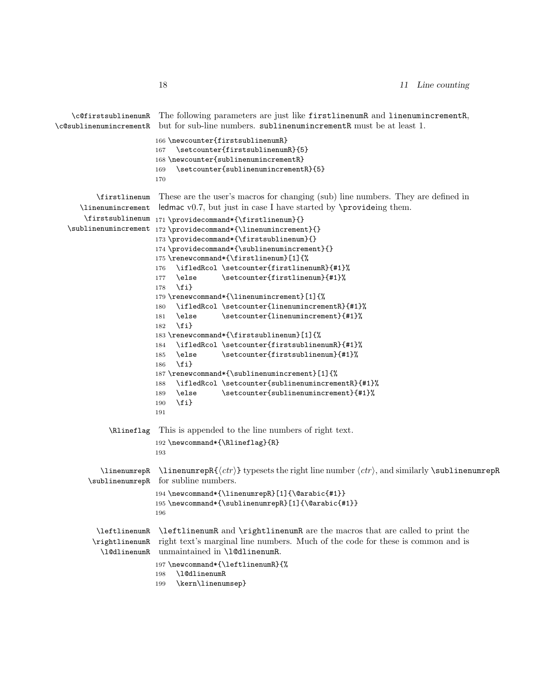```
\c@firstsublinenumR
\c@sublinenumincrementR
                         The following parameters are just like firstlinenumR and linenumincrementR,
                        but for sub-line numbers. sublinenumincrementR must be at least 1.
                        166 \newcounter{firstsublinenumR}
                        167 \setcounter{firstsublinenumR}{5}
                        168 \newcounter{sublinenumincrementR}
                        169 \setcounter{sublinenumincrementR}{5}
                        170
          \firstlinenum
      \linenumincrement
       \firstsublinenum
171 \providecommand*{\firstlinenum}{}
   \sublinenumincrement
172 \providecommand*{\linenumincrement}{}
                         These are the user's macros for changing (sub) line numbers. They are defined in
                         ledmac v0.7, but just in case I have started by \provideing them.
                        173 \providecommand*{\firstsublinenum}{}
                        174 \providecommand*{\sublinenumincrement}{}
                        175 \renewcommand*{\firstlinenum}[1]{%
                        176 \ifledRcol \setcounter{firstlinenumR}{#1}%
                        177 \else \setcounter{firstlinenum}{#1}%
                        178 \fi}
                        179 \renewcommand*{\linenumincrement}[1]{%
                        180 \ifledRcol \setcounter{linenumincrementR}{#1}%
                        181 \else \setcounter{linenumincrement}{#1}%
                        182 \fi}
                        183 \renewcommand*{\firstsublinenum}[1]{%
                        184 \ifledRcol \setcounter{firstsublinenumR}{#1}%
                        185 \else \setcounter{firstsublinenum}{#1}%
                        186 \fi}
                        187 \renewcommand*{\sublinenumincrement}[1]{%
                        188 \ifledRcol \setcounter{sublinenumincrementR}{#1}%
                        189 \else \setcounter{sublinenumincrement}{#1}%
                        190 \fi}
                        191
             \Rlineflag This is appended to the line numbers of right text.
                        192 \newcommand*{\Rlineflag}{R}
                        193
           \linenumrepR \linenumrepR{\langle ctr \rangle} typesets the right line number \langle ctr \rangle, and similarly \sublinenumrepR
        \sublinenumrepR
for subline numbers.
                        194 \newcommand*{\linenumrepR}[1]{\@arabic{#1}}
                        195 \newcommand*{\sublinenumrepR}[1]{\@arabic{#1}}
                        196
          \leftlinenumR
\leftlinenumR and \rightlinenumR are the macros that are called to print the
         \rightlinenumR
right text's marginal line numbers. Much of the code for these is common and is
           \l@dlinenumR
unmaintained in \l@dlinenumR.
                        197 \newcommand*{\leftlinenumR}{%
                        198 \l@dlinenumR
                        199 \kern\linenumsep}
```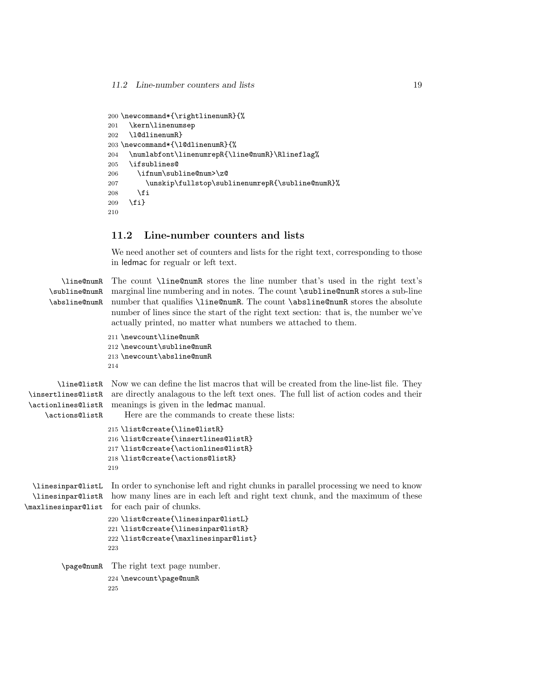```
200 \newcommand*{\rightlinenumR}{%
201 \kern\linenumsep
202 \l@dlinenumR}
203 \newcommand*{\l@dlinenumR}{%
204 \numlabfont\linenumrepR{\line@numR}\Rlineflag%
205 \ifsublines@
206 \ifnum\subline@num>\z@
207 \unskip\fullstop\sublinenumrepR{\subline@numR}%
208 \qquad 1fi
209 \fi}
210
```
#### <span id="page-18-0"></span>11.2 Line-number counters and lists

We need another set of counters and lists for the right text, corresponding to those in ledmac for regualr or left text.

```
\line@numR
\subline@numR
\absline@numR
```
The count \line@numR stores the line number that's used in the right text's marginal line numbering and in notes. The count \subline@numR stores a sub-line number that qualifies \line@numR. The count \absline@numR stores the absolute number of lines since the start of the right text section: that is, the number we've actually printed, no matter what numbers we attached to them.

```
211 \newcount\line@numR
212 \newcount\subline@numR
213 \newcount\absline@numR
214
```
\line@listR Now we can define the list macros that will be created from the line-list file. They \insertlines@listR \actionlines@listR \actions@listR are directly analagous to the left text ones. The full list of action codes and their meanings is given in the ledmac manual. Here are the commands to create these lists:

```
215 \list@create{\line@listR}
216 \list@create{\insertlines@listR}
217 \list@create{\actionlines@listR}
218 \list@create{\actions@listR}
219
```
\linesinpar@listL In order to synchonise left and right chunks in parallel processing we need to know \linesinpar@listR how many lines are in each left and right text chunk, and the maximum of these \maxlinesinpar@list for each pair of chunks.

```
220 \list@create{\linesinpar@listL}
           221 \list@create{\linesinpar@listR}
           222 \list@create{\maxlinesinpar@list}
           223
\page@numR The right text page number.
           224 \newcount\page@numR
```
225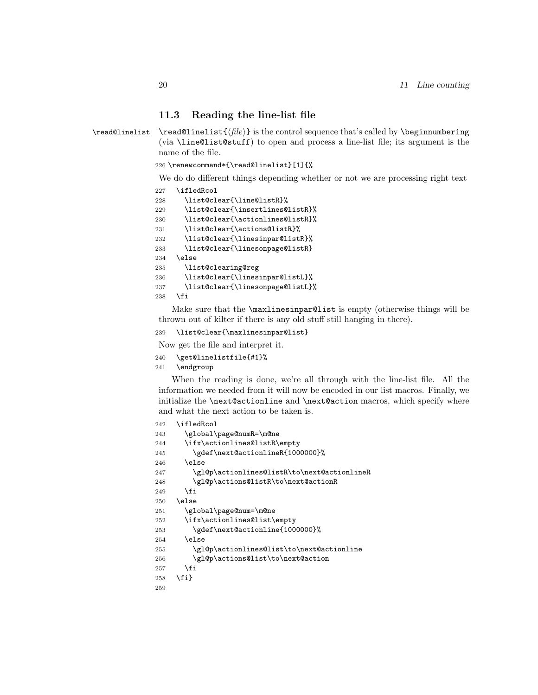#### <span id="page-19-0"></span>11.3 Reading the line-list file

 $\read@linelist \{file\}$  is the control sequence that's called by  $\begin{bmatrix} 1 & 2 \end{bmatrix}$ (via \line@list@stuff) to open and process a line-list file; its argument is the name of the file.

```
226 \renewcommand*{\read@linelist}[1]{%
```
We do do different things depending whether or not we are processing right text

```
227 \ifledRcol
228 \list@clear{\line@listR}%
229 \list@clear{\insertlines@listR}%
230 \list@clear{\actionlines@listR}%
231 \list@clear{\actions@listR}%
232 \list@clear{\linesinpar@listR}%
233 \list@clear{\linesonpage@listR}
234 \else
235 \list@clearing@reg
236 \list@clear{\linesinpar@listL}%
237 \list@clear{\linesonpage@listL}%
238 \fi
```
Make sure that the \maxlinesinpar@list is empty (otherwise things will be thrown out of kilter if there is any old stuff still hanging in there).

```
239 \list@clear{\maxlinesinpar@list}
```
Now get the file and interpret it.

- \get@linelistfile{#1}%
- \endgroup

When the reading is done, we're all through with the line-list file. All the information we needed from it will now be encoded in our list macros. Finally, we initialize the \next@actionline and \next@action macros, which specify where and what the next action to be taken is.

```
242 \ifledRcol
243 \global\page@numR=\m@ne
244 \ifx\actionlines@listR\empty
245 \gdef\next@actionlineR{1000000}%
246 \else
247 \gl@p\actionlines@listR\to\next@actionlineR
248 \gl@p\actions@listR\to\next@actionR
249 \fi
250 \text{ }\lambdaelse
251 \global\page@num=\m@ne
252 \ifx\actionlines@list\empty
253 \gdef\next@actionline{1000000}%
254 \else
255 \gl@p\actionlines@list\to\next@actionline
256 \gl@p\actions@list\to\next@action
257 \fi
258 \fi}
259
```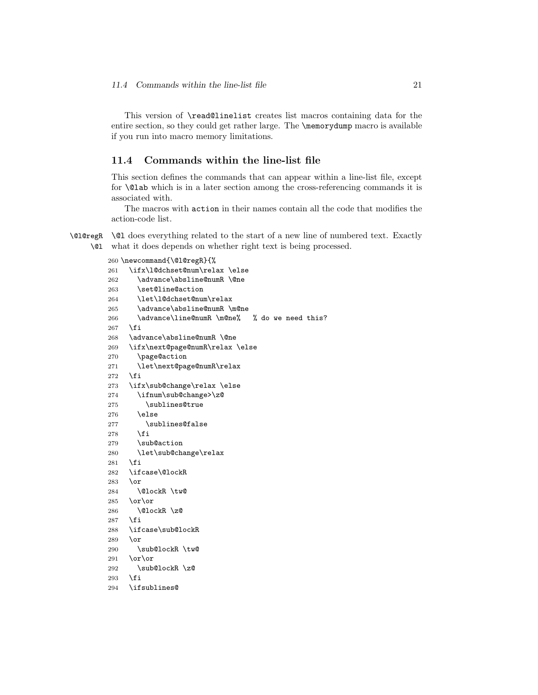This version of \read@linelist creates list macros containing data for the entire section, so they could get rather large. The \memorydump macro is available if you run into macro memory limitations.

#### <span id="page-20-0"></span>11.4 Commands within the line-list file

This section defines the commands that can appear within a line-list file, except for \@lab which is in a later section among the cross-referencing commands it is associated with.

The macros with action in their names contain all the code that modifies the action-code list.

\@l@regR \@l does everything related to the start of a new line of numbered text. Exactly \@l what it does depends on whether right text is being processed.

```
260 \newcommand{\@l@regR}{%
```

```
261 \ifx\l@dchset@num\relax \else
262 \advance\absline@numR \@ne
263 \set@line@action
264 \let\l@dchset@num\relax
265 \advance\absline@numR \m@ne
266 \advance\line@numR \m@ne% % do we need this?
267 \fi
268 \advance\absline@numR \@ne
269 \ifx\next@page@numR\relax \else
270 \page@action
271 \let\next@page@numR\relax
272 \ifmmode \big\vert \fi
273 \ifx\sub@change\relax \else
274 \ifnum\sub@change>\z@
275 \sublines@true
276 \else
277 \sublines@false
278 \fi
279 \sub@action
280 \let\sub@change\relax
281 \fi
282 \ifcase\@lockR
283 \or
284 \@lockR \tw@
285 \lambdaor\alphar
286 \@lockR \z@
287 \fi
288 \ifcase\sub@lockR
289 \or
290 \sub@lockR \tw@
291 \or\or292 \sub@lockR \z@
293 \fi
294 \ifsublines@
```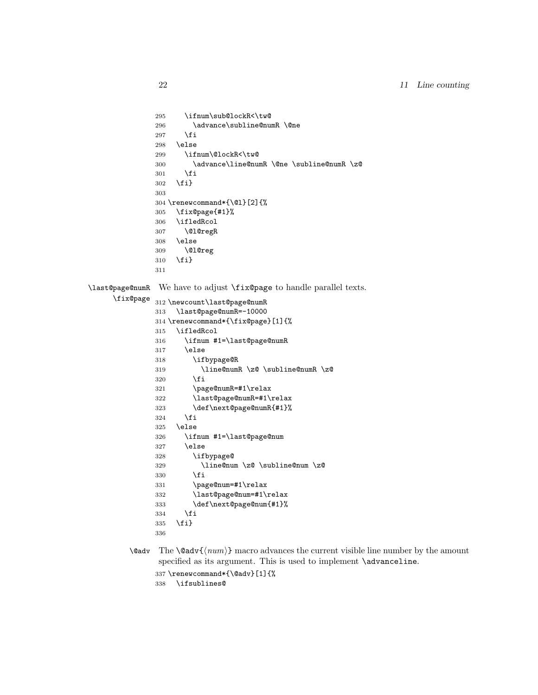```
295 \ifnum\sub@lockR<\tw@
              296 \advance\subline@numR \@ne
              297 \fi
              298 \else
              299 \ifnum\@lockR<\tw@
              300 \advance\line@numR \@ne \subline@numR \z@
              301 \fi
              302 \fi}
              303
              304 \renewcommand*{\@l}[2]{%
              305 \fix@page{#1}%
              306 \ifledRcol
              307 \@l@regR
              308 \else
              309 \@l@reg
              310 \fi}
              311
\last@page@numR
We have to adjust \fix@page to handle parallel texts.
     \fix@page
              312 \newcount\last@page@numR
              313 \last@page@numR=-10000
              314 \renewcommand*{\fix@page}[1]{%
              315 \ifledRcol
              316 \ifnum #1=\last@page@numR
              317 \else
              318 \ifbypage@R
              319 \line@numR \z@ \subline@numR \z@
              320 \fi
              321 \page@numR=#1\relax
              322 \last@page@numR=#1\relax
              323 \def\next@page@numR{#1}%
              324 \fi
              325 \else
              326 \ifnum #1=\last@page@num
              327 \else
              328 \ifbypage@
              329 \line@num \z@ \subline@num \z@
              330 \fi
              331 \page@num=#1\relax
              332 \last@page@num=#1\relax
              333 \def\next@page@num{#1}%
              334 \fi
              335 \fi}
              336
```
 $\{\otimes_{\mathbf{adv}}({\mathbf{num}})\}$  macro advances the current visible line number by the amount specified as its argument. This is used to implement \advanceline.

```
337 \renewcommand*{\@adv}[1]{%
```

```
338 \ifsublines@
```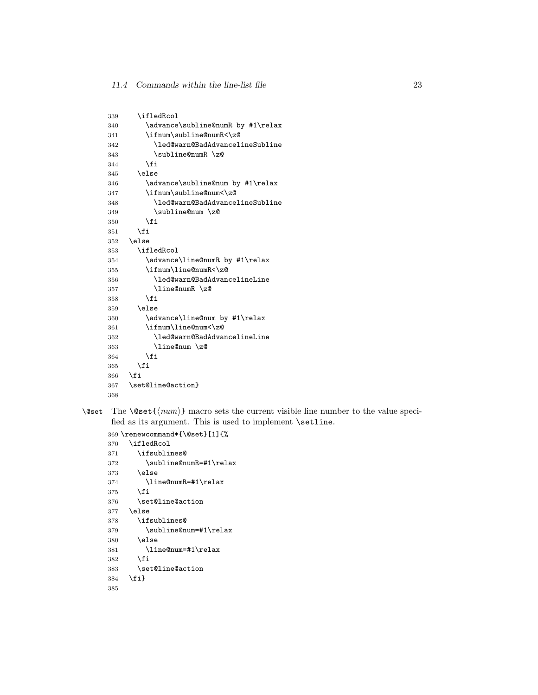| 339 | \ifledRcol                        |
|-----|-----------------------------------|
| 340 | \advance\subline@numR by #1\relax |
| 341 | \ifnum\subline@numR<\z@           |
| 342 | \led@warn@BadAdvancelineSubline   |
| 343 | \subline@numR \z@                 |
| 344 | <b>\fi</b>                        |
| 345 | \else                             |
| 346 | \advance\subline@num by #1\relax  |
| 347 | \ifnum\subline@num<\z@            |
| 348 | \led@warn@BadAdvancelineSubline   |
| 349 | \subline@num \z@                  |
| 350 | <b>\fi</b>                        |
| 351 | \fi                               |
| 352 | \else                             |
| 353 | \ifledRcol                        |
| 354 | \advance\line@numR by #1\relax    |
| 355 | \ifnum\line@numR<\z@              |
| 356 | \led@warn@BadAdvancelineLine      |
| 357 | \line@numR \z@                    |
| 358 | \fi                               |
| 359 | \else                             |
| 360 | \advance\line@num by #1\relax     |
| 361 | \ifnum\line@num<\z@               |
| 362 | \led@warn@BadAdvancelineLine      |
| 363 | \line@num \z@                     |
| 364 | <b>\fi</b>                        |
| 365 | \fi                               |
| 366 | \fi                               |
| 367 | \set@line@action}                 |
| 368 |                                   |

\@set The \@set{ $\langle num \rangle$ } macro sets the current visible line number to the value specified as its argument. This is used to implement **\setline**.

```
369 \renewcommand*{\@set}[1]{%
370 \ifledRcol
371 \ifsublines@
372 \subline@numR=#1\relax
373 \else
374 \line@numR=#1\relax
375 \fi<br>376 \set
      \setminusset@line@action
377 \else
378 \ifsublines@
379 \subline@num=#1\relax
380 \else
381 \line@num=#1\relax
382 \fi
383 \set@line@action
384 \fi}
385
```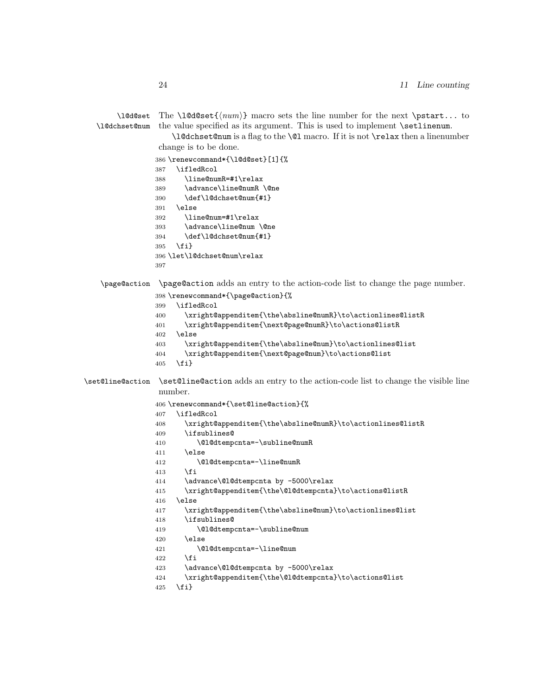\l@d@set

\l@dchset@num the value specified as its argument. This is used to implement \setlinenum. \l@dchset@num is a flag to the \@l macro. If it is not \relax then a linenumber change is to be done. \renewcommand\*{\l@d@set}[1]{% \ifledRcol \line@numR=#1\relax \advance\line@numR \@ne \def\l@dchset@num{#1} \else \line@num=#1\relax \advance\line@num \@ne \def\l@dchset@num{#1} \fi} \let\l@dchset@num\relax \page@action \page@action adds an entry to the action-code list to change the page number. \renewcommand\*{\page@action}{% \ifledRcol \xright@appenditem{\the\absline@numR}\to\actionlines@listR \xright@appenditem{\next@page@numR}\to\actions@listR \else \xright@appenditem{\the\absline@num}\to\actionlines@list \xright@appenditem{\next@page@num}\to\actions@list \fi} \set@line@action \set@line@action adds an entry to the action-code list to change the visible line number. \renewcommand\*{\set@line@action}{% \ifledRcol \xright@appenditem{\the\absline@numR}\to\actionlines@listR \ifsublines@ \@l@dtempcnta=-\subline@numR \else \@l@dtempcnta=-\line@numR \fi \advance\@l@dtempcnta by -5000\relax \xright@appenditem{\the\@l@dtempcnta}\to\actions@listR \else \xright@appenditem{\the\absline@num}\to\actionlines@list \ifsublines@ \@l@dtempcnta=-\subline@num \else \@l@dtempcnta=-\line@num \fi \advance\@l@dtempcnta by -5000\relax \xright@appenditem{\the\@l@dtempcnta}\to\actions@list

The  $\ldots$  to  $\{\text{num}\}$  macro sets the line number for the next  $\partial$ .

\fi}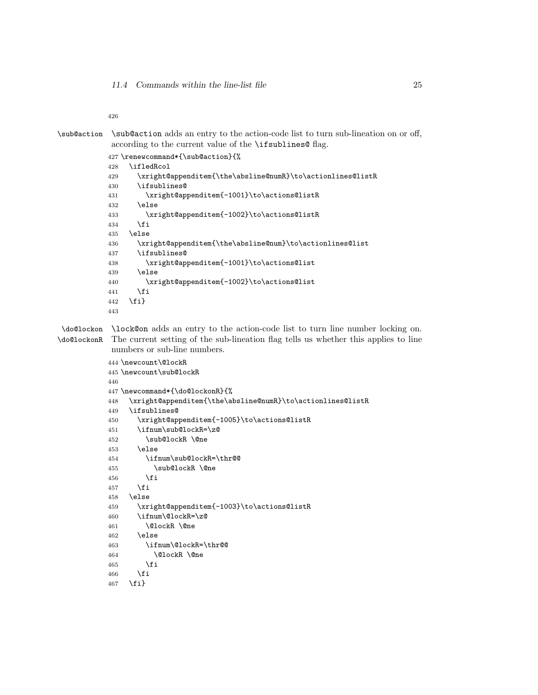```
\sub@action \sub@action adds an entry to the action-code list to turn sub-lineation on or off,
             according to the current value of the \ifsublines@ flag.
```

```
427 \renewcommand*{\sub@action}{%
428 \ifledRcol
429 \xright@appenditem{\the\absline@numR}\to\actionlines@listR
430 \ifsublines@
431 \xright@appenditem{-1001}\to\actions@listR
432 \else
433 \xright@appenditem{-1002}\to\actions@listR
434 \fi
435 \else
436 \xright@appenditem{\the\absline@num}\to\actionlines@list
437 \ifsublines@
438 \xright@appenditem{-1001}\to\actions@list
439 \else
440 \xright@appenditem{-1002}\to\actions@list
441 \fi
442 \fi}
443
```
\do@lockon \lock@on adds an entry to the action-code list to turn line number locking on. \do@lockonR The current setting of the sub-lineation flag tells us whether this applies to line numbers or sub-line numbers.

```
444 \newcount\@lockR
445 \newcount\sub@lockR
446
447 \newcommand*{\do@lockonR}{%
448 \xright@appenditem{\the\absline@numR}\to\actionlines@listR
449 \ifsublines@
450 \xright@appenditem{-1005}\to\actions@listR
451 \ifnum\sub@lockR=\z@
452 \sub@lockR \@ne
453 \else
454 \ifnum\sub@lockR=\thr@@
455 \sub@lockR \@ne
456 \fi
457 \fi
458 \else
459 \xright@appenditem{-1003}\to\actions@listR
460 \ifnum\@lockR=\z@
461 \@lockR \@ne
462 \else
463 \ifnum\@lockR=\thr@@
464 \ClockR \Cne
465 \fi
466 \fi
467 \fi}
```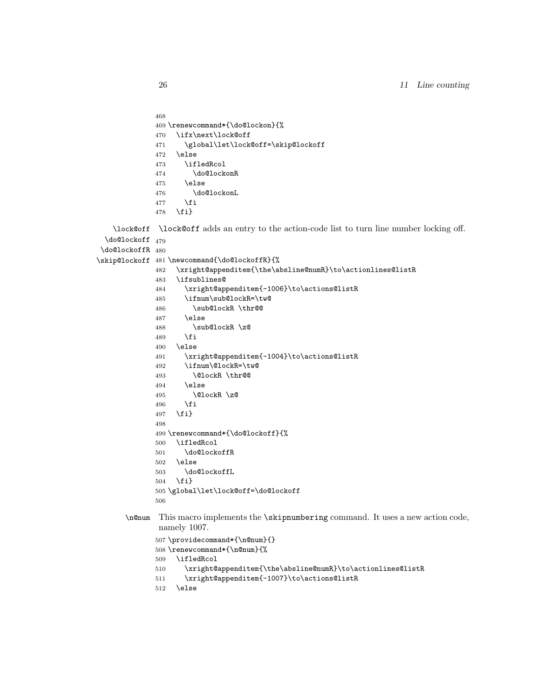```
468
469 \renewcommand*{\do@lockon}{%
470 \ifx\next\lock@off
471 \global\let\lock@off=\skip@lockoff
472 \else
473 \ifledRcol
474 \do@lockonR
475 \else
476 \do@lockonL
477 \fi
478 \fi}
```
\lock@off \lock@off adds an entry to the action-code list to turn line number locking off.

```
\do@lockoff
479
```

```
\do@lockoffR
480
\skip@lockoff
481 \newcommand{\do@lockoffR}{%
            482 \xright@appenditem{\the\absline@numR}\to\actionlines@listR
            483 \ifsublines@
            484 \xright@appenditem{-1006}\to\actions@listR
            485 \ifnum\sub@lockR=\tw@
            486 \sub@lockR \thr@@
            487 \else
            488 \sub@lockR \z@
            489 \fi
            490 \else
            491 \xright@appenditem{-1004}\to\actions@listR
            492 \ifnum\@lockR=\tw@
            493 \@lockR \thr@@
            494 \else
            495 \@lockR \z@
            496 \fi
            497 \fi}
            498
            499 \renewcommand*{\do@lockoff}{%
            500 \ifledRcol
            501 \do@lockoffR
            502 \else
            503 \do@lockoffL
            504 \fi}
            505 \global\let\lock@off=\do@lockoff
            506
      \n@num This macro implements the \skipnumbering command. It uses a new action code,
```

```
namely 1007.
```

```
507 \providecommand*{\n@num}{}
508 \renewcommand*{\n@num}{%
509 \ifledRcol
510 \xright@appenditem{\the\absline@numR}\to\actionlines@listR
511 \xright@appenditem{-1007}\to\actions@listR
512 \else
```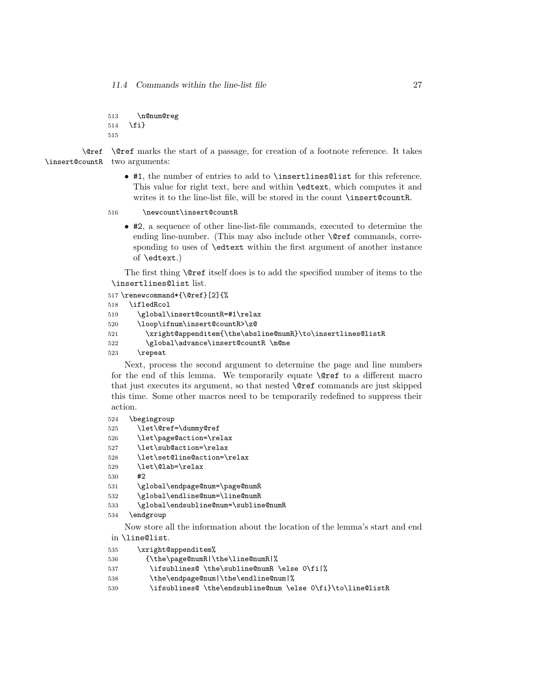11.4 Commands within the line-list file 27

513 \n@num@reg 514 \fi} 515

\@ref \@ref marks the start of a passage, for creation of a footnote reference. It takes \insert@countR two arguments:

- #1, the number of entries to add to \insertlines@list for this reference. This value for right text, here and within \edtext, which computes it and writes it to the line-list file, will be stored in the count \insert@countR.
- 516 \newcount\insert@countR
	- #2, a sequence of other line-list-file commands, executed to determine the ending line-number. (This may also include other **\@ref** commands, corresponding to uses of \edtext within the first argument of another instance of \edtext.)

The first thing \@ref itself does is to add the specified number of items to the \insertlines@list list.

517 \renewcommand\*{\@ref}[2]{%

```
518 \ifledRcol
```

```
519 \global\insert@countR=#1\relax
```

```
520 \loop\ifnum\insert@countR>\z@
```

```
521 \xright@appenditem{\the\absline@numR}\to\insertlines@listR
```

```
522 \global\advance\insert@countR \m@ne
```
523 \repeat

Next, process the second argument to determine the page and line numbers for the end of this lemma. We temporarily equate \@ref to a different macro that just executes its argument, so that nested \@ref commands are just skipped this time. Some other macros need to be temporarily redefined to suppress their action.

```
524 \begingroup
```

```
525 \let\@ref=\dummy@ref
```

```
526 \let\page@action=\relax
```

```
527 \let\sub@action=\relax
```

```
528 \let\set@line@action=\relax
```

```
529 \let\@lab=\relax
```

```
530 #2
```
531 \global\endpage@num=\page@numR

```
532 \global\endline@num=\line@numR
```

```
533 \global\endsubline@num=\subline@numR
```

```
534 \endgroup
```
Now store all the information about the location of the lemma's start and end in \line@list.

```
535 \xright@appenditem%
```

```
536 {\the\page@numR|\the\line@numR|%
```

```
537 \ifsublines@ \the\subline@numR \else 0\fi|%
```
538 \the\endpage@num|\the\endline@num|%

```
539 \ifsublines@ \the\endsubline@num \else 0\fi}\to\line@listR
```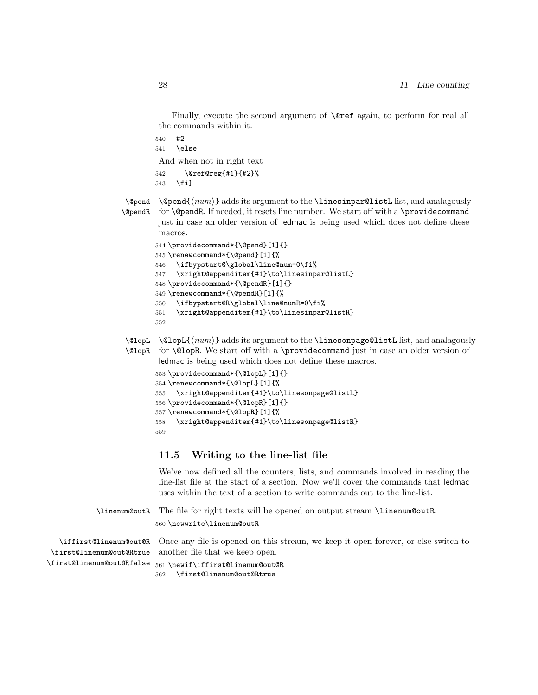Finally, execute the second argument of **\@ref** again, to perform for real all the commands within it.

540 #2

541 \else

And when not in right text

```
542 \@ref@reg{#1}{#2}%
543 \fi}
```
 $\qquad \qquad \qquad \text{Opend}(num) \}$  adds its argument to the  $\text{linesingularQlistL}$  list, and analagously \@pendR for \@pendR. If needed, it resets line number. We start off with a \providecommand just in case an older version of ledmac is being used which does not define these macros.

```
544 \providecommand*{\@pend}[1]{}
545 \renewcommand*{\@pend}[1]{%
546 \ifbypstart@\global\line@num=0\fi%
547 \xright@appenditem{#1}\to\linesinpar@listL}
548 \providecommand*{\@pendR}[1]{}
549 \renewcommand*{\@pendR}[1]{%
550 \ifbypstart@R\global\line@numR=0\fi%
551 \xright@appenditem{#1}\to\linesinpar@listR}
```

```
552
```
\@lopL \@lopL{ $\langle num \rangle$ } adds its argument to the **\linesonpage@listL** list, and analagously

\@lopR for \@lopR. We start off with a \providecommand just in case an older version of ledmac is being used which does not define these macros.

```
553 \providecommand*{\@lopL}[1]{}
554 \renewcommand*{\@lopL}[1]{%
555 \xright@appenditem{#1}\to\linesonpage@listL}
556 \providecommand*{\@lopR}[1]{}
557 \renewcommand*{\@lopR}[1]{%
558 \xright@appenditem{#1}\to\linesonpage@listR}
559
```
#### <span id="page-27-0"></span>11.5 Writing to the line-list file

We've now defined all the counters, lists, and commands involved in reading the line-list file at the start of a section. Now we'll cover the commands that ledmac uses within the text of a section to write commands out to the line-list.

```
\linenum@outR The file for right texts will be opened on output stream \linenum@outR.
              560 \newwrite\linenum@outR
```
\iffirst@linenum@out@R Once any file is opened on this stream, we keep it open forever, or else switch to \first@linenum@out@Rtrue another file that we keep open.

\first@linenum@out@Rfalse 561 \newif\iffirst@linenum@out@R 562 \first@linenum@out@Rtrue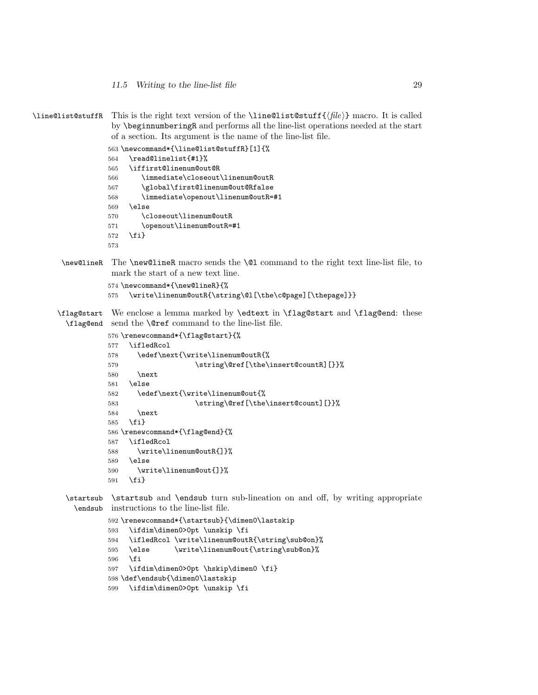11.5 Writing to the line-list file 29

```
\line@list@stuffR This is the right text version of the \line@list@stuff{\langle file \rangle} macro. It is called
                  by \beginnumberingR and performs all the line-list operations needed at the start
                  of a section. Its argument is the name of the line-list file.
                 563 \newcommand*{\line@list@stuffR}[1]{%
                 564 \read@linelist{#1}%
                 565 \iffirst@linenum@out@R
                 566 \immediate\closeout\linenum@outR
                 567 \global\first@linenum@out@Rfalse
                 568 \immediate\openout\linenum@outR=#1
                 569 \else
                 570 \closeout\linenum@outR
                 571 \openout\linenum@outR=#1
                 572 \fi}
                 573
      \new@lineR The \new@lineR macro sends the \@l command to the right text line-list file, to
                  mark the start of a new text line.
                 574 \newcommand*{\new@lineR}{%
                 575 \write\linenum@outR{\string\@l[\the\c@page][\thepage]}}
      \flag@start
We enclose a lemma marked by \edtext in \flag@start and \flag@end: these
        \flag@end
send the \@ref command to the line-list file.
                 576 \renewcommand*{\flag@start}{%
                 577 \ifledRcol
                 578 \edef\next{\write\linenum@outR{%
                 579 \tring\@ref[\the\insert@countR][}}%
                 580 \next
                 581 \else
                 582 \edef\next{\write\linenum@out{%
                 583 \string\@ref[\the\insert@count][}}%
                 584 \next
                 585 \fi}
                 586 \renewcommand*{\flag@end}{%
                 587 \ifledRcol
                 588 \write\linenum@outR{]}%
                 589 \else
                 590 \write\linenum@out{]}%
                 591 \fi}
        \startsub
\startsub and \endsub turn sub-lineation on and off, by writing appropriate
          \endsub
instructions to the line-list file.
                 592 \renewcommand*{\startsub}{\dimen0\lastskip
                 593 \ifdim\dimen0>0pt \unskip \fi
                 594 \ifledRcol \write\linenum@outR{\string\sub@on}%
                 595 \else \write\linenum@out{\string\sub@on}%
                 596 \fi
                 597 \ifdim\dimen0>0pt \hskip\dimen0 \fi}
```
- \def\endsub{\dimen0\lastskip
- \ifdim\dimen0>0pt \unskip \fi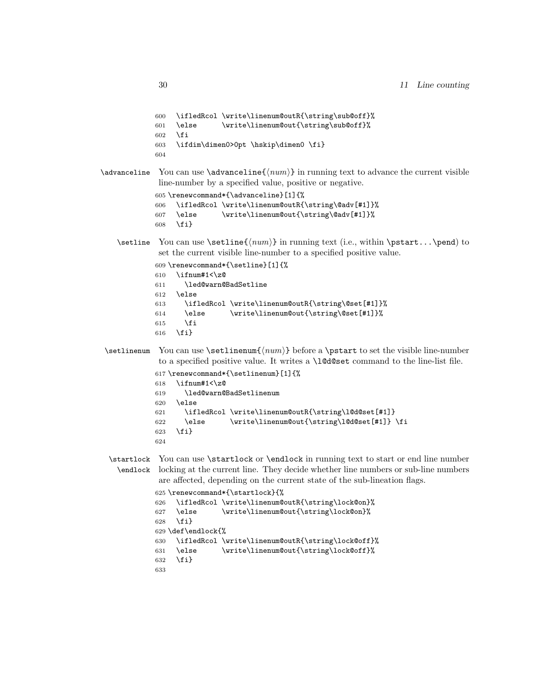```
600 \ifledRcol \write\linenum@outR{\string\sub@off}%
601 \else \write\linenum@out{\string\sub@off}%
602 \setminusfi
603 \ifdim\dimen0>0pt \hskip\dimen0 \fi}
604
```
\advanceline You can use \advanceline{ $\langle num \rangle$ } in running text to advance the current visible line-number by a specified value, positive or negative.

```
605 \renewcommand*{\advanceline}[1]{%
606 \ifledRcol \write\linenum@outR{\string\@adv[#1]}%
607 \else \write\linenum@out{\string\@adv[#1]}%
608 \fi}
```
\setline You can use \setline{ $\langle num \rangle$ } in running text (i.e., within \pstart...\pend) to set the current visible line-number to a specified positive value.

```
609 \renewcommand*{\setline}[1]{%
610 \ifnum#1<\z@
611 \led@warn@BadSetline
612 \else
613 \ifledRcol \write\linenum@outR{\string\@set[#1]}%
614 \else \write\linenum@out{\string\@set[#1]}%
615 \fi
616 \fi}
```
 $\setminus$  You can use  $\setminus {\text{num}}$  before a  $\mathcal{u}$  before a  $\setminus$  the visible line-number to a specified positive value. It writes a \l@d@set command to the line-list file.

```
617 \renewcommand*{\setlinenum}[1]{%
618 \ifnum#1<\z@
619 \led@warn@BadSetlinenum
620 \else
621 \ifledRcol \write\linenum@outR{\string\l@d@set[#1]}
622 \else \write\linenum@out{\string\l@d@set[#1]} \fi
623 \fi}
624
```
\startlock You can use \startlock or \endlock in running text to start or end line number \endlock locking at the current line. They decide whether line numbers or sub-line numbers are affected, depending on the current state of the sub-lineation flags.

```
625 \renewcommand*{\startlock}{%
626 \ifledRcol \write\linenum@outR{\string\lock@on}%
627 \else \write\linenum@out{\string\lock@on}%
628 \fi}
629 \def\endlock{%
630 \ifledRcol \write\linenum@outR{\string\lock@off}%
631 \else \write\linenum@out{\string\lock@off}%
632 \fi}
633
```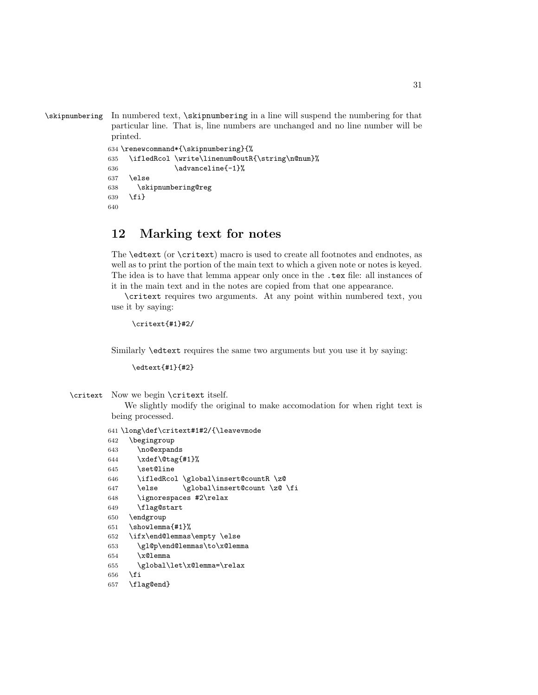\skipnumbering In numbered text, \skipnumbering in a line will suspend the numbering for that particular line. That is, line numbers are unchanged and no line number will be printed.

```
634 \renewcommand*{\skipnumbering}{%
635 \ifledRcol \write\linenum@outR{\string\n@num}%
636 \advanceline{-1}%
637 \else
638 \skipnumbering@reg
639 \fi}
640
```
### <span id="page-30-0"></span>12 Marking text for notes

The \edtext (or \critext) macro is used to create all footnotes and endnotes, as well as to print the portion of the main text to which a given note or notes is keyed. The idea is to have that lemma appear only once in the .tex file: all instances of it in the main text and in the notes are copied from that one appearance.

\critext requires two arguments. At any point within numbered text, you use it by saying:

```
\critext{#1}#2/
```
Similarly \edtext requires the same two arguments but you use it by saying:

\edtext{#1}{#2}

\critext Now we begin \critext itself.

We slightly modify the original to make accomodation for when right text is being processed.

```
641 \long\def\critext#1#2/{\leavevmode
642 \begingroup
643 \no@expands
644 \xdef\@tag{#1}%
645 \set@line
646 \ifledRcol \global\insert@countR \z@
647 \else \global\insert@count \z@ \fi
648 \ignorespaces #2\relax
649 \flag@start
650 \endgroup
651 \showlemma{#1}%
652 \ifx\end@lemmas\empty \else
653 \gl@p\end@lemmas\to\x@lemma
654 \chi@lemma
655 \global\let\x@lemma=\relax
656 \fi
657 \flag@end}
```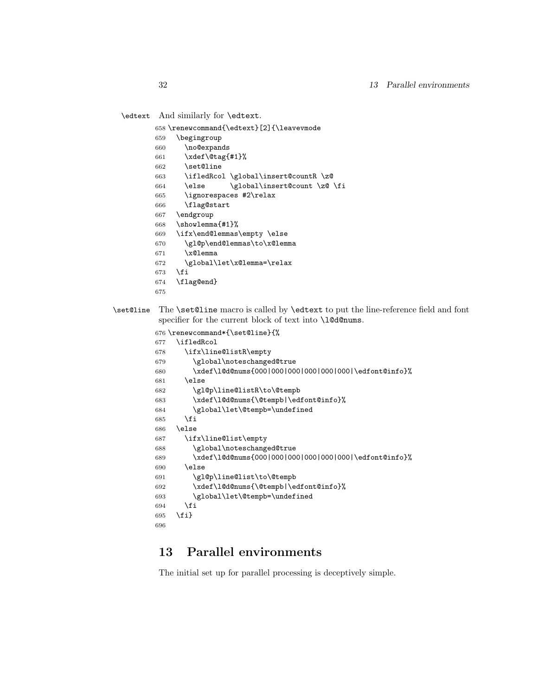\edtext And similarly for \edtext.

- \renewcommand{\edtext}[2]{\leavevmode
- \begingroup
- \no@expands
- \xdef\@tag{#1}%
- \set@line
- \ifledRcol \global\insert@countR \z@
- \else \global\insert@count \z@ \fi
- \ignorespaces #2\relax
- \flag@start
- \endgroup \showlemma{#1}%
- 
- \ifx\end@lemmas\empty \else \gl@p\end@lemmas\to\x@lemma
- 
- \x@lemma
- \global\let\x@lemma=\relax
- \fi
- \flag@end}
- 
- \set@line The \set@line macro is called by \edtext to put the line-reference field and font specifier for the current block of text into \l@d@nums.

```
676 \renewcommand*{\set@line}{%
677 \ifledRcol
678 \ifx\line@listR\empty
679 \global\noteschanged@true
680 \xdef\l@d@nums{000|000|000|000|000|000|\edfont@info}%
681 \else
682 \gl@p\line@listR\to\@tempb
683 \xdef\l@d@nums{\@tempb|\edfont@info}%
684 \global\let\@tempb=\undefined
685 \fi
686 \else
687 \ifx\line@list\empty
688 \global\noteschanged@true
689 \xdef\l@d@nums{000|000|000|000|000|000|\edfont@info}%
690 \else
691 \gl@p\line@list\to\@tempb
692 \xdef\l@d@nums{\@tempb|\edfont@info}%
693 \global\let\@tempb=\undefined
694 \fi
695 \fi}
696
```
## <span id="page-31-0"></span>13 Parallel environments

The initial set up for parallel processing is deceptively simple.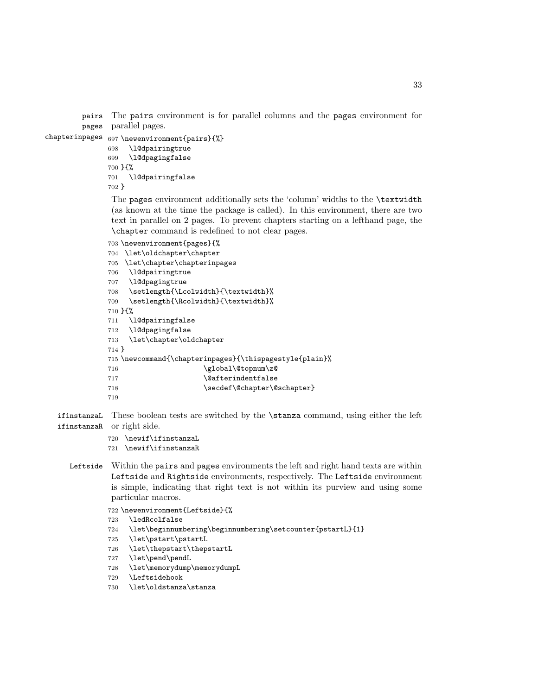pairs The pairs environment is for parallel columns and the pages environment for pages parallel pages.

```
chapterinpages 697 \newenvironment{pairs}{%}
```

```
698 \l@dpairingtrue
699 \l@dpagingfalse
700 }{%
701 \l@dpairingfalse
702 }
```
The pages environment additionally sets the 'column' widths to the \textwidth (as known at the time the package is called). In this environment, there are two text in parallel on 2 pages. To prevent chapters starting on a lefthand page, the \chapter command is redefined to not clear pages.

```
703 \newenvironment{pages}{%
704 \let\oldchapter\chapter
705 \let\chapter\chapterinpages
706 \l@dpairingtrue
707 \l@dpagingtrue
708 \setlength{\Lcolwidth}{\textwidth}%
709 \setlength{\Rcolwidth}{\textwidth}%
710 }{%
711 \l@dpairingfalse
712 \l@dpagingfalse
713 \let\chapter\oldchapter
714 }
715 \newcommand{\chapterinpages}{\thispagestyle{plain}%
716 \global\@topnum\z@
717 \@afterindentfalse
718 \secdef\@chapter\@schapter}
719
```
ifinstanzaL These boolean tests are switched by the \stanza command, using either the left ifinstanzaR or right side.

```
720 \newif\ifinstanzaL
721 \newif\ifinstanzaR
```
- Leftside Within the pairs and pages environments the left and right hand texts are within Leftside and Rightside environments, respectively. The Leftside environment
	- is simple, indicating that right text is not within its purview and using some particular macros.
		- \newenvironment{Leftside}{%

```
723 \ledRcolfalse
```
- \let\beginnumbering\beginnumbering\setcounter{pstartL}{1}
- \let\pstart\pstartL
- \let\thepstart\thepstartL
- \let\pend\pendL
- \let\memorydump\memorydumpL
- \Leftsidehook
- \let\oldstanza\stanza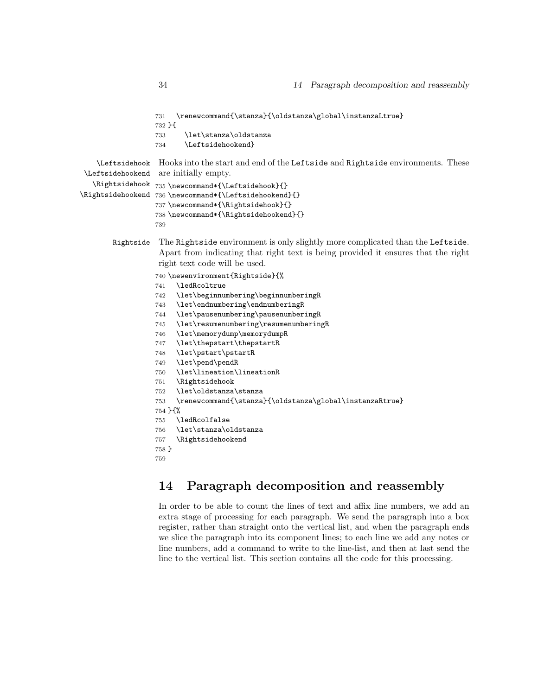```
731 \renewcommand{\stanza}{\oldstanza\global\instanzaLtrue}
                  732 }{
                  733 \let\stanza\oldstanza
                  734 \Leftsidehookend}
    \Leftsidehook
\Leftsidehookend
   \Rightsidehook
735 \newcommand*{\Leftsidehook}{}
\Rightsidehookend
736 \newcommand*{\Leftsidehookend}{}
                  Hooks into the start and end of the Leftside and Rightside environments. These
                  are initially empty.
                  737 \newcommand*{\Rightsidehook}{}
                  738 \newcommand*{\Rightsidehookend}{}
                  739
       Rightside The Rightside environment is only slightly more complicated than the Leftside.
                   Apart from indicating that right text is being provided it ensures that the right
                   right text code will be used.
                  740 \newenvironment{Rightside}{%
                  741 \ledRcoltrue
                  742 \let\beginnumbering\beginnumberingR
                  743 \let\endnumbering\endnumberingR
                  744 \let\pausenumbering\pausenumberingR
                  745 \let\resumenumbering\resumenumberingR
                  746 \let\memorydump\memorydumpR
                  747 \let\thepstart\thepstartR
                  748 \let\pstart\pstartR
                  749 \let\pend\pendR
                  750 \let\lineation\lineationR
                  751 \Rightsidehook
                  752 \let\oldstanza\stanza
                  753 \renewcommand{\stanza}{\oldstanza\global\instanzaRtrue}
                  754 }{%
                  755 \ledRcolfalse
                  756 \let\stanza\oldstanza
                  757 \Rightsidehookend
                  758 }
                  759
```
## <span id="page-33-0"></span>14 Paragraph decomposition and reassembly

In order to be able to count the lines of text and affix line numbers, we add an extra stage of processing for each paragraph. We send the paragraph into a box register, rather than straight onto the vertical list, and when the paragraph ends we slice the paragraph into its component lines; to each line we add any notes or line numbers, add a command to write to the line-list, and then at last send the line to the vertical list. This section contains all the code for this processing.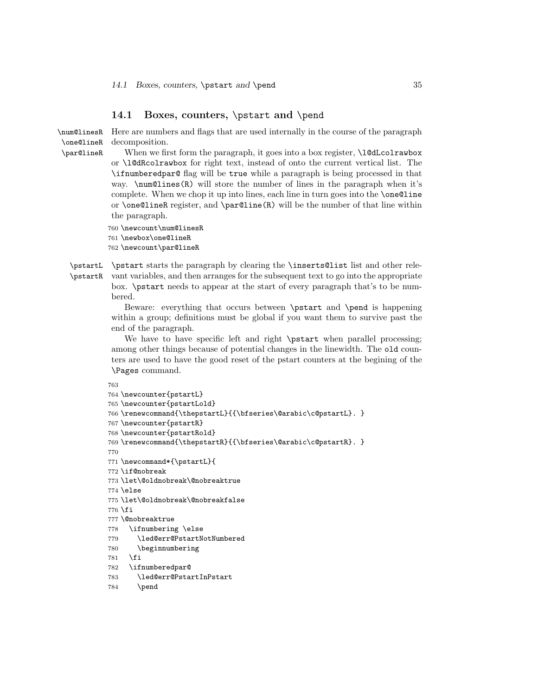#### <span id="page-34-0"></span>14.1 Boxes, counters, \pstart and \pend

\num@linesR \one@lineR \par@lineR Here are numbers and flags that are used internally in the course of the paragraph decomposition. When we first form the paragraph, it goes into a box register,  $\lambda$ l@dLcolrawbox or \l@dRcolrawbox for right text, instead of onto the current vertical list. The \ifnumberedpar@ flag will be true while a paragraph is being processed in that way. \num@lines(R) will store the number of lines in the paragraph when it's complete. When we chop it up into lines, each line in turn goes into the \one@line or \one@lineR register, and \par@line(R) will be the number of that line within the paragraph.

760 \newcount\num@linesR

761 \newbox\one@lineR

762 \newcount\par@lineR

\pstartL \pstart starts the paragraph by clearing the \inserts@list list and other rele-\pstartR vant variables, and then arranges for the subsequent text to go into the appropriate box. \pstart needs to appear at the start of every paragraph that's to be numbered.

> Beware: everything that occurs between \pstart and \pend is happening within a group; definitions must be global if you want them to survive past the end of the paragraph.

> We have to have specific left and right \pstart when parallel processing; among other things because of potential changes in the linewidth. The old counters are used to have the good reset of the pstart counters at the begining of the \Pages command.

```
763
764 \newcounter{pstartL}
765 \newcounter{pstartLold}
766 \renewcommand{\thepstartL}{{\bfseries\@arabic\c@pstartL}. }
767 \newcounter{pstartR}
768 \newcounter{pstartRold}
769 \renewcommand{\thepstartR}{{\bfseries\@arabic\c@pstartR}. }
770
771 \newcommand*{\pstartL}{
772 \if@nobreak
773 \let\@oldnobreak\@nobreaktrue
774 \else
775 \let\@oldnobreak\@nobreakfalse
776 \fi
777 \@nobreaktrue
778 \ifnumbering \else
779 \led@err@PstartNotNumbered
780 \beginnumbering
781 \fi
782 \ifnumberedpar@
783 \led@err@PstartInPstart
784 \pend
```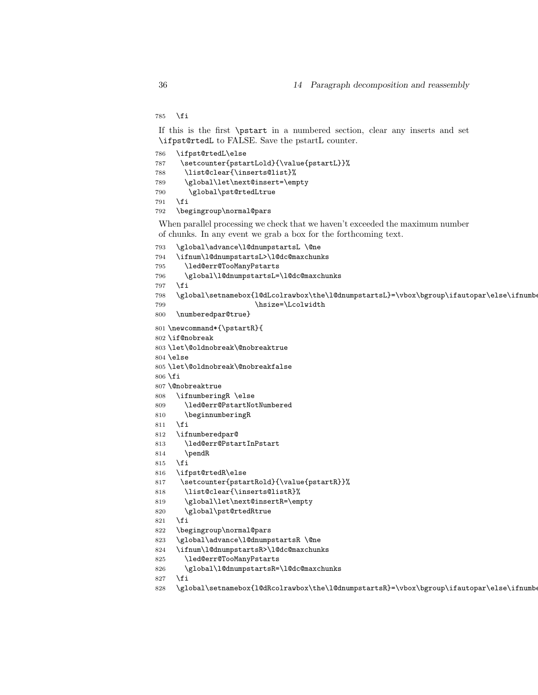\fi

If this is the first \pstart in a numbered section, clear any inserts and set \ifpst@rtedL to FALSE. Save the pstartL counter.

| 786 | \ifpst@rtedL\else                         |
|-----|-------------------------------------------|
| 787 | \setcounter{pstartLold}{\value{pstartL}}% |
| 788 | \list@clear{\inserts@list}%               |
| 789 | \global\let\next@insert=\empty            |
| 790 | \global\pst@rtedLtrue                     |
| 791 | \fi                                       |
| 792 | \begingroup\normal@pars                   |
|     |                                           |

When parallel processing we check that we haven't exceeded the maximum number of chunks. In any event we grab a box for the forthcoming text.

```
793 \global\advance\l@dnumpstartsL \@ne
```

```
794 \ifnum\l@dnumpstartsL>\l@dc@maxchunks
```
- \led@err@TooManyPstarts
- \global\l@dnumpstartsL=\l@dc@maxchunks
- \fi
- 798 \global\setnamebox{1@dLcolrawbox\the\l@dnumpstartsL}=\vbox\bgroup\ifautopar\else\ifnumber
- 799 \hsize=\Lcolwidth
- \numberedpar@true}
- \newcommand\*{\pstartR}{
- \if@nobreak
- \let\@oldnobreak\@nobreaktrue
- \else
- \let\@oldnobreak\@nobreakfalse
- \fi
- \@nobreaktrue
- \ifnumberingR \else
- \led@err@PstartNotNumbered
- \beginnumberingR
- \fi
- \ifnumberedpar@
- \led@err@PstartInPstart
- \pendR
- \fi
- \ifpst@rtedR\else
- \setcounter{pstartRold}{\value{pstartR}}%
- \list@clear{\inserts@listR}%
- \global\let\next@insertR=\empty
- \global\pst@rtedRtrue
- \fi
- \begingroup\normal@pars
- \global\advance\l@dnumpstartsR \@ne
- \ifnum\l@dnumpstartsR>\l@dc@maxchunks
- \led@err@TooManyPstarts
- \global\l@dnumpstartsR=\l@dc@maxchunks
- \fi
- 828 \global\setnamebox{1@dRcolrawbox\the\l@dnumpstartsR}=\vbox\bgroup\ifautopar\else\ifnumber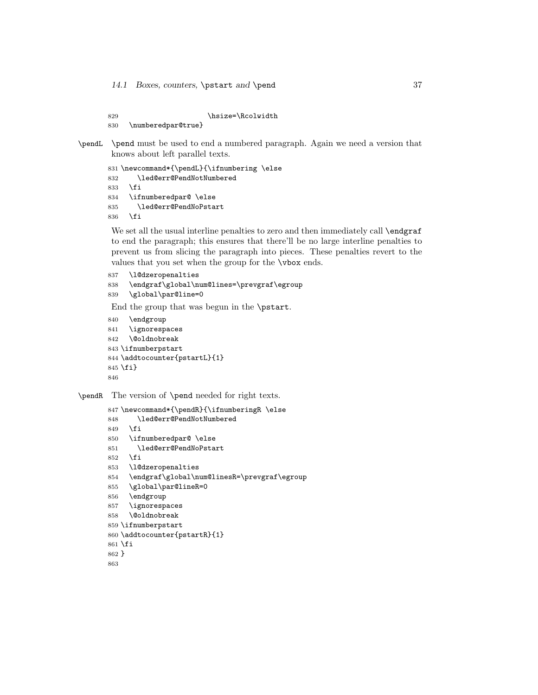```
829 \hsize=\Rcolwidth
830 \numberedpar@true}
```

```
\pendL \pend must be used to end a numbered paragraph. Again we need a version that
        knows about left parallel texts.
```

```
831 \newcommand*{\pendL}{\ifnumbering \else
832 \led@err@PendNotNumbered
833 \fi
834 \ifnumberedpar@ \else
835 \led@err@PendNoPstart
836 \fi
```
We set all the usual interline penalties to zero and then immediately call \endgraf to end the paragraph; this ensures that there'll be no large interline penalties to prevent us from slicing the paragraph into pieces. These penalties revert to the values that you set when the group for the \vbox ends.

```
837 \l@dzeropenalties
838 \endgraf\global\num@lines=\prevgraf\egroup
839 \global\par@line=0
```
End the group that was begun in the \pstart.

```
840 \endgroup
841 \ignorespaces
842 \@oldnobreak
843 \ifnumberpstart
844 \addtocounter{pstartL}{1}
845 \fi}
846
```
\pendR The version of \pend needed for right texts.

```
847 \newcommand*{\pendR}{\ifnumberingR \else
848 \led@err@PendNotNumbered
849 \fi
850 \ifnumberedpar@ \else
851 \led@err@PendNoPstart
852 \fi
853 \l@dzeropenalties
854 \endgraf\global\num@linesR=\prevgraf\egroup
855 \global\par@lineR=0
856 \endgroup
857 \ignorespaces
858 \@oldnobreak
859 \ifnumberpstart
860 \addtocounter{pstartR}{1}
861 \fi
862 }
863
```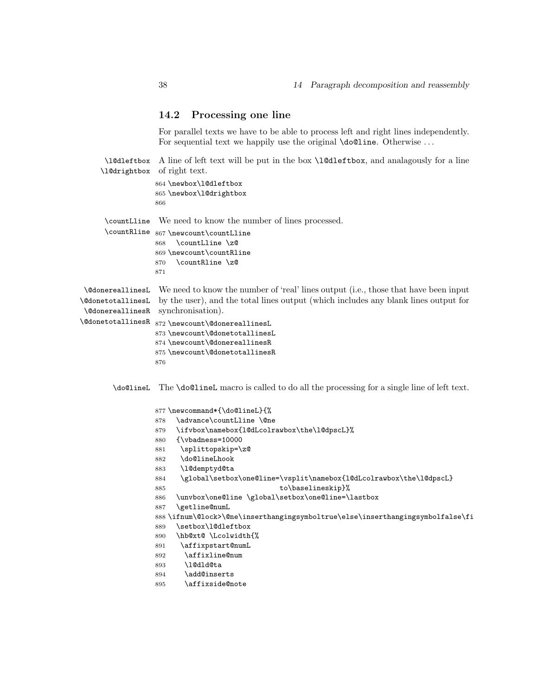#### 14.2 Processing one line

For parallel texts we have to be able to process left and right lines independently. For sequential text we happily use the original **\do@line**. Otherwise ...

\l@dleftbox A line of left text will be put in the box \l@dleftbox, and analagously for a line \l@drightbox of right text.

```
864 \newbox\l@dleftbox
865 \newbox\l@drightbox
866
```
\countLline We need to know the number of lines processed.

| $\verb \countRline  867 \newcount\countLline $ |
|------------------------------------------------|
| 868 \countLline \zQ                            |
| 869 \newcount\countRline                       |
| 870 \countRline \zQ                            |
| 871                                            |

\@donereallinesL \@donetotallinesL \@donereallinesR synchronisation). We need to know the number of 'real' lines output (i.e., those that have been input by the user), and the total lines output (which includes any blank lines output for

```
\@donetotallinesR
872 \newcount\@donereallinesL
                  873 \newcount\@donetotallinesL
                  874 \newcount\@donereallinesR
```

```
875 \newcount\@donetotallinesR
```
\do@lineL The \do@lineL macro is called to do all the processing for a single line of left text.

```
877 \newcommand*{\do@lineL}{%
878 \advance\countLline \@ne
879 \ifvbox\namebox{l@dLcolrawbox\the\l@dpscL}%
880 {\vbadness=10000
881 \splittopskip=\z@
882 \do@lineLhook
883 \l@demptyd@ta
884 \global\setbox\one@line=\vsplit\namebox{l@dLcolrawbox\the\l@dpscL}
885 to\baselineskip}%
886 \unvbox\one@line \global\setbox\one@line=\lastbox
887 \getline@numL
888 \ifnum\@lock>\@ne\inserthangingsymboltrue\else\inserthangingsymbolfalse\fi
889 \setbox\l@dleftbox
890 \hb@xt@ \Lcolwidth{%
891 \affixpstart@numL
892 \affixline@num
893 \l@dld@ta
894 \add@inserts
895 \affixside@note
```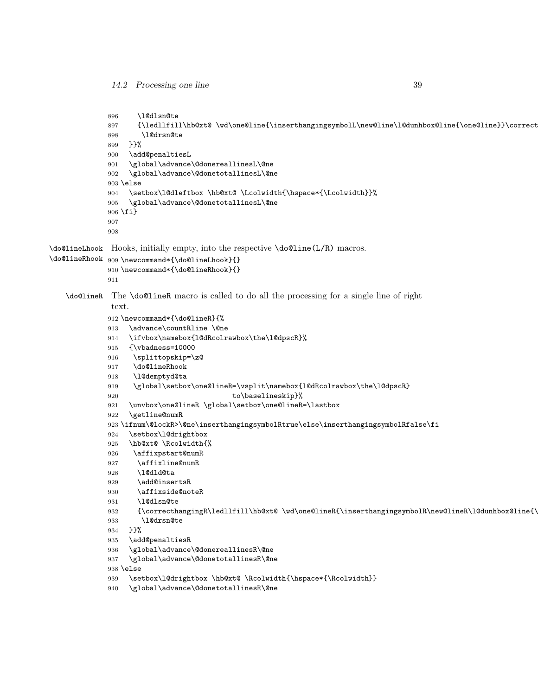```
896 \l@dlsn@te
             897 {\ledllfill\hb@xt@ \wd\one@line{\inserthangingsymbolL\new@line\l@dunhbox@line{\one@line}}\correct
             898 \l@drsn@te
             899 }}%
             900 \add@penaltiesL
             901 \global\advance\@donereallinesL\@ne
             902 \global\advance\@donetotallinesL\@ne
             903 \else
             904 \setbox\l@dleftbox \hb@xt@ \Lcolwidth{\hspace*{\Lcolwidth}}%
             905 \global\advance\@donetotallinesL\@ne
             906 \fi}
             907
             908
\do@lineLhook
Hooks, initially empty, into the respective \do@line(L/R) macros.
\do@lineRhook
909 \newcommand*{\do@lineLhook}{}
             910 \newcommand*{\do@lineRhook}{}
             911
   \do@lineR The \do@lineR macro is called to do all the processing for a single line of right
              text.
             912 \newcommand*{\do@lineR}{%
             913 \advance\countRline \@ne
             914 \ifvbox\namebox{l@dRcolrawbox\the\l@dpscR}%
             915 {\vbadness=10000
             916 \splittopskip=\z@
             917 \do@lineRhook
             918 \l@demptyd@ta
             919 \global\setbox\one@lineR=\vsplit\namebox{l@dRcolrawbox\the\l@dpscR}
             920 to\baselineskip}%
             921 \unvbox\one@lineR \global\setbox\one@lineR=\lastbox
             922 \getline@numR
             923 \ifnum\@lockR>\@ne\inserthangingsymbolRtrue\else\inserthangingsymbolRfalse\fi
             924 \setbox\l@drightbox
             925 \hb@xt@ \Rcolwidth{%
             926 \affixpstart@numR
             927 \affixline@numR
             928 \l@dld@ta
             929 \add@insertsR
             930 \affixside@noteR
             931 \l@dlsn@te
             932 {\correcthangingR\ledllfill\hb@xt@ \wd\one@lineR{\inserthangingsymbolR\new@lineR\l@dunhbox@line{\
             933 \l@drsn@te
             934 }}%
             935 \add@penaltiesR
             936 \global\advance\@donereallinesR\@ne
             937 \global\advance\@donetotallinesR\@ne
             938 \else
             939 \setbox\l@drightbox \hb@xt@ \Rcolwidth{\hspace*{\Rcolwidth}}
             940 \global\advance\@donetotallinesR\@ne
```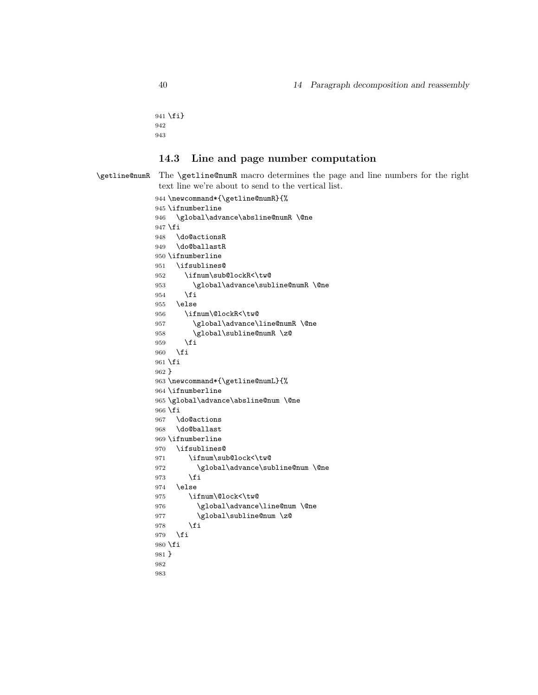```
941 \fi}
942
943
```
### 14.3 Line and page number computation

\getline@numR The \getline@numR macro determines the page and line numbers for the right text line we're about to send to the vertical list.

```
944 \newcommand*{\getline@numR}{%
945 \ifnumberline
946 \global\advance\absline@numR \@ne
947 \fi
948 \do@actionsR
949 \do@ballastR
950 \ifnumberline
951 \ifsublines@
952 \ifnum\sub@lockR<\tw@
953 \global\advance\subline@numR \@ne
954 \fi
955 \else
956 \ifnum\@lockR<\tw@
957 \global\advance\line@numR \@ne
958 \global\subline@numR \z@
959 \fi
960 \fi
961 \fi
962 }
963 \newcommand*{\getline@numL}{%
964 \ifnumberline
965 \global\advance\absline@num \@ne
966 \fi
967 \do@actions
968 \do@ballast
969 \ifnumberline
970 \ifsublines@
971 \ifnum\sub@lock<\tw@
972 \global\advance\subline@num \@ne
973 \fi
974 \else
975 \ifnum\@lock<\tw@
976 \global\advance\line@num \@ne
977 \global\subline@num \z@
978 \fi
979 \fi
980 \fi
981 }
982
983
```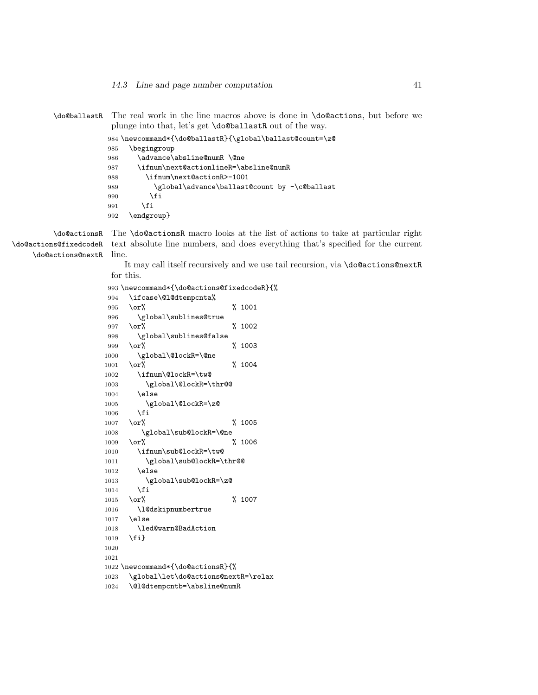\do@ballastR The real work in the line macros above is done in \do@actions, but before we plunge into that, let's get \do@ballastR out of the way.

```
984 \newcommand*{\do@ballastR}{\global\ballast@count=\z@
985 \begingroup
986 \advance\absline@numR \@ne
987 \ifnum\next@actionlineR=\absline@numR
988 \ifnum\next@actionR>-1001
989 \global\advance\ballast@count by -\c@ballast
990 \fi
991 \setminusfi
992 \endgroup}
```
\do@actions@nextR

\do@actionsR The \do@actionsR macro looks at the list of actions to take at particular right \do@actions@fixedcodeR text absolute line numbers, and does everything that's specified for the current line.

> It may call itself recursively and we use tail recursion, via \do@actions@nextR for this.

|      | 993 \newcommand*{\do@actions@fixedcodeR}{% |   |           |
|------|--------------------------------------------|---|-----------|
| 994  | \ifcase\@l@dtempcnta%                      |   |           |
| 995  | \or%                                       | ℀ | 1001      |
| 996  | \global\sublines@true                      |   |           |
| 997  | $\text{or}\%$                              | % | 1002      |
| 998  | \global\sublines@false                     |   |           |
| 999  | \or%                                       | ℀ | 1003      |
| 1000 | \global\@lockR=\@ne                        |   |           |
| 1001 | \or%                                       | ℀ | 1004      |
| 1002 | \ifnum\@lockR=\tw@                         |   |           |
| 1003 | \global\@lockR=\thr@@                      |   |           |
| 1004 | \else                                      |   |           |
| 1005 | \global\@lockR=\z@                         |   |           |
| 1006 | \fi                                        |   |           |
| 1007 | \or%                                       | % | 1005      |
| 1008 | \global\sub@lockR=\@ne                     |   |           |
| 1009 | \or%                                       | % | 1006      |
| 1010 | \ifnum\sub@lockR=\tw@                      |   |           |
| 1011 | \global\sub@lockR=\thr@@                   |   |           |
| 1012 | \else                                      |   |           |
| 1013 | \global\sub@lockR=\z@                      |   |           |
| 1014 | \fi                                        |   |           |
| 1015 | \or%                                       |   | $\%$ 1007 |
| 1016 | \l@dskipnumbertrue                         |   |           |
| 1017 | \else                                      |   |           |
| 1018 | \led@warn@BadAction                        |   |           |
| 1019 | \fi}                                       |   |           |
| 1020 |                                            |   |           |
| 1021 |                                            |   |           |
|      | 1022 \newcommand*{\do@actionsR}{%          |   |           |
| 1023 | \global\let\do@actions@nextR=\relax        |   |           |
| 1024 | \@l@dtempcntb=\absline@numR                |   |           |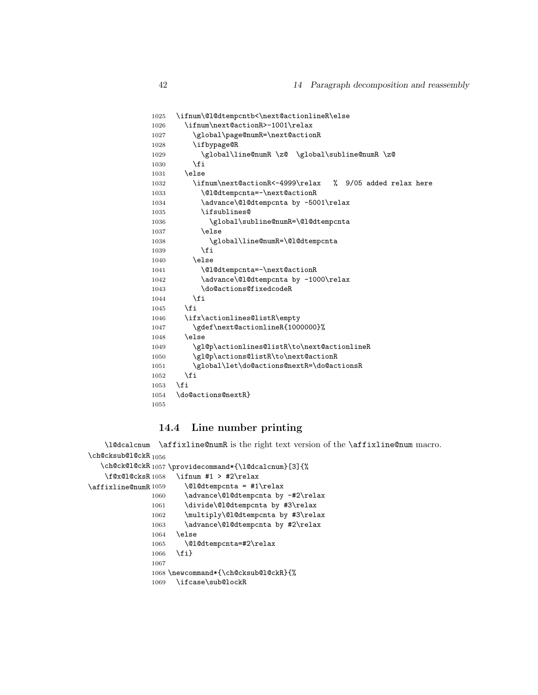```
1025 \ifnum\@l@dtempcntb<\next@actionlineR\else
1026 \ifnum\next@actionR>-1001\relax
1027 \global\page@numR=\next@actionR
1028 \ifbypage@R
1029 \global\line@numR \z@ \global\subline@numR \z@
1030 \overrightarrow{fi}1031 \else
1032 \ifnum\next@actionR<-4999\relax % 9/05 added relax here
1033 \\@l@dtempcnta=-\next@actionR
1034 \advance\@l@dtempcnta by -5001\relax
1035 \ifsublines@
1036 \global\subline@numR=\@l@dtempcnta
1037 \else
1038 \global\line@numR=\@l@dtempcnta
1039 \fi
1040 \else
1041 \@l@dtempcnta=-\next@actionR
1042 \advance\@l@dtempcnta by -1000\relax
1043 \do@actions@fixedcodeR
1044 \fi
1045 \fi
1046 \ifx\actionlines@listR\empty
1047 \gdef\next@actionlineR{1000000}%
1048 \else
1049 \gl@p\actionlines@listR\to\next@actionlineR
1050 \gl@p\actions@listR\to\next@actionR
1051 \global\let\do@actions@nextR=\do@actionsR
1052 \fi
1053 \fi
1054 \do@actions@nextR}
1055
```
#### 14.4 Line number printing

```
\l@dcalcnum
\backslashch@cksub@l@ckR _{1056}\ch@ck@l@ckR
1057 \providecommand*{\l@dcalcnum}[3]{%
    \f@x@l@cksR
\affixline@numR 1059\affixline@numR is the right text version of the \affixline@num macro.
                     \ifnum #1 > #2\relax
                       \Omegadtempcnta = #1\relax
               1060 \advance\@l@dtempcnta by -#2\relax
               1061 \divide\@l@dtempcnta by #3\relax
               1062 \multiply\@l@dtempcnta by #3\relax
               1063 \advance\@l@dtempcnta by #2\relax
               1064 \else
               1065 \@l@dtempcnta=#2\relax
               1066 \fi}
               1067
               1068 \newcommand*{\ch@cksub@l@ckR}{%
```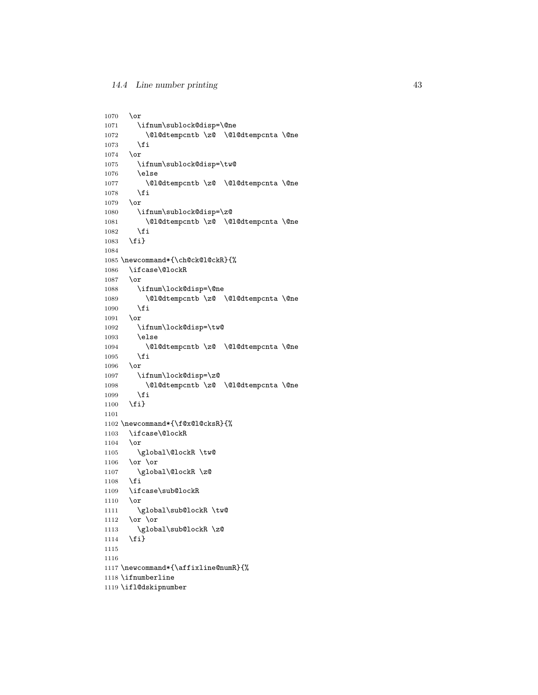```
1070 \or
1071 \ifnum\sublock@disp=\@ne
1072 \@1@dtempcntb \Z@ \Q1@dtempcnta \@ne1073 \fi
10731074 \or
1075 \ifnum\sublock@disp=\tw@
1076 \else
1077 \@l@dtempcntb \z@ \@l@dtempcnta \@ne
1078 \fi
1079 \or
1080 \ifnum\sublock@disp=\z@
1081 \@l@dtempcntb \z@ \@l@dtempcnta \@ne
1082 \overrightarrow{fi}1083 \fi}
1084
1085 \newcommand*{\ch@ck@l@ckR}{%
1086 \ifcase\@lockR
1087 \or
1088 \ifnum\lock@disp=\@ne
1089 \@l@dtempcntb \z@ \@l@dtempcnta \@ne
1090 \fi
1091 \or
1092 \ifnum\lock@disp=\tw@
1093 \else
1094 \@l@dtempcntb \z@ \@l@dtempcnta \@ne
1095 \fi
1096 \or
1097 \ifnum\lock@disp=\z@
1098 \@l@dtempcntb \z@ \@l@dtempcnta \@ne
1099 \fi
1100 \fi}
1101
1102 \newcommand*{\f@x@l@cksR}{%
1103 \ifcase\@lockR
1104 \or
1105 \global\@lockR \tw@
1106 \or \or1107 \global\@lockR \z@
1108 \overline{11}1109 \ifcase\sub@lockR
1110 \or
1111 \global\sub@lockR \tw@
1112 \or \or1113 \global\sub@lockR \z@
1114 \fi}
1115
1116
1117 \newcommand*{\affixline@numR}{%
1118 \ifnumberline
1119 \ifl@dskipnumber
```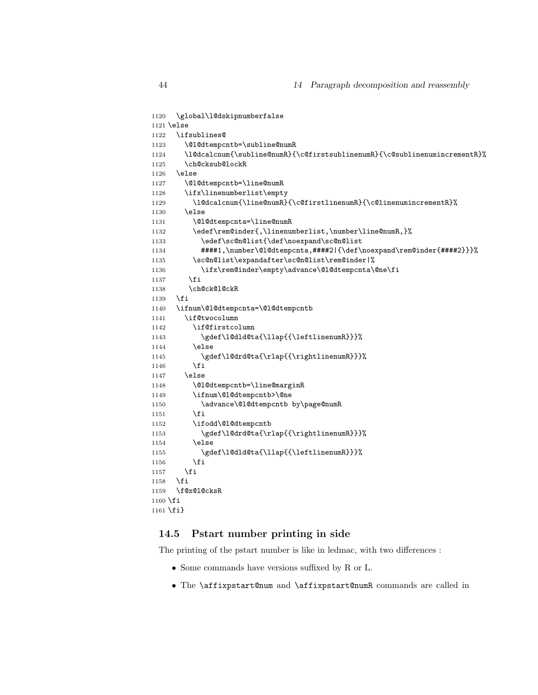```
1120 \global\l@dskipnumberfalse
1121 \else
1122 \ifsublines@
1123 \@l@dtempcntb=\subline@numR
1124 \l@dcalcnum{\subline@numR}{\c@firstsublinenumR}{\c@sublinenumincrementR}%
1125 \ch@cksub@lockR
1126 \else
1127 \@l@dtempcntb=\line@numR
1128 \ifx\linenumberlist\empty
1129 \l@dcalcnum{\line@numR}{\c@firstlinenumR}{\c@linenumincrementR}%
1130 \else
1131 \@l@dtempcnta=\line@numR
1132 \edef\rem@inder{,\linenumberlist,\number\line@numR,}%
1133 \edef\sc@n@list{\def\noexpand\sc@n@list
1134 ####1,\number\@l@dtempcnta,####2|{\def\noexpand\rem@inder{####2}}}%
1135 \sc@n@list\expandafter\sc@n@list\rem@inder|%
1136 \ifx\rem@inder\empty\advance\@l@dtempcnta\@ne\fi
1137 \fi
1138 \ch@ck@l@ckR
1139 \fi
1140 \ifnum\@l@dtempcnta=\@l@dtempcntb
1141 \if@twocolumn
1142 \if@firstcolumn
1143 \gdef\l@dld@ta{\llap{{\leftlinenumR}}}%
1144 \else
1145 \gdef\l@drd@ta{\rlap{{\rightlinenumR}}}%
1146 \overrightarrow{fi}1147 \else
1148 \@l@dtempcntb=\line@marginR
1149 \ifnum\@l@dtempcntb>\@ne
1150 \advance\@l@dtempcntb by\page@numR
1151 \overrightarrow{fi}1152 \ifodd\@l@dtempcntb
1153 \gdef\l@drd@ta{\rlap{{\rightlinenumR}}}%
1154 \else
1155 \gdef\l@dld@ta{\llap{{\leftlinenumR}}}%
1156 \setminusfi
1157 \fi
1158 \fi
1159 \f@x@l@cksR
1160 \fi
1161 \fi}
```
#### 14.5 Pstart number printing in side

The printing of the pstart number is like in ledmac, with two differences :

- Some commands have versions suffixed by R or L.
- The \affixpstart@num and \affixpstart@numR commands are called in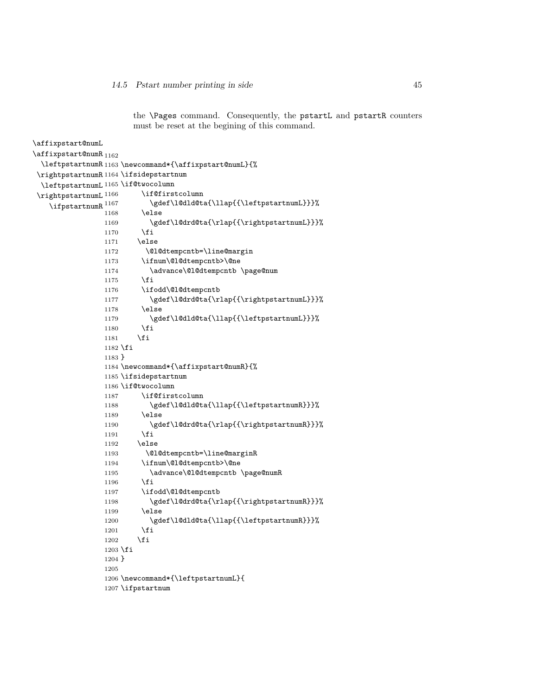the \Pages command. Consequently, the pstartL and pstartR counters must be reset at the begining of this command.

```
\affixpstart@numL
\lambdaaffixpstart@numR<sub>1162</sub>
  \leftpstartnumR
1163 \newcommand*{\affixpstart@numL}{%
 \rightpstartnumR
1164 \ifsidepstartnum
  \leftpstartnumL
1165 \if@twocolumn
\verb|\right|\verb|\ifpstartnumR|^{1167}\if@firstcolumn
                           \gdef\l@dld@ta{\llap{{\leftpstartnumL}}}%
                1168 \else
                1169 \gdef\l@drd@ta{\rlap{{\rightpstartnumL}}}%
                1170 \fi
                1171 \else
                1172 \@l@dtempcntb=\line@margin
                1173 \ifnum\@l@dtempcntb>\@ne
                1174 \advance\@l@dtempcntb \page@num
                1175 \fi
                1176 \ifodd\@l@dtempcntb
                1177 \gdef\l@drd@ta{\rlap{{\rightpstartnumL}}}}
                1178 \else
                1179 \gdef\l@dld@ta{\llap{{\leftpstartnumL}}}%
                1180 \fi
                1181 \fi
                1182 \fi
                1183 }
                1184 \newcommand*{\affixpstart@numR}{%
                1185 \ifsidepstartnum
                1186 \if@twocolumn
                1187 \if@firstcolumn
                1188 \gdef\l@dld@ta{\llap{{\leftpstartnumR}}}%
                1189 \else
                1190 \gdef\l@drd@ta{\rlap{{\rightpstartnumR}}}%
                1191 \overrightarrow{fi}1192 \else
                1193 \@l@dtempcntb=\line@marginR
                1194 \ifnum\@l@dtempcntb>\@ne
                1195 \advance\@l@dtempcntb \page@numR
                1196 \fi
                1197 \ifodd\@l@dtempcntb
                1198 \gdef\l@drd@ta{\rlap{{\rightpstartnumR}}}%
                1199 \else
                1200 \gdef\l@dld@ta{\llap{{\leftpstartnumR}}}%
                1201 \overrightarrow{fi}1202 \fi
                1203 \fi
                1204 }
                1205
                1206 \newcommand*{\leftpstartnumL}{
                1207 \ifpstartnum
```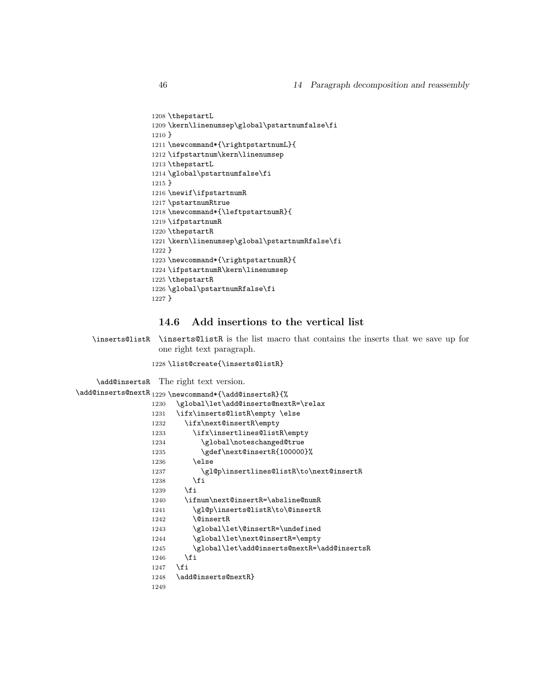```
1208 \thepstartL
1209 \kern\linenumsep\global\pstartnumfalse\fi
1210 }
1211 \newcommand*{\rightpstartnumL}{
1212 \ifpstartnum\kern\linenumsep
1213 \thepstartL
1214 \global\pstartnumfalse\fi
1215 }
1216 \newif\ifpstartnumR
1217 \pstartnumRtrue
1218 \newcommand*{\leftpstartnumR}{
1219 \ifpstartnumR
1220 \thepstartR
1221 \kern\linenumsep\global\pstartnumRfalse\fi
1222 }
1223 \newcommand*{\rightpstartnumR}{
1224 \ifpstartnumR\kern\linenumsep
1225 \thepstartR
1226 \global\pstartnumRfalse\fi
1227 }
```
#### 14.6 Add insertions to the vertical list

\inserts@listR \inserts@listR is the list macro that contains the inserts that we save up for one right text paragraph.

\list@create{\inserts@listR}

\add@insertsR The right text version.

```
\add@inserts@nextR<sub>1229</sub>\newcommand*{\add@insertsR}{%
                1230 \global\let\add@inserts@nextR=\relax
                1231 \ifx\inserts@listR\empty \else
                1232 \ifx\next@insertR\empty
                1233 \ifx\insertlines@listR\empty
                1234 \global\noteschanged@true
                1235 \gdef\next@insertR{100000}%
                1236 \else
                1237 \gl@p\insertlines@listR\to\next@insertR
                1238 \fi
                1239 \fi
                1240 \ifnum\next@insertR=\absline@numR
                1241 \gl@p\inserts@listR\to\@insertR
                1242 \@insertR
                1243 \global\let\@insertR=\undefined
                1244 \global\let\next@insertR=\empty
                1245 \global\let\add@inserts@nextR=\add@insertsR
                1246 \overrightarrow{fi}1247 \fi
                1248 \add@inserts@nextR}
                1249
```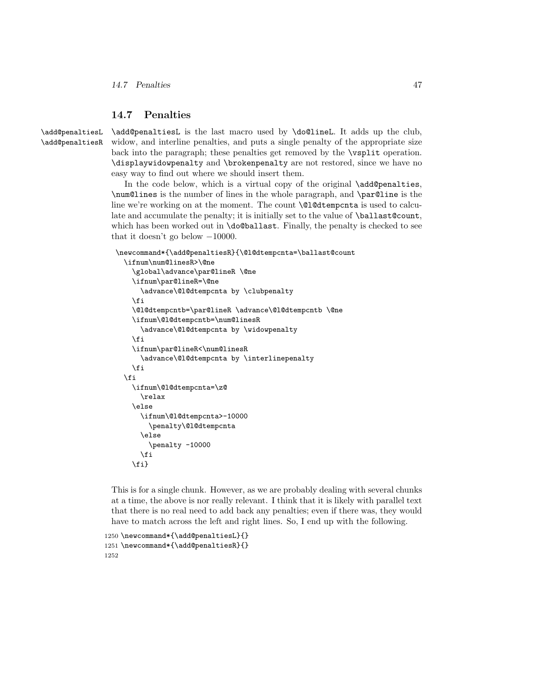#### 14.7 Penalties 47

#### 14.7 Penalties

\add@penaltiesL \add@penaltiesR \add@penaltiesL is the last macro used by \do@lineL. It adds up the club, widow, and interline penalties, and puts a single penalty of the appropriate size back into the paragraph; these penalties get removed by the \vsplit operation. \displaywidowpenalty and \brokenpenalty are not restored, since we have no easy way to find out where we should insert them.

In the code below, which is a virtual copy of the original \add@penalties, \num@lines is the number of lines in the whole paragraph, and \par@line is the line we're working on at the moment. The count **\@l@dtempcnta** is used to calculate and accumulate the penalty; it is initially set to the value of **\ballast@count**, which has been worked out in **\do@ballast**. Finally, the penalty is checked to see that it doesn't go below −10000.

```
\newcommand*{\add@penaltiesR}{\@l@dtempcnta=\ballast@count
  \ifnum\num@linesR>\@ne
    \global\advance\par@lineR \@ne
    \ifnum\par@lineR=\@ne
      \advance\@l@dtempcnta by \clubpenalty
    \fi
    \@l@dtempcntb=\par@lineR \advance\@l@dtempcntb \@ne
    \ifnum\@l@dtempcntb=\num@linesR
      \advance\@l@dtempcnta by \widowpenalty
    \fi
    \ifnum\par@lineR<\num@linesR
      \advance\@l@dtempcnta by \interlinepenalty
    \fi
  \fi
    \ifnum\@l@dtempcnta=\z@
      \relax
    \else
      \ifnum\@l@dtempcnta>-10000
        \penalty\@l@dtempcnta
      \else
        \penalty -10000
      \fi
    \fi}
```
This is for a single chunk. However, as we are probably dealing with several chunks at a time, the above is nor really relevant. I think that it is likely with parallel text that there is no real need to add back any penalties; even if there was, they would have to match across the left and right lines. So, I end up with the following.

```
1250 \newcommand*{\add@penaltiesL}{}
1251 \newcommand*{\add@penaltiesR}{}
1252
```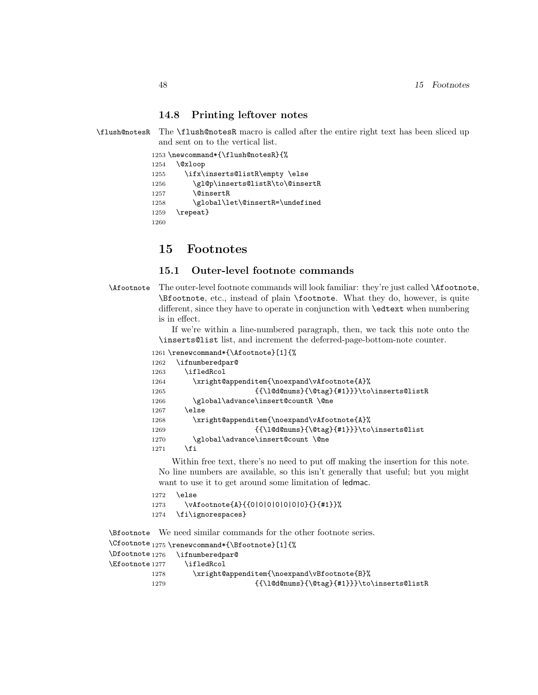#### 14.8 Printing leftover notes

\flush@notesR The \flush@notesR macro is called after the entire right text has been sliced up and sent on to the vertical list.

```
1253 \newcommand*{\flush@notesR}{%
1254 \@xloop
1255 \ifx\inserts@listR\empty \else
1256 \gl@p\inserts@listR\to\@insertR
1257 \@insertR
1258 \global\let\@insertR=\undefined
1259 \repeat}
1260
```
### 15 Footnotes

#### 15.1 Outer-level footnote commands

```
\Afootnote The outer-level footnote commands will look familiar: they're just called \Afootnote,
            \Bfootnote, etc., instead of plain \footnote. What they do, however, is quite
            different, since they have to operate in conjunction with \edtext when numbering
            is in effect.
```
If we're within a line-numbered paragraph, then, we tack this note onto the \inserts@list list, and increment the deferred-page-bottom-note counter.

```
1261 \renewcommand*{\Afootnote}[1]{%
```

```
1262 \ifnumberedpar@
1263 \ifledRcol
1264 \xright@appenditem{\noexpand\vAfootnote{A}%
1265 {{\l@d@nums}{\@tag}{#1}}}\to\inserts@listR
1266 \global\advance\insert@countR \@ne
1267 \else
1268 \xright@appenditem{\noexpand\vAfootnote{A}%
1269 {\{\ldots\}^{\theta}\t\} { {\l@d@nums}{\@tag}{#1}}}\to\inserts@list
1270 \global\advance\insert@count \@ne
1271 \fi
```
Within free text, there's no need to put off making the insertion for this note. No line numbers are available, so this isn't generally that useful; but you might want to use it to get around some limitation of ledmac.

```
1272 \else
1273 \vAfootnote{A}{{0|0|0|0|0|0|0}{}{#1}}%
1274 \fi\ignorespaces}
```
\Bfootnote We need similar commands for the other footnote series.

```
\Cfootnote _{1275} \renewcommand*{\Bfootnote}[1]{%
\Dfootnote<sub>1276</sub>
\Efootnote 1277
               \ifnumberedpar@
                 \ifledRcol
          1278 \xright@appenditem{\noexpand\vBfootnote{B}%
          1279 {\{\ldots\}^{\theta}\t\} \to\inserts@listR
```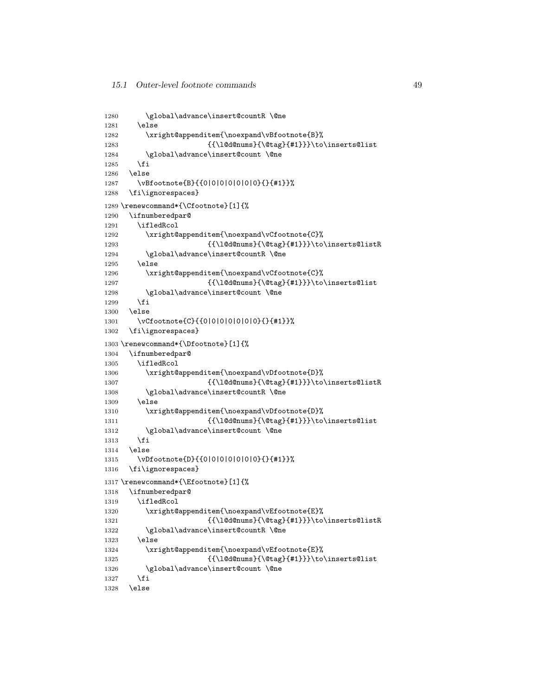```
1280 \global\advance\insert@countR \@ne
1281 \else
1282 \xright@appenditem{\noexpand\vBfootnote{B}%
1283 {\{\ldots\}^{\theta\}}\to \{\text{and}\}1284 \global\advance\insert@count \@ne
1285 \fi
1286 \else
1287 \vBfootnote{B}{{0|0|0|0|0|0|0}{}{#1}}%
1288 \fi\ignorespaces}
1289 \renewcommand*{\Cfootnote}[1]{%
1290 \ifnumberedpar@
1291 \ifledRcol
1292 \xright@appenditem{\noexpand\vCfootnote{C}%
1293 {{\l@d@nums}{\@tag}{#1}}}\to\inserts@listR
1294 \global\advance\insert@countR \@ne
1295 \else
1296 \xright@appenditem{\noexpand\vCfootnote{C}%
1297 {{\l@d@nums}{\@tag}{#1}}}\to\inserts@list
1298 \global\advance\insert@count \@ne
1299 \fi
1300 \else
1301 \vCfootnote{C}{{0|0|0|0|0|0|0}{}{#1}}%
1302 \fi\ignorespaces}
1303 \renewcommand*{\Dfootnote}[1]{%
1304 \ifnumberedpar@
1305 \ifledRcol
1306 \xright@appenditem{\noexpand\vDfootnote{D}%
1307 {{\l@d@nums}{\@tag}{#1}}}\to\inserts@listR
1308 \global\advance\insert@countR \@ne
1309 \else
1310 \xright@appenditem{\noexpand\vDfootnote{D}%
1311 {{\l@d@nums}{\@tag}{#1}}}\to\inserts@list
1312 \global\advance\insert@count \@ne
1313 \fi
1314 \else
1315 \vDfootnote{D}{{0|0|0|0|0|0|0}{}{#1}}%
1316 \fi\ignorespaces}
1317 \renewcommand*{\Efootnote}[1]{%
1318 \ifnumberedpar@
1319 \ifledRcol
1320 \xright@appenditem{\noexpand\vEfootnote{E}%
1321 {\{\ldots\}^{\theta}\t\} \to\inserts@listR
1322 \global\advance\insert@countR \@ne
1323 \else
1324 \xright@appenditem{\noexpand\vEfootnote{E}%
1325 {{\l@d@nums}{\@tag}{#1}}}\to\inserts@list
1326 \global\advance\insert@count \@ne
1327 \fi
1328 \else
```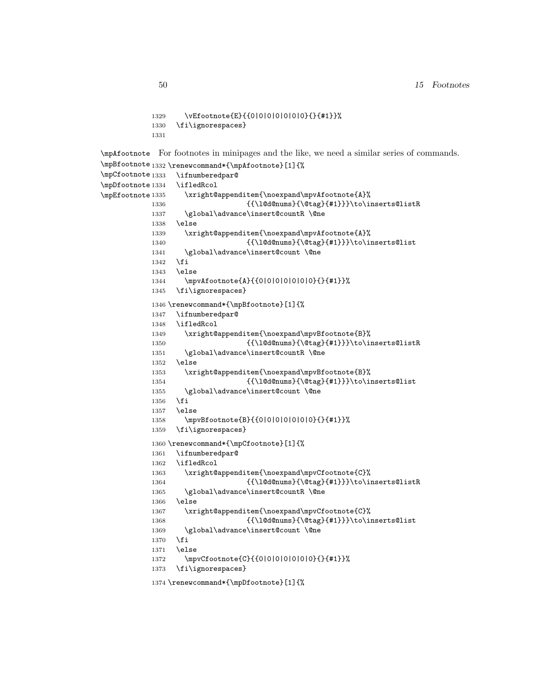```
1329 \vEfootnote{E}{{0|0|0|0|0|0|0}{}{#1}}%
           1330 \fi\ignorespaces}
           1331
\mpAfootnote
For footnotes in minipages and the like, we need a similar series of commands.
\mpBfootnote _{1332} \renewcommand*{\mpAfootnote}[1]{%
\mpCfootnote<sub>1333</sub>
\mpDfootnote 1334
\mpEfootnote 1335
                \ifnumberedpar@
                 \ifledRcol
                   \xright@appenditem{\noexpand\mpvAfootnote{A}%
           1336 {{\l@d@nums}{\@tag}{#1}}}\to\inserts@listR
           1337 \global\advance\insert@countR \@ne
           1338 \else
           1339 \xright@appenditem{\noexpand\mpvAfootnote{A}%
           1340 {\{\ldots\}}{\ldots} {\l@d@nums}{\@tag}{#1}}}\to\inserts@list
           1341 \global\advance\insert@count \@ne
           1342 \fi
           1343 \else
           1344 \mpvAfootnote{A}{{0|0|0|0|0|0|0}{}{#1}}%
           1345 \fi\ignorespaces}
           1346 \renewcommand*{\mpBfootnote}[1]{%
           1347 \ifnumberedpar@
           1348 \ifledRcol
           1349 \xright@appenditem{\noexpand\mpvBfootnote{B}%
           1350 {{\l@d@nums}{\@tag}{#1}}}\to\inserts@listR
           1351 \global\advance\insert@countR \@ne
           1352 \else
           1353 \xright@appenditem{\noexpand\mpvBfootnote{B}%
           1354 {{\l@d@nums}{\@tag}{#1}}}\to\inserts@list
           1355 \global\advance\insert@count \@ne
           1356 \fi
           1357 \else
           1358 \mpvBfootnote{B}{{0|0|0|0|0|0|0}{}{#1}}%
           1359 \fi\ignorespaces}
           1360 \renewcommand*{\mpCfootnote}[1]{%
           1361 \ifnumberedpar@
           1362 \ifledRcol
           1363 \xright@appenditem{\noexpand\mpvCfootnote{C}%
           1364 {{\l@d@nums}{\@tag}{#1}}}\to\inserts@listR
           1365 \global\advance\insert@countR \@ne
           1366 \else
           1367 \xright@appenditem{\noexpand\mpvCfootnote{C}%
           1368 {{\l@d@nums}{\@tag}{#1}}}\to\inserts@list
           1369 \global\advance\insert@count \@ne
           1370 \fi
           1371 \else
           1372 \mpvCfootnote{C}{{0|0|0|0|0|0|0}{}{#1}}%
           1373 \fi\ignorespaces}
           1374 \renewcommand*{\mpDfootnote}[1]{%
```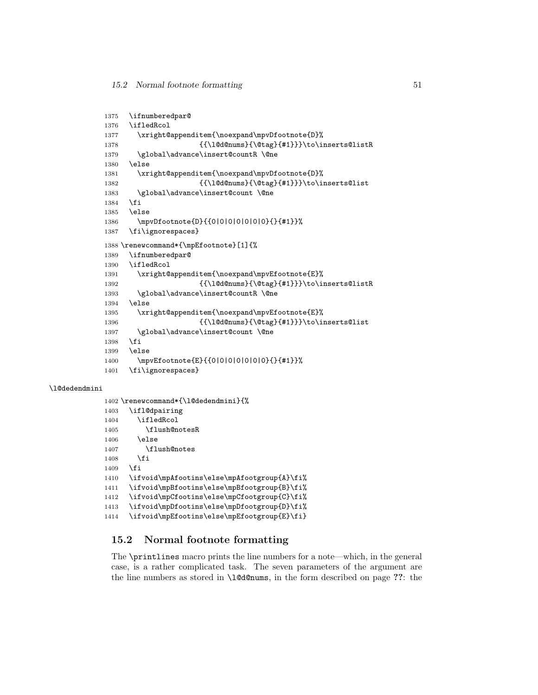```
1375 \ifnumberedpar@
1376 \ifledRcol
1377 \xright@appenditem{\noexpand\mpvDfootnote{D}%
1378 {{\l@d@nums}{\@tag}{#1}}}\to\inserts@listR
1379 \global\advance\insert@countR \@ne
1380 \else
1381 \xright@appenditem{\noexpand\mpvDfootnote{D}%
{\label{lem:main} $$1382 $$ \{\\l@d@nums}{\@tag{}#1}}\to\in\operatorname{Qlist}1383 \global\advance\insert@count \@ne
1384 \fi
1385 \else
1386 \mpvDfootnote{D}{{0|0|0|0|0|0|0}{}{#1}}%
1387 \fi\ignorespaces}
1388 \renewcommand*{\mpEfootnote}[1]{%
1389 \ifnumberedpar@
1390 \ifledRcol
1391 \xright@appenditem{\noexpand\mpvEfootnote{E}%
1392 {{\l@d@nums}{\@tag}{#1}}}\to\inserts@listR
1393 \global\advance\insert@countR \@ne
1394 \else
1395 \xright@appenditem{\noexpand\mpvEfootnote{E}%
1396 {{\l@d@nums}{\@tag}{#1}}}\to\inserts@list
1397 \global\advance\insert@count \@ne
1398 \fi
1399 \else
1400 \mpvEfootnote{E}{{0|0|0|0|0|0|0}{}{#1}}%
1401 \fi\ignorespaces}
```
#### \l@dedendmini

```
1402 \renewcommand*{\l@dedendmini}{%
1403 \ifl@dpairing
1404 \ifledRcol
1405 \flush@notesR
1406 \else
1407 \flush@notes
1408 \fi
1409 \fi
1410 \ifvoid\mpAfootins\else\mpAfootgroup{A}\fi%
1411 \ifvoid\mpBfootins\else\mpBfootgroup{B}\fi%
1412 \ifvoid\mpCfootins\else\mpCfootgroup{C}\fi%
1413 \ifvoid\mpDfootins\else\mpDfootgroup{D}\fi%
1414 \ifvoid\mpEfootins\else\mpEfootgroup{E}\fi}
```
### 15.2 Normal footnote formatting

The \printlines macro prints the line numbers for a note—which, in the general case, is a rather complicated task. The seven parameters of the argument are the line numbers as stored in \l@d@nums, in the form described on page ??: the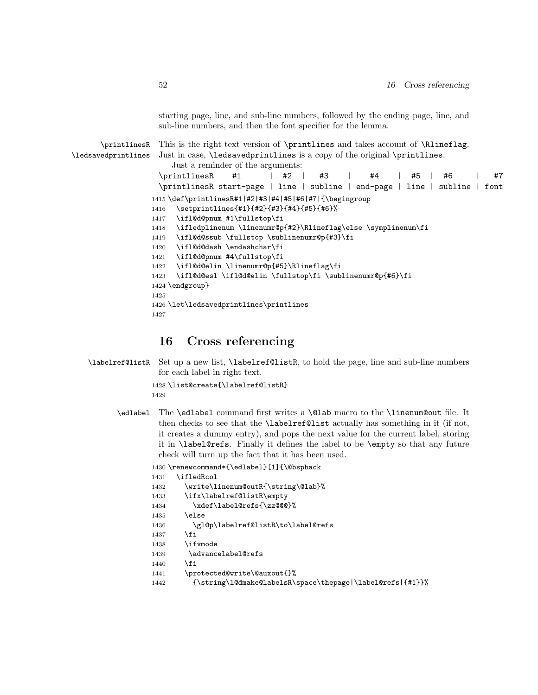starting page, line, and sub-line numbers, followed by the ending page, line, and sub-line numbers, and then the font specifier for the lemma.

\printlinesR \ledsavedprintlines This is the right text version of \printlines and takes account of \Rlineflag. Just in case, **\ledsavedprintlines** is a copy of the original **\printlines**. Just a reminder of the arguments: \printlinesR #1 | #2 | #3 | #4 | #5 | #6 | #7 \printlinesR start-page | line | subline | end-page | line | subline | font 1415 \def\printlinesR#1|#2|#3|#4|#5|#6|#7|{\begingroup 1416 \setprintlines{#1}{#2}{#3}{#4}{#5}{#6}% 1417 \ifl@d@pnum #1\fullstop\fi 1418 \ifledplinenum \linenumr@p{#2}\Rlineflag\else \symplinenum\fi 1419 \ifl@d@ssub \fullstop \sublinenumr@p{#3}\fi 1420 \ifl@d@dash \endashchar\fi 1421 \ifl@d@pnum #4\fullstop\fi 1422 \ifl@d@elin \linenumr@p{#5}\Rlineflag\fi 1423 \ifl@d@esl \ifl@d@elin \fullstop\fi \sublinenumr@p{#6}\fi 1424 \endgroup} 1425 1426 \let\ledsavedprintlines\printlines 1427

### 16 Cross referencing

\labelref@listR Set up a new list, \labelref@listR, to hold the page, line and sub-line numbers for each label in right text.

```
1428 \list@create{\labelref@listR}
1429
```
\edlabel The \edlabel command first writes a \@lab macro to the \linenum@out file. It then checks to see that the \labelref@list actually has something in it (if not, it creates a dummy entry), and pops the next value for the current label, storing it in \label@refs. Finally it defines the label to be \empty so that any future check will turn up the fact that it has been used.

1430 \renewcommand\*{\edlabel}[1]{\@bsphack

```
1431 \ifledRcol
1432 \write\linenum@outR{\string\@lab}%
1433 \ifx\labelref@listR\empty
1434 \xdef\label@refs{\zz@@@}%
1435 \else
1436 \gl@p\labelref@listR\to\label@refs
1437 \fi
1438 \ifvmode
1439 \advancelabel@refs
1440 \, \fi
1441 \protected@write\@auxout{}%
1442 {\string\l@dmake@labelsR\space\thepage|\label@refs|{#1}}%
```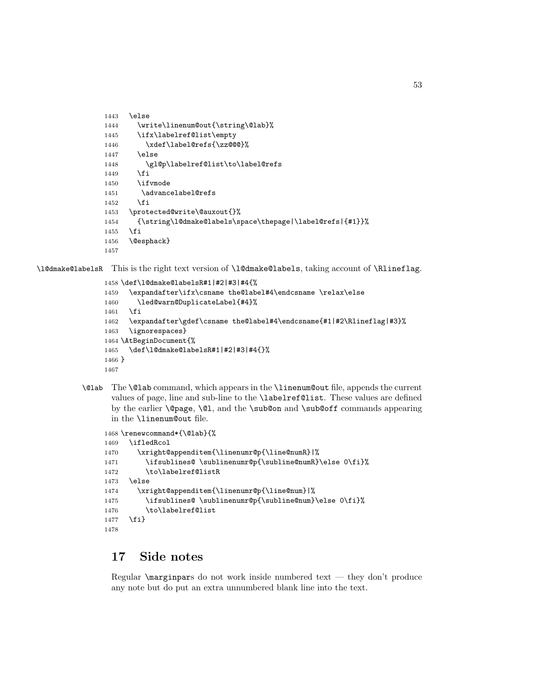```
1443 \else
1444 \write\linenum@out{\string\@lab}%
1445 \ifx\labelref@list\empty
1446 \xdef\label@refs{\zz@@@}%
1447 \else
1448 \gl@p\labelref@list\to\label@refs
1449 \fi
1450 \ifvmode
1451 \advancelabel@refs
1452 \fi
1453 \protected@write\@auxout{}%
1454 {\string\l@dmake@labels\space\thepage|\label@refs|{#1}}%
1455 \fi
1456 \@esphack}
1457
```
\l@dmake@labelsR This is the right text version of \l@dmake@labels, taking account of \Rlineflag.

```
1458 \def\l@dmake@labelsR#1|#2|#3|#4{%
1459 \expandafter\ifx\csname the@label#4\endcsname \relax\else
1460 \led@warn@DuplicateLabel{#4}%
1461 \fi
1462 \expandafter\gdef\csname the@label#4\endcsname{#1|#2\Rlineflag|#3}%
1463 \ignorespaces}
1464 \AtBeginDocument{%
1465 \def\l@dmake@labelsR#1|#2|#3|#4{}%
1466 }
1467
```
\@lab The \@lab command, which appears in the \linenum@out file, appends the current values of page, line and sub-line to the \labelref@list. These values are defined by the earlier **\@page**, **\@l**, and the **\sub@on** and **\sub@off** commands appearing in the \linenum@out file.

```
1468 \renewcommand*{\@lab}{%
1469 \ifledRcol
1470 \xright@appenditem{\linenumr@p{\line@numR}|%
1471 \ifsublines@ \sublinenumr@p{\subline@numR}\else 0\fi}%
1472 \to\labelref@listR
1473 \else
1474 \xright@appenditem{\linenumr@p{\line@num}|%
1475 \ifsublines@ \sublinenumr@p{\subline@num}\else 0\fi}%
1476 \to\labelref@list
1477 \fi}
1478
```
# 17 Side notes

Regular \marginpars do not work inside numbered text — they don't produce any note but do put an extra unnumbered blank line into the text.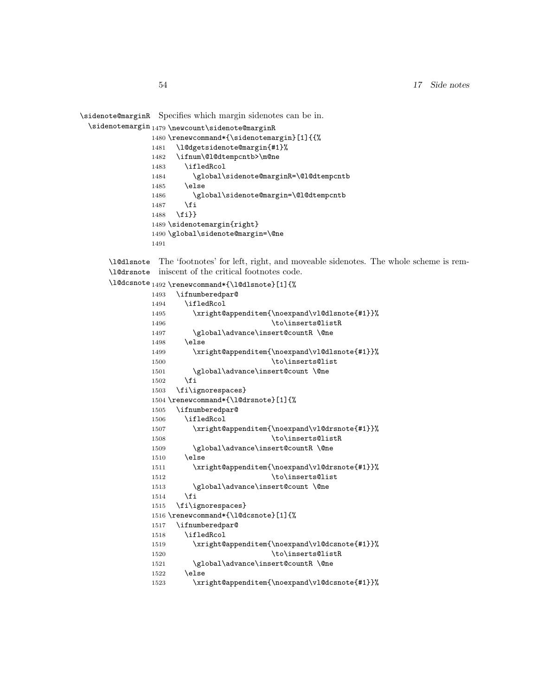\sidenote@marginR Specifies which margin sidenotes can be in.

```
\sidenotemargin<sub>1479</sub> \newcount\sidenote@marginR
```

```
1480 \renewcommand*{\sidenotemargin}[1]{{%
1481 \l@dgetsidenote@margin{#1}%
1482 \ifnum\@l@dtempcntb>\m@ne
1483 \ifledRcol
1484 \global\sidenote@marginR=\@l@dtempcntb
1485 \else
1486 \global\sidenote@margin=\@l@dtempcntb
1487 \fi
1488 \fi}}
1489 \sidenotemargin{right}
1490 \global\sidenote@margin=\@ne
1491
```
\l@dlsnote The 'footnotes' for left, right, and moveable sidenotes. The whole scheme is rem-\l@drsnote iniscent of the critical footnotes code.

\l@dcsnote 1492 \renewcommand\*{\l@dlsnote}[1]{%

| 1493 | \ifnumberedpar@                               |
|------|-----------------------------------------------|
| 1494 | \ifledRcol                                    |
| 1495 | \xright@appenditem{\noexpand\vl@dlsnote{#1}}% |
| 1496 | \to\inserts@listR                             |
| 1497 | \global\advance\insert@countR\@ne             |
| 1498 | \else                                         |
| 1499 | \xright@appenditem{\noexpand\vl@dlsnote{#1}}% |
| 1500 | \to\inserts@list                              |
| 1501 | \global\advance\insert@count \@ne             |
| 1502 | \fi                                           |
| 1503 | \fi\ignorespaces}                             |
|      | 1504 \renewcommand*{\l@drsnote}[1]{%          |
| 1505 | \ifnumberedpar@                               |
| 1506 | \ifledRcol                                    |
| 1507 | \xright@appenditem{\noexpand\vl@drsnote{#1}}% |
| 1508 | \to\inserts@listR                             |
| 1509 | \global\advance\insert@countR\@ne             |
| 1510 | \else                                         |
| 1511 | \xright@appenditem{\noexpand\vl@drsnote{#1}}% |
| 1512 | \to\inserts@list                              |
| 1513 | \global\advance\insert@count \@ne             |
| 1514 | \fi                                           |
| 1515 | \fi\ignorespaces}                             |
|      | 1516 \renewcommand*{\1@dcsnote}[1]{%          |
| 1517 | \ifnumberedpar@                               |
| 1518 | \ifledRcol                                    |
| 1519 | \xright@appenditem{\noexpand\vl@dcsnote{#1}}% |
| 1520 | \to\inserts@listR                             |
| 1521 | \global\advance\insert@countR \@ne            |
| 1522 | \else                                         |
| 1523 | \xright@appenditem{\noexpand\vl@dcsnote{#1}}% |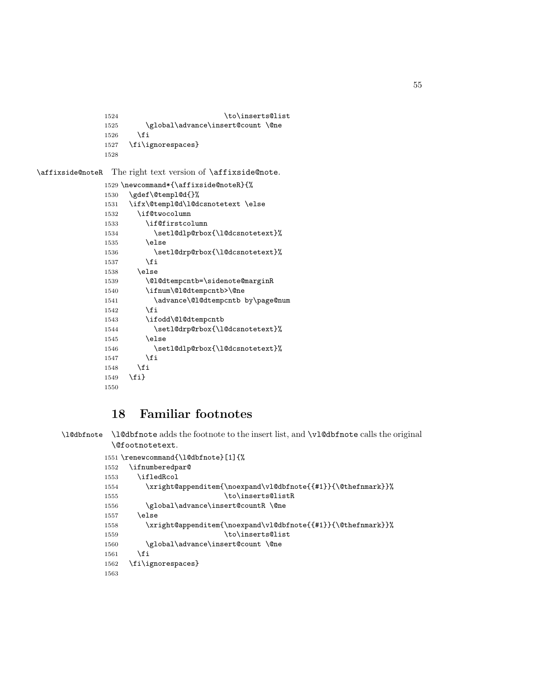```
1524 \to\inserts@list
1525 \global\advance\insert@count \@ne
1526 \fi
1527 \fi\ignorespaces}
1528
```
\affixside@noteR The right text version of \affixside@note.

```
1529 \newcommand*{\affixside@noteR}{%
1530 \gdef\@templ@d{}%
1531 \ifx\@templ@d\l@dcsnotetext \else
1532 \if@twocolumn
1533 \if@firstcolumn
1534 \setl@dlp@rbox{\l@dcsnotetext}%
1535 \else
1536 \setl@drp@rbox{\l@dcsnotetext}%
1537 \overrightarrow{fi}1538 \else
1539 \@l@dtempcntb=\sidenote@marginR
1540 \ifnum\@l@dtempcntb>\@ne
1541 \advance\@l@dtempcntb by\page@num
1542 \overrightarrow{fi}1543 \ifodd\@l@dtempcntb
1544 \setl@drp@rbox{\l@dcsnotetext}%
1545 \else
1546 \setl@dlp@rbox{\l@dcsnotetext}%
1547 \int fi
1548 \fi
1549 \fi}
1550
```
# 18 Familiar footnotes

```
\l@dbfnote \l@dbfnote adds the footnote to the insert list, and \vl@dbfnote calls the original
            \@footnotetext.
```

```
1551 \renewcommand{\l@dbfnote}[1]{%
1552 \ifnumberedpar@
1553 \ifledRcol
1554 \xright@appenditem{\noexpand\vl@dbfnote{{#1}}{\@thefnmark}}%
1555 \to\inserts@listR
1556 \global\advance\insert@countR \@ne
1557 \else
1558 \xright@appenditem{\noexpand\vl@dbfnote{{#1}}{\@thefnmark}}%
1559 \to\inserts@list
1560 \global\advance\insert@count \@ne
1561 \fi
1562 \fi\ignorespaces}
1563
```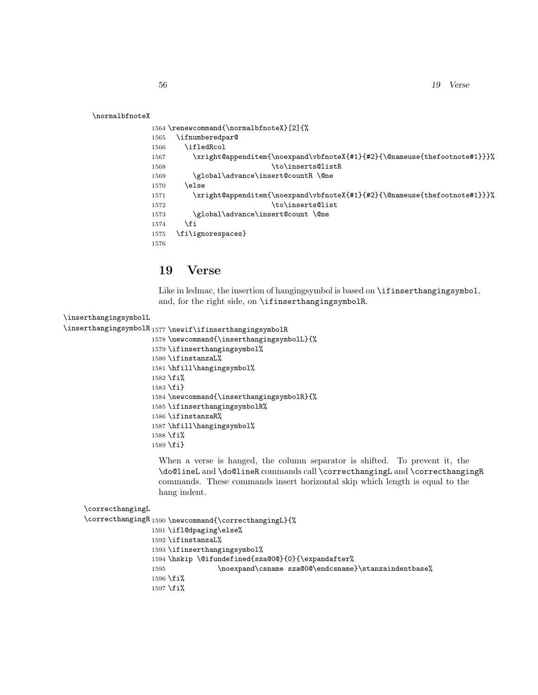\normalbfnoteX

```
1564 \renewcommand{\normalbfnoteX}[2]{%
1565 \ifnumberedpar@
1566 \ifledRcol
1567 \xright@appenditem{\noexpand\vbfnoteX{#1}{#2}{\@nameuse{thefootnote#1}}}%
1568 \to\inserts@listR
1569 \global\advance\insert@countR \@ne
1570 \else
1571 \xright@appenditem{\noexpand\vbfnoteX{#1}{#2}{\@nameuse{thefootnote#1}}}%
1572 \to\inserts@list
1573 \global\advance\insert@count \@ne
1574 \fi
1575 \fi\ignorespaces}
1576
```
# 19 Verse

Like in ledmac, the insertion of hangingsymbol is based on **\ifinserthangingsymbol**, and, for the right side, on \ifinserthangingsymbolR.

```
\inserthangingsymbolL
\inserthangingsymbolR 1577 \newif\ifinserthangingsymbolR
                      1578 \newcommand{\inserthangingsymbolL}{%
                      1579 \ifinserthangingsymbol%
                      1580 \ifinstanzaL%
                      1581 \hfill\hangingsymbol%
                      1582 \fi%
                      1583 \fi}
                      1584 \newcommand{\inserthangingsymbolR}{%
                      1585 \ifinserthangingsymbolR%
                      1586 \ifinstanzaR%
                      1587 \hfill\hangingsymbol%
                      1588 \fi%
```
\fi}

When a verse is hanged, the column separator is shifted. To prevent it, the \do@lineL and \do@lineR commands call \correcthangingL and \correcthangingR commands. These commands insert horizontal skip which length is equal to the hang indent.

```
\correcthangingL
\verb|\correcthangingR|1590 \newcommand{\correcthangingL}{\Lm}1591 \ifl@dpaging\else%
                  1592 \ifinstanzaL%
                  1593\left\{ \mathbf{ifinserthangingsymbol\% } \right\}1594 \hskip \@ifundefined{sza@0@}{0}{\expandafter%
                  1595 \noexpand\csname sza@0@\endcsname}\stanzaindentbase%
                  1596 \fi%
                  1597 \fi%
```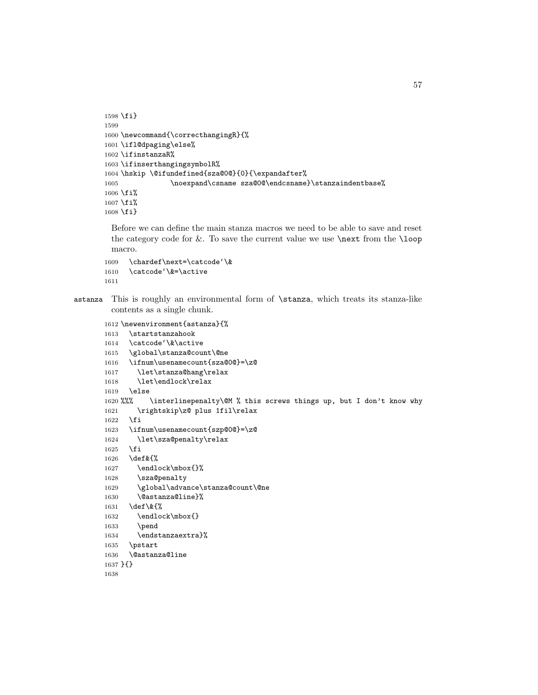```
1598 \fi}
1599
1600 \newcommand{\correcthangingR}{%
1601 \ifl@dpaging\else%
1602 \ifinstanzaR%
1603 \ifinserthangingsymbolR%
1604 \hskip \@ifundefined{sza@0@}{0}{\expandafter%
1605 \noexpand\csname sza@0@\endcsname}\stanzaindentbase%
1606 \fi%
1607 \fi%
1608 \fi}
```
Before we can define the main stanza macros we need to be able to save and reset the category code for  $\&$ . To save the current value we use  $\n\text{ from the } loop$ macro.

```
1609 \chardef\next=\catcode'\&
1610 \catcode'\&=\active
1611
```

```
astanza This is roughly an environmental form of \stanza, which treats its stanza-like
         contents as a single chunk.
```

```
1612 \newenvironment{astanza}{%
1613 \startstanzahook
1614 \catcode'\&\active
1615 \global\stanza@count\@ne
1616 \ifnum\usenamecount{sza@0@}=\z@
1617 \let\stanza@hang\relax
1618 \let\endlock\relax
1619 \else
1620 %%% \interlinepenalty\@M % this screws things up, but I don't know why
1621 \rightskip\z@ plus 1fil\relax
1622 \fi
1623 \ifnum\usenamecount{szp@0@}=\z@
1624 \let\sza@penalty\relax
1625 \fi
1626 \def&{%
1627 \endlock\mbox{}%
1628 \sza@penalty
1629 \global\advance\stanza@count\@ne
1630 \@astanza@line}%
1631 \def\&{%
1632 \endlock\mbox{}
1633 \pend
1634 \endstanzaextra}%
1635 \pstart
1636 \@astanza@line
1637 }{}
1638
```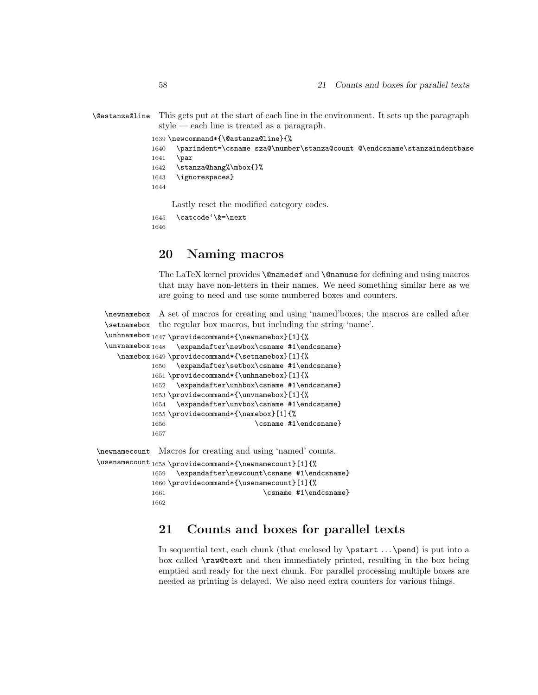```
\@astanza@line This gets put at the start of each line in the environment. It sets up the paragraph
                style — each line is treated as a paragraph.
               1639 \newcommand*{\@astanza@line}{%
               1640 \parindent=\csname sza@\number\stanza@count @\endcsname\stanzaindentbase
               1641 \par
               1642 \stanza@hang%\mbox{}%
               1643 \ignorespaces}
              1644
                    Lastly reset the modified category codes.
               1645 \catcode'\&=\next
```
# 20 Naming macros

The LaTeX kernel provides **\@namedef** and **\@namuse** for defining and using macros that may have non-letters in their names. We need something similar here as we are going to need and use some numbered boxes and counters.

\newnamebox \setnamebox A set of macros for creating and using 'named'boxes; the macros are called after the regular box macros, but including the string 'name'.

```
\unhnamebox 1647 \providecommand*{\newnamebox}[1]{%
 \unvnamebox 1648\namebox
1649 \providecommand*{\setnamebox}[1]{%
                  \expandafter\newbox\csname #1\endcsname}
             1650 \expandafter\setbox\csname #1\endcsname}
             1651 \providecommand*{\unhnamebox}[1]{%
             1652 \expandafter\unhbox\csname #1\endcsname}
             1653 \providecommand*{\unvnamebox}[1]{%
             1654 \expandafter\unvbox\csname #1\endcsname}
             1655 \providecommand*{\namebox}[1]{%
             1656 \csname #1\endcsname}
             1657
\newnamecount
Macros for creating and using 'named' counts.
\usenamecount
1658 \providecommand*{\newnamecount}[1]{%
             1659 \expandafter\newcount\csname #1\endcsname}
             1660 \providecommand*{\usenamecount}[1]{%
```

```
1661 \csname #1\endcsname}
```
# 21 Counts and boxes for parallel texts

In sequential text, each chunk (that enclosed by \pstart . . . \pend) is put into a box called \raw@text and then immediately printed, resulting in the box being emptied and ready for the next chunk. For parallel processing multiple boxes are needed as printing is delayed. We also need extra counters for various things.

1646

1662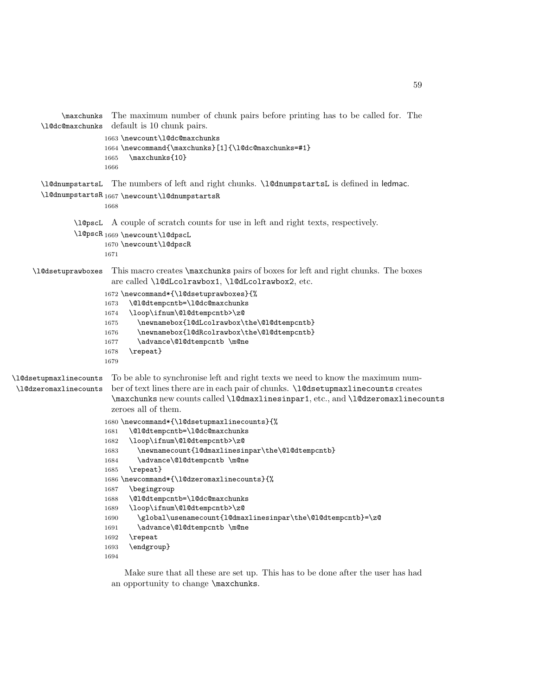```
\maxchunks
The maximum number of chunk pairs before printing has to be called for. The
       \l@dc@maxchunks
default is 10 chunk pairs.
                      1663 \newcount\l@dc@maxchunks
                      1664 \newcommand{\maxchunks}[1]{\l@dc@maxchunks=#1}
                      1665 \maxchunks{10}
                      1666
       \l@dnumpstartsL
The numbers of left and right chunks. \l@dnumpstartsL is defined in ledmac.
       \l@dnumpstartsR<sub>1667</sub> \newcount\l@dnumpstartsR
                      1668
               \l@pscL
A couple of scratch counts for use in left and right texts, respectively.
               \l@pscR
1669 \newcount\l@dpscL
                      1670 \newcount\l@dpscR
                      1671
     \l@dsetuprawboxes This macro creates \maxchunks pairs of boxes for left and right chunks. The boxes
                        are called \l@dLcolrawbox1, \l@dLcolrawbox2, etc.
                      1672 \newcommand*{\l@dsetuprawboxes}{%
                      1673 \@l@dtempcntb=\l@dc@maxchunks
                      1674 \loop\ifnum\@l@dtempcntb>\z@
                      1675 \newnamebox{l@dLcolrawbox\the\@l@dtempcntb}
                      1676 \newnamebox{l@dRcolrawbox\the\@l@dtempcntb}
                      1677 \advance\@l@dtempcntb \m@ne
                      1678 \repeat}
                      1679
\l@dsetupmaxlinecounts
\l@dzeromaxlinecounts
                        To be able to synchronise left and right texts we need to know the maximum num-
                       ber of text lines there are in each pair of chunks. \l@dsetupmaxlinecounts creates
                        \maxchunks new counts called \l@dmaxlinesinpar1, etc., and \l@dzeromaxlinecounts
                        zeroes all of them.
                      1680 \newcommand*{\l@dsetupmaxlinecounts}{%
                      1681 \@l@dtempcntb=\l@dc@maxchunks
                      1682 \loop\ifnum\@l@dtempcntb>\z@
                      1683 \newnamecount{l@dmaxlinesinpar\the\@l@dtempcntb}
                      1684 \advance\@l@dtempcntb \m@ne
                      1685 \repeat}
                      1686 \newcommand*{\l@dzeromaxlinecounts}{%
                      1687 \begingroup
                      1688 \@l@dtempcntb=\l@dc@maxchunks
                      1689 \loop\ifnum\@l@dtempcntb>\z@
                      1690 \global\usenamecount{l@dmaxlinesinpar\the\@l@dtempcntb}=\z@
                      1691 \advance\@l@dtempcntb \m@ne
                      1692 \repeat
                      1693 \endgroup}
                      1694
```
Make sure that all these are set up. This has to be done after the user has had an opportunity to change \maxchunks.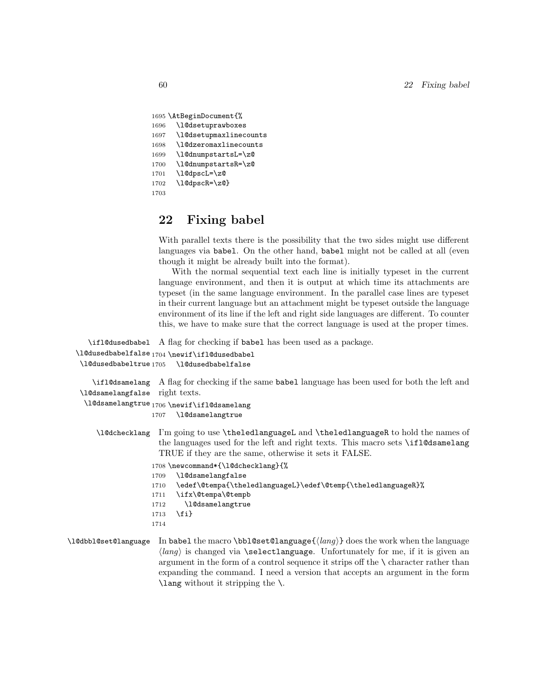```
1695 \AtBeginDocument{%
1696 \l@dsetuprawboxes
1697 \l@dsetupmaxlinecounts
1698 \l@dzeromaxlinecounts
1699 \l@dnumpstartsL=\z@
1700 \l@dnumpstartsR=\z@
1701 \l@dpscL=\z@
1702 \1@dpscR=\z@}
1703
```
# 22 Fixing babel

With parallel texts there is the possibility that the two sides might use different languages via babel. On the other hand, babel might not be called at all (even though it might be already built into the format).

With the normal sequential text each line is initially typeset in the current language environment, and then it is output at which time its attachments are typeset (in the same language environment. In the parallel case lines are typeset in their current language but an attachment might be typeset outside the language environment of its line if the left and right side languages are different. To counter this, we have to make sure that the correct language is used at the proper times.

```
\ifl@dusedbabel
A flag for checking if babel has been used as a package.
\l@dusedbabelfalse
1704 \newif\ifl@dusedbabel
 \l@dusedbabeltrue
1705 \l@dusedbabelfalse
    \ifl@dsamelang
A flag for checking if the same babel language has been used for both the left and
 \l@dsamelangfalse
right texts.
  \l@dsamelangtrue
1706 \newif\ifl@dsamelang
                  1707 \l@dsamelangtrue
    \l@dchecklang I'm going to use \theledlanguageL and \theledlanguageR to hold the names of
                    the languages used for the left and right texts. This macro sets \ifl@dsamelang
                    TRUE if they are the same, otherwise it sets it FALSE.
                  1708 \newcommand*{\l@dchecklang}{%
                  1709 \l@dsamelangfalse
                  1710 \edef\@tempa{\theledlanguageL}\edef\@temp{\theledlanguageR}%
                  1711 \ifx\@tempa\@tempb
                  1712 \l@dsamelangtrue
                  1713 \fi}
```

```
1714
```
\l@dbbl@set@language In babel the macro \bbl@set@language ${\langle \, \text{lang} \rangle}$  does the work when the language  $\langle lang \rangle$  is changed via \selectlanguage. Unfortunately for me, if it is given an argument in the form of a control sequence it strips off the \ character rather than expanding the command. I need a version that accepts an argument in the form \lang without it stripping the \.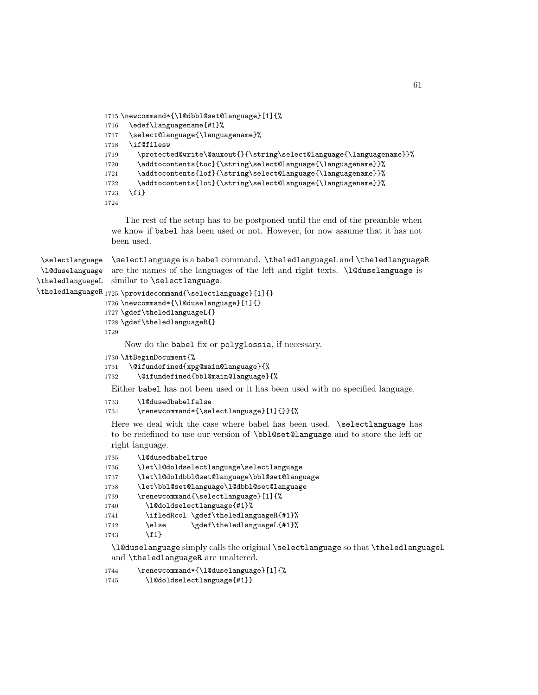```
1715 \newcommand*{\l@dbbl@set@language}[1]{%
1716 \edef\languagename{#1}%
1717 \select@language{\languagename}%
1718 \if@filesw
1719 \protected@write\@auxout{}{\string\select@language{\languagename}}%
1720 \addtocontents{toc}{\string\select@language{\languagename}}%
1721 \addtocontents{lof}{\string\select@language{\languagename}}%
1722 \addtocontents{lot}{\string\select@language{\languagename}}%
1723 \fi}
1724
```
The rest of the setup has to be postponed until the end of the preamble when we know if babel has been used or not. However, for now assume that it has not been used.

```
\selectlanguage
\l@duselanguage
\theledlanguageL
similar to \selectlanguage.
                 \selectlanguage is a babel command. \theledlanguageL and \theledlanguageR
                 are the names of the languages of the left and right texts. \l@duselanguage is
```

```
\theledlanguageR<sub>1725</sub> \providecommand{\selectlanguage}[1]{}
```

```
1726 \newcommand*{\l@duselanguage}[1]{}
```

```
1727 \gdef\theledlanguageL{}
```

```
1728 \gdef\theledlanguageR{}
```

```
1729
```
Now do the babel fix or polyglossia, if necessary.

```
1730 \AtBeginDocument{%
```

```
1731 \@ifundefined{xpg@main@language}{%
```

```
1732 \@ifundefined{bbl@main@language}{%
```
Either babel has not been used or it has been used with no specified language.

```
1733 \l@dusedbabelfalse
```

```
1734 \renewcommand*{\selectlanguage}[1]{}}{%
```
Here we deal with the case where babel has been used. \selectlanguage has to be redefined to use our version of \bbl@set@language and to store the left or right language.

```
1735 \l@dusedbabeltrue
1736 \let\l@doldselectlanguage\selectlanguage
1737 \let\l@doldbbl@set@language\bbl@set@language
1738 \let\bbl@set@language\l@dbbl@set@language
1739 \renewcommand{\selectlanguage}[1]{%
1740 \l@doldselectlanguage{#1}%
1741 \ifledRcol \gdef\theledlanguageR{#1}%
1742 \else \gdef\theledlanguageL{#1}%
1743 \fi}
```
\l@duselanguage simply calls the original \selectlanguage so that \theledlanguageL and \theledlanguageR are unaltered.

1744 \renewcommand\*{\l@duselanguage}[1]{% 1745 \l@doldselectlanguage{#1}}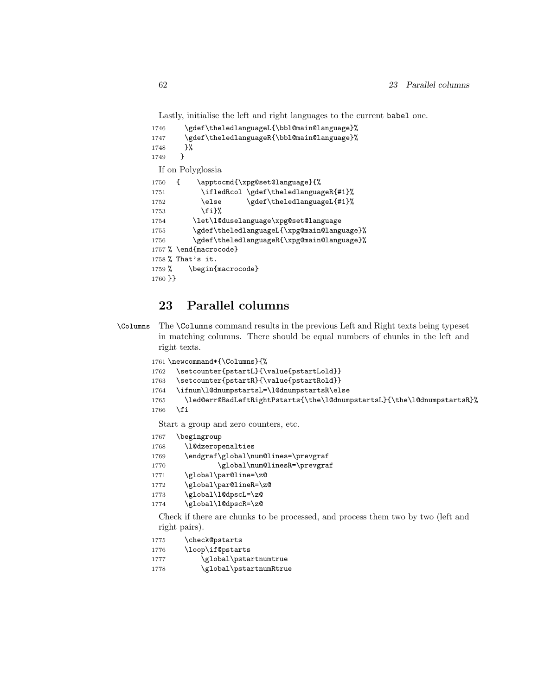Lastly, initialise the left and right languages to the current babel one.

```
1746 \gdef\theledlanguageL{\bbl@main@language}%
1747 \gdef\theledlanguageR{\bbl@main@language}%
1748 }%
1749 }
 If on Polyglossia
1750 { \apptocmd{\xpg@set@language}{%
1751 \ifledRcol \gdef\theledlanguageR{#1}%
1752 \else \gdef\theledlanguageL{#1}%
1753 \fi}%
1754 \let\l@duselanguage\xpg@set@language
1755 \gdef\theledlanguageL{\xpg@main@language}%
1756 \gdef\theledlanguageR{\xpg@main@language}%
1757 % \end{macrocode}
1758 % That's it.
1759 % \begin{macrocode}
1760 }}
```
# 23 Parallel columns

\Columns The \Columns command results in the previous Left and Right texts being typeset in matching columns. There should be equal numbers of chunks in the left and right texts.

```
1761 \newcommand*{\Columns}{%
```
- 1762 \setcounter{pstartL}{\value{pstartLold}}
- 1763 \setcounter{pstartR}{\value{pstartRold}}
- 1764 \ifnum\l@dnumpstartsL=\l@dnumpstartsR\else
- 1765 \led@err@BadLeftRightPstarts{\the\l@dnumpstartsL}{\the\l@dnumpstartsR}% 1766 \fi

Start a group and zero counters, etc.

- 1767 \begingroup
- 1768 \l@dzeropenalties
- 1769 \endgraf\global\num@lines=\prevgraf
- 1770 \global\num@linesR=\prevgraf
- 1771 \global\par@line=\z@
- 1772 \global\par@lineR=\z@
- 1773 \global\l@dpscL=\z@
- 1774 \global\l@dpscR=\z@

Check if there are chunks to be processed, and process them two by two (left and right pairs).

- 1775 \check@pstarts
- 1776 \loop\if@pstarts
- 1777 \global\pstartnumtrue
- 1778 \global\pstartnumRtrue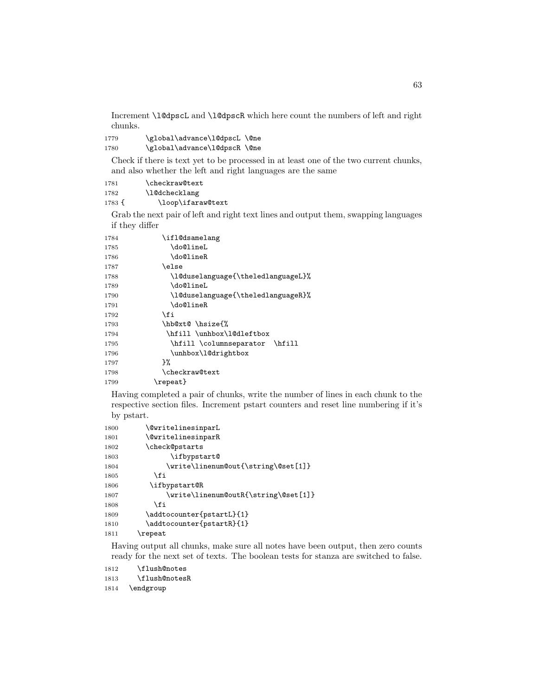Increment \l@dpscL and \l@dpscR which here count the numbers of left and right chunks.

1779 \global\advance\l@dpscL \@ne 1780 \global\advance\l@dpscR \@ne

Check if there is text yet to be processed in at least one of the two current chunks, and also whether the left and right languages are the same

| 1781   | \checkraw@text    |
|--------|-------------------|
| 1782   | \1@dchecklang     |
| 1783 f | \loop\ifaraw@text |

Grab the next pair of left and right text lines and output them, swapping languages if they differ

| 1784 | \if1@dsamelang                     |
|------|------------------------------------|
| 1785 | \do@lineL                          |
| 1786 | \do@lineR                          |
| 1787 | \else                              |
| 1788 | \l@duselanguage{\theledlanguageL}% |
| 1789 | \do@lineL                          |
| 1790 | \l@duselanguage{\theledlanguageR}% |
| 1791 | \do@lineR                          |
| 1792 | \fi                                |
| 1793 | \hb@xt@ \hsize{%                   |
| 1794 | \hfill \unhbox\l@dleftbox          |
| 1795 | \hfill \columnseparator \hfill     |
| 1796 | \unhbox\1@drightbox                |
| 1797 | ጉ%                                 |
| 1798 | \checkraw@text                     |
| 1799 | \repeat}                           |
|      |                                    |

Having completed a pair of chunks, write the number of lines in each chunk to the respective section files. Increment pstart counters and reset line numbering if it's by pstart.

| 1800 | \@writelinesinparL                   |
|------|--------------------------------------|
| 1801 | <b>\@writelinesinparR</b>            |
| 1802 | \check@pstarts                       |
| 1803 | \ifbypstart@                         |
| 1804 | \write\linenum@out{\string\@set[1]}  |
| 1805 | \fi                                  |
| 1806 | \ifbypstart@R                        |
| 1807 | \write\linenum@outR{\string\@set[1]} |
| 1808 | \fi                                  |
| 1809 | \addtocounter{pstartL}{1}            |
| 1810 | \addtocounter{pstartR}{1}            |
| 1811 | \repeat                              |

Having output all chunks, make sure all notes have been output, then zero counts ready for the next set of texts. The boolean tests for stanza are switched to false.

\flush@notes

\flush@notesR

\endgroup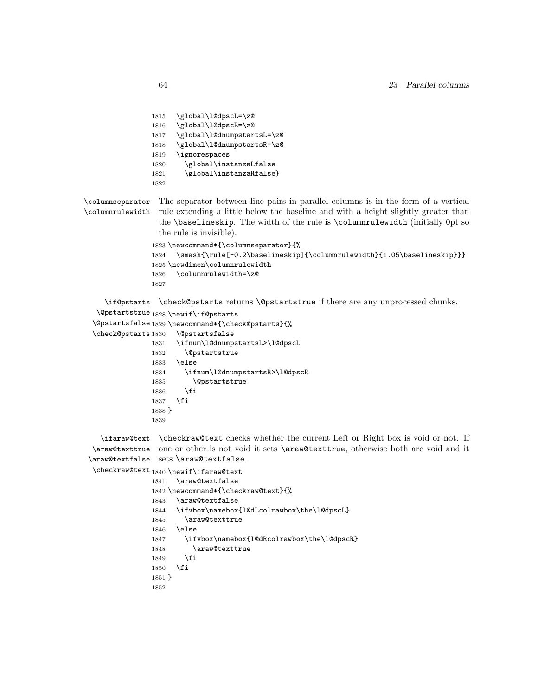```
1815 \global\l@dpscL=\z@
                1816 \global\l@dpscR=\z@
                1817 \global\l@dnumpstartsL=\z@
                1818 \global\l@dnumpstartsR=\z@
                1819 \ignorespaces
                1820 \global\instanzaLfalse
                1821 \global\instanzaRfalse}
                1822
\columnseparator
\columnrulewidth
rule extending a little below the baseline and with a height slightly greater than
                 The separator between line pairs in parallel columns is in the form of a vertical
                  the \baselineskip. The width of the rule is \columnrulewidth (initially 0pt so
                  the rule is invisible).
                1823 \newcommand*{\columnseparator}{%
                1824 \smash{\rule[-0.2\baselineskip]{\columnrulewidth}{1.05\baselineskip}}}
                1825 \newdimen\columnrulewidth
                1826 \columnrulewidth=\z@
                1827
     \if@pstarts
\check@pstarts returns \@pstartstrue if there are any unprocessed chunks.
   \@pstartstrue
1828 \newif\if@pstarts
  \@pstartsfalse
1829 \newcommand*{\check@pstarts}{%
  \check@pstarts 1830
                      \DiamondOpstartsfalse
                1831 \ifnum\l@dnumpstartsL>\l@dpscL
                1832 \@pstartstrue
                1833 \else
                1834 \ifnum\l@dnumpstartsR>\l@dpscR
                1835 \@pstartstrue
                1836 \fi
                1837 \fi
                1838 }
                1839
    \ifaraw@text
\checkraw@text checks whether the current Left or Right box is void or not. If
  \araw@texttrue
one or other is not void it sets \araw@texttrue, otherwise both are void and it
 \araw@textfalse
sets \araw@textfalse.
  \checkraw@text1840 \newif\ifaraw@textt1841 \araw@textfalse
                1842 \newcommand*{\checkraw@text}{%
                1843 \araw@textfalse
                1844 \ifvbox\namebox{l@dLcolrawbox\the\l@dpscL}
                1845 \araw@texttrue
                1846 \else
                1847 \ifvbox\namebox{l@dRcolrawbox\the\l@dpscR}
```
\araw@texttrue

 \fi \fi }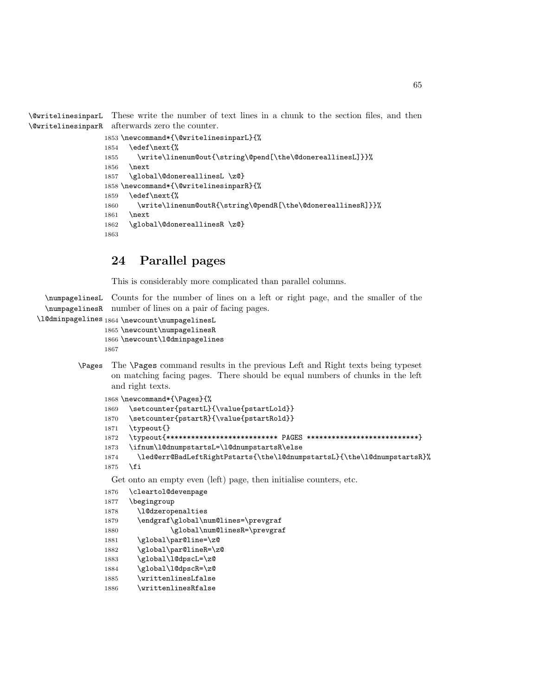\@writelinesinparL These write the number of text lines in a chunk to the section files, and then \@writelinesinparR afterwards zero the counter.

```
1853 \newcommand*{\@writelinesinparL}{%
1854 \edef\next{%
1855 \write\linenum@out{\string\@pend[\the\@donereallinesL]}}%
1856 \next
1857 \global\@donereallinesL \z@}
1858 \newcommand*{\@writelinesinparR}{%
1859 \edef\next{%
1860 \write\linenum@outR{\string\@pendR[\the\@donereallinesR]}}%
1861 \next
1862 \global\@donereallinesR \z@}
1863
```
# 24 Parallel pages

This is considerably more complicated than parallel columns.

```
\numpagelinesL
Counts for the number of lines on a left or right page, and the smaller of the
  \numpagelinesR
number of lines on a pair of facing pages.
\l@dminpagelines 1864 \newcount\numpagelinesL
                1865 \newcount\numpagelinesR
                1866 \newcount\l@dminpagelines
                1867
         \Pages The \Pages command results in the previous Left and Right texts being typeset
                  on matching facing pages. There should be equal numbers of chunks in the left
                  and right texts.
                1868 \newcommand*{\Pages}{%
                1869 \setcounter{pstartL}{\value{pstartLold}}
                1870 \setcounter{pstartR}{\value{pstartRold}}
                1871 \typeout{}
                1872 \typeout{*************************** PAGES ***************************}
                1873 \ifnum\l@dnumpstartsL=\l@dnumpstartsR\else
```
 \led@err@BadLeftRightPstarts{\the\l@dnumpstartsL}{\the\l@dnumpstartsR}% \fi

Get onto an empty even (left) page, then initialise counters, etc.

```
1876 \cleartol@devenpage
1877 \begingroup
1878 \l@dzeropenalties
1879 \endgraf\global\num@lines=\prevgraf
1880 \global\num@linesR=\prevgraf
1881 \global\par@line=\z@
1882 \global\par@lineR=\z@
1883 \global\l@dpscL=\z@
1884 \global\l@dpscR=\z@
1885 \writtenlinesLfalse
1886 \writtenlinesRfalse
```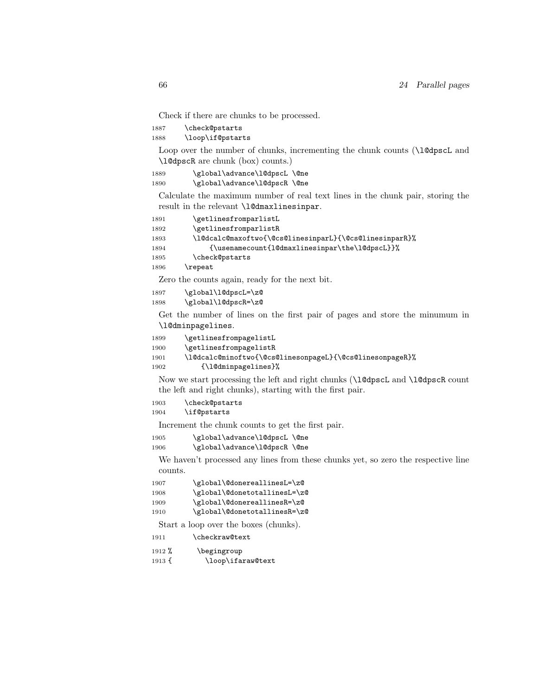Check if there are chunks to be processed.

1887 \check@pstarts

1888 \loop\if@pstarts

Loop over the number of chunks, incrementing the chunk counts (\l@dpscL and \l@dpscR are chunk (box) counts.)

1889 \global\advance\l@dpscL \@ne 1890 \global\advance\l@dpscR \@ne

Calculate the maximum number of real text lines in the chunk pair, storing the result in the relevant \l@dmaxlinesinpar.

```
1891 \getlinesfromparlistL
1892 \getlinesfromparlistR
1893 \l@dcalc@maxoftwo{\@cs@linesinparL}{\@cs@linesinparR}%
1894 {\usenamecount{l@dmaxlinesinpar\the\l@dpscL}}%
1895 \check@pstarts
1896 \repeat
```
Zero the counts again, ready for the next bit.

```
1897 \global\l@dpscL=\z@
1898 \global\l@dpscR=\z@
```
Get the number of lines on the first pair of pages and store the minumum in \l@dminpagelines.

| 1899 | \getlinesfrompagelistL                                   |
|------|----------------------------------------------------------|
| 1900 | \getlinesfrompagelistR                                   |
| 1901 | \l@dcalc@minoftwo{\@cs@linesonpageL}{\@cs@linesonpageR}% |
| 1902 | {\10dminpagelines}%                                      |

Now we start processing the left and right chunks (\l@dpscL and \l@dpscR count the left and right chunks), starting with the first pair.

```
1903 \check@pstarts
1904 \if@pstarts
```
Increment the chunk counts to get the first pair.

| 1905 | \global\advance\l@dpscL\@ne |  |
|------|-----------------------------|--|
| 1906 | \global\advance\l@dpscR\@ne |  |

We haven't processed any lines from these chunks yet, so zero the respective line counts.

| 1907 | \global\@donereallinesL=\z@  |
|------|------------------------------|
| 1908 | \global\@donetotallinesL=\z@ |
| 1909 | \global\@donereallinesR=\z@  |
| 1910 | \global\@donetotallinesR=\z@ |

Start a loop over the boxes (chunks).

1912 % \begingroup

1913 { \loop\ifaraw@text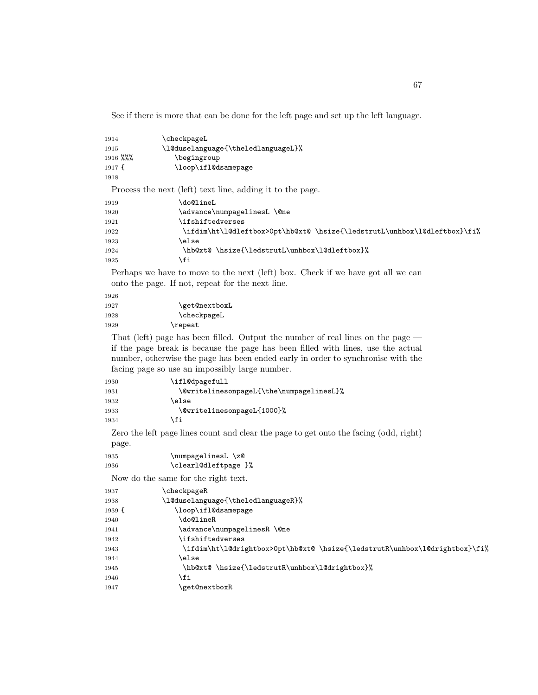See if there is more that can be done for the left page and set up the left language.

| 1914<br>1915<br>1916 %%%<br>1917f<br>1918 | \checkpageL<br>\l@duselanguage{\theledlanguageL}%<br>\begingroup<br>\loop\ifl@dsamepage |
|-------------------------------------------|-----------------------------------------------------------------------------------------|
|                                           | Process the next (left) text line, adding it to the page.                               |
| 1919                                      | \do@lineL                                                                               |
| 1920                                      | \advance\numpagelinesL \@ne                                                             |
| 1921                                      | \ifshiftedverses                                                                        |
| 1922                                      | \ifdim\ht\1@dleftbox>0pt\hb@xt@\hsize{\ledstrutL\unhbox\1@dleftbox}\fi%                 |
| 1923                                      | \else                                                                                   |
| 1924                                      | \hb@xt@\hsize{\ledstrutL\unhbox\l@dleftbox}%                                            |
| 1925                                      | \fi                                                                                     |

Perhaps we have to move to the next (left) box. Check if we have got all we can onto the page. If not, repeat for the next line.

| 1926 |               |
|------|---------------|
| 1927 | \get@nextboxL |
| 1928 | \checkpageL   |
| 1929 | \repeat       |

That (left) page has been filled. Output the number of real lines on the page if the page break is because the page has been filled with lines, use the actual number, otherwise the page has been ended early in order to synchronise with the facing page so use an impossibly large number.

| 1930 | \ifl@dpagefull                           |
|------|------------------------------------------|
| 1931 | \@writelinesonpageL{\the\numpagelinesL}% |
| 1932 | \else                                    |
| 1933 | \@writelinesonpageL{1000}%               |
| 1934 | \fi                                      |

Zero the left page lines count and clear the page to get onto the facing (odd, right) page.

| 1935 | \numpagelinesL \z@   |
|------|----------------------|
| 1936 | \clearl@dleftpage }% |

Now do the same for the right text.

| 1937   | <b>checkpageR</b>                                                          |
|--------|----------------------------------------------------------------------------|
| 1938   | \l@duselanguage{\theledlanguageR}%                                         |
| 1939 f | \loop\ifl@dsamepage                                                        |
| 1940   | \do@lineR                                                                  |
| 1941   | \advance\numpagelinesR \@ne                                                |
| 1942   | <i>ifshiftedverses</i>                                                     |
| 1943   | \ifdim\ht\l@drightbox>Opt\hb@xt@ \hsize{\ledstrutR\unhbox\l@drightbox}\fi% |
| 1944   | \else                                                                      |
| 1945   | \hb@xt@\hsize{\ledstrutR\unhbox\l@drightbox}%                              |
| 1946   | ∖fi                                                                        |
| 1947   | \get@nextboxR                                                              |
|        |                                                                            |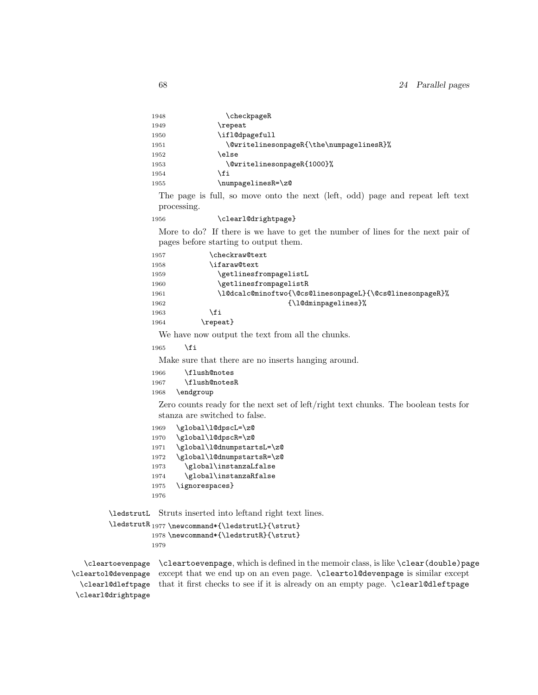| 1948 | \checkpageR                              |
|------|------------------------------------------|
| 1949 | \repeat                                  |
| 1950 | \ifl@dpagefull                           |
| 1951 | \@writelinesonpageR{\the\numpagelinesR}% |
| 1952 | \else                                    |
| 1953 | \@writelinesonpageR{1000}%               |
| 1954 | \fi                                      |
| 1955 | \numpagelinesR=\z@                       |

The page is full, so move onto the next (left, odd) page and repeat left text processing.

1956 \clearl@drightpage}

More to do? If there is we have to get the number of lines for the next pair of pages before starting to output them.

| 1957 | \checkraw@text                                           |
|------|----------------------------------------------------------|
| 1958 | \ifaraw@text                                             |
| 1959 | \getlinesfrompagelistL                                   |
| 1960 | \getlinesfrompagelistR                                   |
| 1961 | \1@dcalc@minoftwo{\@cs@linesonpageL}{\@cs@linesonpageR}% |
| 1962 | {\1@dminpagelines}%                                      |
| 1963 | \fi                                                      |
| 1964 | $\verb \repeat $                                         |

We have now output the text from all the chunks.

1965 \fi

Make sure that there are no inserts hanging around.

```
1966 \flush@notes
1967 \flush@notesR
```
1968 \endgroup

Zero counts ready for the next set of left/right text chunks. The boolean tests for stanza are switched to false.

```
1969 \global\l@dpscL=\z@
1970 \global\l@dpscR=\z@
1971 \global\l@dnumpstartsL=\z@
1972 \global\l@dnumpstartsR=\z@
1973 \global\instanzaLfalse
1974 \global\instanzaRfalse
1975 \ignorespaces}
1976
```
\ledstrutL Struts inserted into leftand right text lines.

```
\label{thm:main} \label{thm:main} \label{thm:main}1978 \newcommand*{\ledstrutR}{\strut}
          1979
```
\cleartoevenpage \cleartol@devenpage \clearl@dleftpage \clearl@drightpage

\cleartoevenpage, which is defined in the memoir class, is like \clear(double)page except that we end up on an even page. \cleartol@devenpage is similar except that it first checks to see if it is already on an empty page. \clearl@dleftpage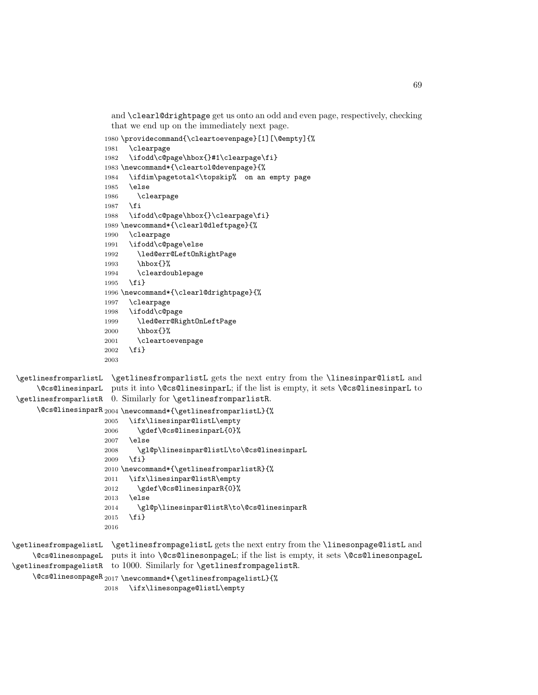and \clearl@drightpage get us onto an odd and even page, respectively, checking that we end up on the immediately next page.

```
1980 \providecommand{\cleartoevenpage}[1][\@empty]{%
1981 \clearpage
1982 \ifodd\c@page\hbox{}#1\clearpage\fi}
1983 \newcommand*{\cleartol@devenpage}{%
1984 \ifdim\pagetotal<\topskip% on an empty page
1985 \else
1986 \clearpage
1987 \fi
1988 \ifodd\c@page\hbox{}\clearpage\fi}
1989 \newcommand*{\clearl@dleftpage}{%
1990 \clearpage
1991 \ifodd\c@page\else
1992 \led@err@LeftOnRightPage
1993 \hbox{}%
1994 \cleardoublepage
1995 \fi}
1996 \newcommand*{\clearl@drightpage}{%
1997 \clearpage
1998 \ifodd\c@page
1999 \led@err@RightOnLeftPage
2000 \hbox{}%
2001 \cleartoevenpage
2002 \fi}
2003
```
\getlinesfromparlistL \@cs@linesinparL puts it into \@cs@linesinparL; if the list is empty, it sets \@cs@linesinparL to \getlinesfromparlistR 0. Similarly for \getlinesfromparlistR.  $\text{\texttt{}\%}$ \getlinesfromparlistL gets the next entry from the \linesinpar@listL and

```
2005 \ifx\linesinpar@listL\empty
2006 \gdef\@cs@linesinparL{0}%
2007 \else
2008 \gl@p\linesinpar@listL\to\@cs@linesinparL
2009 \fi}
2010 \newcommand*{\getlinesfromparlistR}{%
2011 \ifx\linesinpar@listR\empty
2012 \gdef\@cs@linesinparR{0}%
2013 \else
2014 \gl@p\linesinpar@listR\to\@cs@linesinparR
2015 \fi}
2016
```
\getlinesfrompagelistL \getlinesfrompagelistL gets the next entry from the \linesonpage@listL and \@cs@linesonpageL puts it into \@cs@linesonpageL; if the list is empty, it sets \@cs@linesonpageL \getlinesfrompagelistR to 1000. Similarly for \getlinesfrompagelistR. \@cs@linesonpageR 2017 \newcommand\*{\getlinesfrompagelistL}{%

\ifx\linesonpage@listL\empty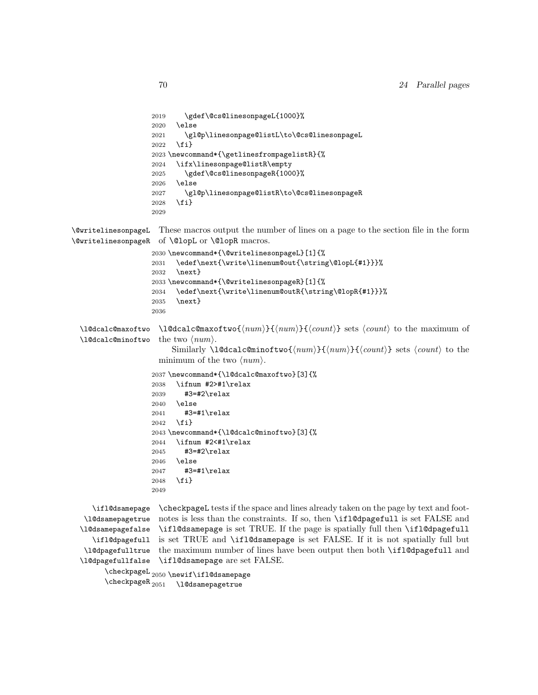```
2019 \gdef\@cs@linesonpageL{1000}%
2020 \else
2021 \gl@p\linesonpage@listL\to\@cs@linesonpageL
2022 \fi}
2023 \newcommand*{\getlinesfrompagelistR}{%
2024 \ifx\linesonpage@listR\empty
2025 \gdef\@cs@linesonpageR{1000}%
2026 \else
2027 \gl@p\linesonpage@listR\to\@cs@linesonpageR
2028 \fi}
2029
```
\@writelinesonpageL These macros output the number of lines on a page to the section file in the form \@writelinesonpageR of \@lopL or \@lopR macros.

```
2030 \newcommand*{\@writelinesonpageL}[1]{%
2031 \edef\next{\write\linenum@out{\string\@lopL{#1}}}%
2032 \next}
2033 \newcommand*{\@writelinesonpageR}[1]{%
2034 \edef\next{\write\linenum@outR{\string\@lopR{#1}}}%
2035 \next}
2036
```
\l@dcalc@maxoftwo \l@dcalc@minoftwo  $\ldots$  \l@dcalc@maxoftwo{ $\langle num \rangle$ }{ $\langle count \rangle$ } sets  $\langle count \rangle$  to the maximum of the two  $\langle num \rangle$ .

> Similarly \l@dcalc@minoftwo{ $\langle num \rangle$ }{ $\langle count \rangle$ } sets  $\langle count \rangle$  to the minimum of the two  $\langle num \rangle$ .

```
2037 \newcommand*{\l@dcalc@maxoftwo}[3]{%
2038 \ifnum #2>#1\relax
2039 #3=#2\relax
2040 \else
2041 #3=#1\relax
2042 \fi}
2043 \newcommand*{\l@dcalc@minoftwo}[3]{%
2044 \ifnum #2<#1\relax
2045 #3=#2\relax
2046 \else
2047 #3=#1\relax
2048 \fi}
2049
```

```
\ifl@dsamepage
 \l@dsamepagetrue
\l@dsamepagefalse
  \ifl@dpagefull
 \l@dpagefulltrue
\l@dpagefullfalse
                   \checkpageL tests if the space and lines already taken on the page by text and foot-
                   notes is less than the constraints. If so, then \ifl@dpagefull is set FALSE and
                   \ifl@dsamepage is set TRUE. If the page is spatially full then \ifl@dpagefull
                   is set TRUE and \ifl@dsamepage is set FALSE. If it is not spatially full but
                   the maximum number of lines have been output then both \ifl@dpagefull and
                   \ifl@dsamepage are set FALSE.
```
\checkpageL<sub>2050</sub>\newif\ifl@dsamepage  $\backslash$ checkpageR $_{2051}$ \l@dsamepagetrue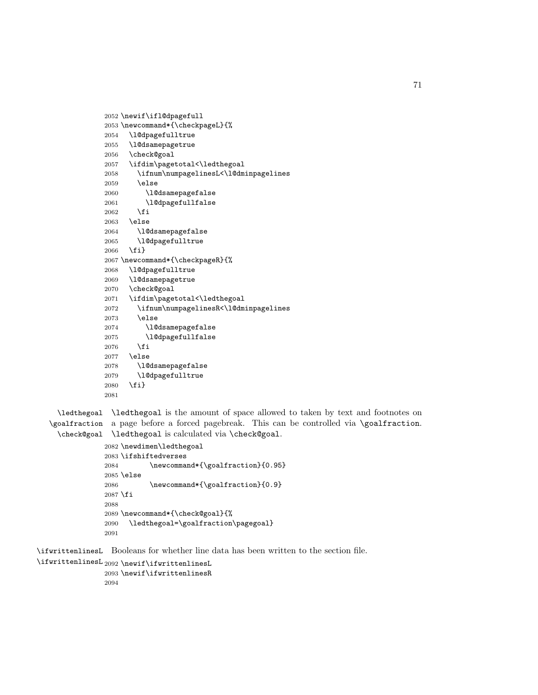```
2052 \newif\ifl@dpagefull
2053 \newcommand*{\checkpageL}{%
2054 \l@dpagefulltrue
2055 \l@dsamepagetrue
2056 \check@goal
2057 \ifdim\pagetotal<\ledthegoal
2058 \ifnum\numpagelinesL<\l@dminpagelines
2059 \else
2060 \l@dsamepagefalse
2061 \l@dpagefullfalse
2062 \setminusfi
2063 \else
2064 \l@dsamepagefalse
2065 \l@dpagefulltrue
2066 \fi}
2067 \newcommand*{\checkpageR}{%
2068 \l@dpagefulltrue
2069 \l@dsamepagetrue
2070 \check@goal
2071 \ifdim\pagetotal<\ledthegoal
2072 \ifnum\numpagelinesR<\l@dminpagelines
2073 \else
2074 \l@dsamepagefalse
2075 \l@dpagefullfalse
2076 \fi
2077 \else
2078 \l@dsamepagefalse
2079 \l@dpagefulltrue
2080 \fi}
2081
```
\ledthegoal \ledthegoal is the amount of space allowed to taken by text and footnotes on \goalfraction a page before a forced pagebreak. This can be controlled via \goalfraction. \check@goal \ledthegoal is calculated via \check@goal.

```
2082 \newdimen\ledthegoal
2083 \ifshiftedverses
2084 \newcommand*{\goalfraction}{0.95}
2085 \else
2086 \newcommand*{\goalfraction}{0.9}
2087 \fi
2088
2089 \newcommand*{\check@goal}{%
2090 \ledthegoal=\goalfraction\pagegoal}
2091
```
\ifwrittenlinesL Booleans for whether line data has been written to the section file.

```
\ifwrittenlinesL
2092 \newif\ifwrittenlinesL
                 2093 \newif\ifwrittenlinesR
                 2094
```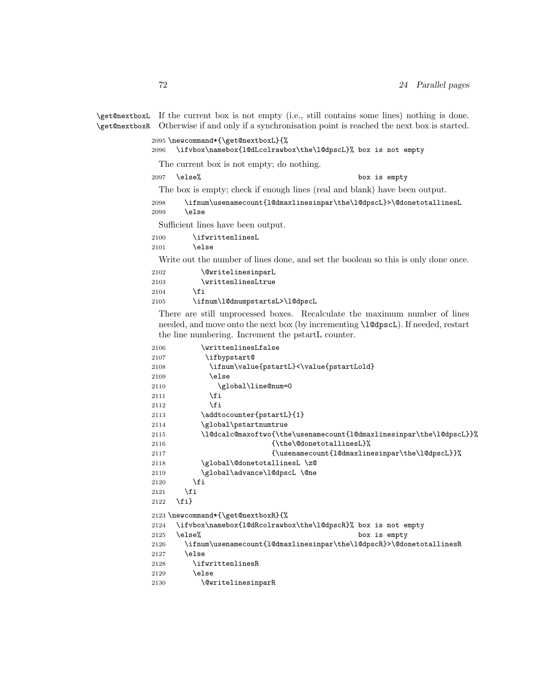\get@nextboxL \get@nextboxR Otherwise if and only if a synchronisation point is reached the next box is started. If the current box is not empty (i.e., still contains some lines) nothing is done.

```
2095 \newcommand*{\get@nextboxL}{%
2096 \ifvbox\namebox{l@dLcolrawbox\the\l@dpscL}% box is not empty
 The current box is not empty; do nothing.
2097 \else% box is empty
 The box is empty; check if enough lines (real and blank) have been output.
2098 \ifnum\usenamecount{l@dmaxlinesinpar\the\l@dpscL}>\@donetotallinesL
2099 \else
```
Sufficient lines have been output.

2100 \ifwrittenlinesL

2101 \else

Write out the number of lines done, and set the boolean so this is only done once.

| 2102 | <i><u><b>NewritelinesinparL</b></u></i> |
|------|-----------------------------------------|
| 2103 | \writtenlinesLtrue                      |
| 2104 | \fi                                     |
| 2105 | \ifnum\1@dnumpstartsL>\1                |

There are still unprocessed boxes. Recalculate the maximum number of lines needed, and move onto the next box (by incrementing \l@dpscL). If needed, restart the line numbering. Increment the pstartL counter.

0dpscL

```
2106 \writtenlinesLfalse
2107 \ifbypstart@
2108 \ifnum\value{pstartL}<\value{pstartLold}
2109 \else
2110 \global\line@num=0
2111 \fi
2112 \qquad \qquad \int f2113 \addtocounter{pstartL}{1}
2114 \global\pstartnumtrue
2115 \l@dcalc@maxoftwo{\the\usenamecount{l@dmaxlinesinpar\the\l@dpscL}}%
2116 {\theta\text{donetotallinesL}}2117 {\text!de{10}dmaxlinesinpar\the\10dpscl}}\2118 \global\@donetotallinesL \z@
2119 \global\advance\l@dpscL \@ne
2120 \setminusfi
2121 \fi
2122 \{f_i\}2123 \newcommand*{\get@nextboxR}{%
2124 \ifvbox\namebox{l@dRcolrawbox\the\l@dpscR}% box is not empty
2125 \else% box is empty
\label{lem:main} 2126 \ifnum\usenamecount{l@dmaxlinesinpar\the\l@dpscR}>\@donetotallinesR
2127 \else
2128 \ifwrittenlinesR
2129 \lambdaelse
2130 \@writelinesinparR
```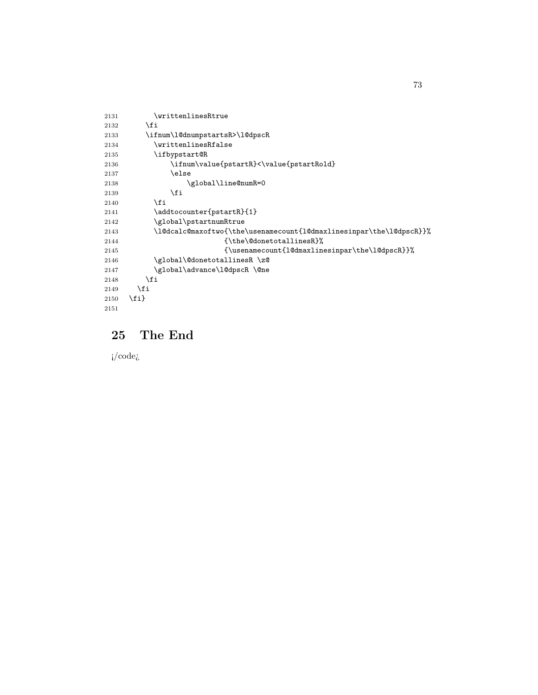```
2131 \writtenlinesRtrue
2132 \setminusfi
2133 \ifnum\l@dnumpstartsR>\l@dpscR
2134 \writtenlinesRfalse
2135 \ifbypstart@R
2136 \ifnum\value{pstartR}<\value{pstartRold}
2137 \else
2138 \gtrsim \gtrsim \qtrsim 21392139 \overline{2140} \fi
21402141 \addtocounter{pstartR}{1}
2142 \global\pstartnumRtrue
2143 \l@dcalc@maxoftwo{\the\usenamecount{l@dmaxlinesinpar\the\l@dpscR}}%
2144 <br>
2144 <br>
(\the\@donetotallinesR}%
2145 {\usenamecount{l@dmaxlinesinpar\the\l@dpscR}}%
2146 \global\@donetotallinesR \z@<br>2147 \global\advance\l@dpscR \@ne
           \global\advance\l@dpscR \@ne
2148 \setminusfi
2149 \overrightarrow{f}2150 \fi}
2151
```
# 25 The End

¡/code¿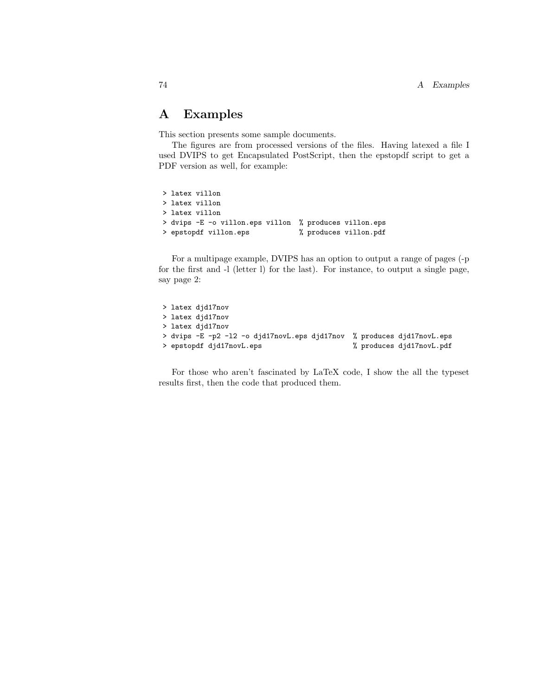This section presents some sample documents.

The figures are from processed versions of the files. Having latexed a file I used DVIPS to get Encapsulated PostScript, then the epstopdf script to get a PDF version as well, for example:

```
> latex villon
> latex villon
> latex villon
> dvips -E -o villon.eps villon % produces villon.eps
> epstopdf villon.eps % % produces villon.pdf
```
For a multipage example, DVIPS has an option to output a range of pages (-p for the first and -l (letter l) for the last). For instance, to output a single page, say page 2:

```
> latex djd17nov
> latex djd17nov
> latex djd17nov
> dvips -E -p2 -l2 -o djd17novL.eps djd17nov % produces djd17novL.eps
> epstopdf djd17novL.eps % produces djd17novL.pdf
```
For those who aren't fascinated by LaTeX code, I show the all the typeset results first, then the code that produced them.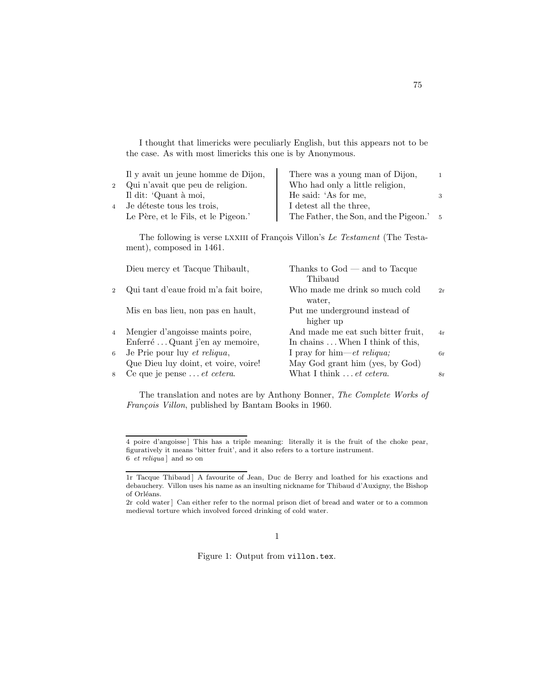I thought that limericks were peculiarly English, but this appears not to be the case. As with most limericks this one is by Anonymous.

| Il y avait un jeune homme de Dijon, | There was a young man of Dijon,       |      |
|-------------------------------------|---------------------------------------|------|
| 2 Qui n'avait que peu de religion.  | Who had only a little religion,       |      |
| Il dit: 'Quant à moi,               | He said: 'As for me,                  |      |
| 4 Je déteste tous les trois,        | I detest all the three,               |      |
| Le Père, et le Fils, et le Pigeon.' | The Father, the Son, and the Pigeon.' | $-5$ |

The following is verse LXXIII of François Villon's Le Testament (The Testament), composed in 1461.

|                | Dieu mercy et Tacque Thibault,        | Thanks to $God$ — and to Tacque<br>Thibaud |    |
|----------------|---------------------------------------|--------------------------------------------|----|
| $\overline{2}$ | Qui tant d'eaue froid m'a fait boire, | Who made me drink so much cold<br>water.   | 2r |
|                | Mis en bas lieu, non pas en hault,    | Put me underground instead of<br>higher up |    |
| $\overline{4}$ | Mengier d'angoisse maints poire,      | And made me eat such bitter fruit,         | 4r |
|                | Enferré  Quant j'en ay memoire,       | In chains  When I think of this,           |    |
| 6              | Je Prie pour luy et reliqua,          | I pray for him—et reliqua;                 | 6r |
|                | Que Dieu luy doint, et voire, voire!  | May God grant him (yes, by God)            |    |
| 8              | Ce que je pense <i>et cetera</i> .    | What I think  et cetera.                   | 8r |

The translation and notes are by Anthony Bonner, The Complete Works of François Villon, published by Bantam Books in 1960.

## 1

<span id="page-74-0"></span>Figure 1: Output from villon.tex.

<sup>4</sup> poire d'angoisse ] This has a triple meaning: literally it is the fruit of the choke pear, figuratively it means 'bitter fruit', and it also refers to a torture instrument. 6 et reliqua ] and so on

<sup>1</sup>r Tacque Thibaud ] A favourite of Jean, Duc de Berry and loathed for his exactions and debauchery. Villon uses his name as an insulting nickname for Thibaud d'Auxigny, the Bishop of Orléans.

<sup>2</sup>r cold water ] Can either refer to the normal prison diet of bread and water or to a common medieval torture which involved forced drinking of cold water.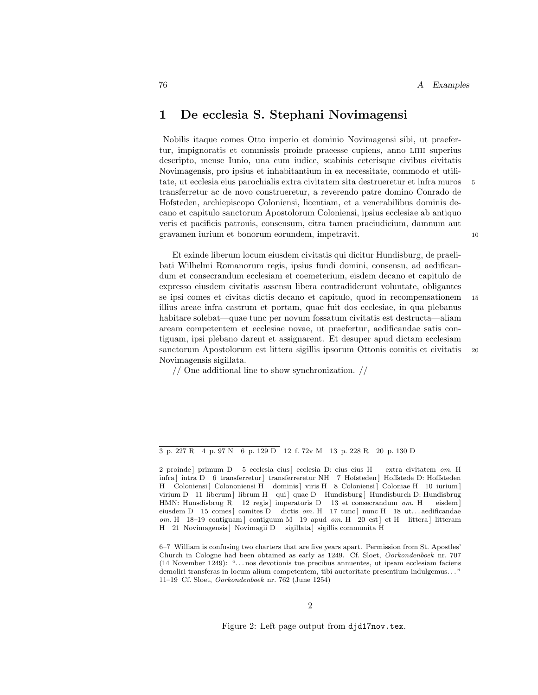## 1 De ecclesia S. Stephani Novimagensi

Nobilis itaque comes Otto imperio et dominio Novimagensi sibi, ut praefertur, impignoratis et commissis proinde praeesse cupiens, anno liiii superius descripto, mense Iunio, una cum iudice, scabinis ceterisque civibus civitatis Novimagensis, pro ipsius et inhabitantium in ea necessitate, commodo et utilitate, ut ecclesia eius parochialis extra civitatem sita destrueretur et infra muros 5 transferretur ac de novo construeretur, a reverendo patre domino Conrado de Hofsteden, archiepiscopo Coloniensi, licentiam, et a venerabilibus dominis decano et capitulo sanctorum Apostolorum Coloniensi, ipsius ecclesiae ab antiquo veris et pacificis patronis, consensum, citra tamen praeiudicium, damnum aut gravamen iurium et bonorum eorundem, impetravit. 10

Et exinde liberum locum eiusdem civitatis qui dicitur Hundisburg, de praelibati Wilhelmi Romanorum regis, ipsius fundi domini, consensu, ad aedificandum et consecrandum ecclesiam et coemeterium, eisdem decano et capitulo de expresso eiusdem civitatis assensu libera contradiderunt voluntate, obligantes se ipsi comes et civitas dictis decano et capitulo, quod in recompensationem <sup>15</sup> illius areae infra castrum et portam, quae fuit dos ecclesiae, in qua plebanus habitare solebat—quae tunc per novum fossatum civitatis est destructa—aliam aream competentem et ecclesiae novae, ut praefertur, aedificandae satis contiguam, ipsi plebano darent et assignarent. Et desuper apud dictam ecclesiam sanctorum Apostolorum est littera sigillis ipsorum Ottonis comitis et civitatis <sup>20</sup> Novimagensis sigillata.

// One additional line to show synchronization. //

<span id="page-75-0"></span>Figure 2: Left page output from djd17nov.tex.

<sup>3</sup> p. 227 R 4 p. 97 N 6 p. 129 D 12 f. 72v M 13 p. 228 R 20 p. 130 D

<sup>2</sup> proinde ] primum D 5 ecclesia eius ] ecclesia D: eius eius H extra civitatem om. H infra | intra D 6 transferretur | transferreretur NH 7 Hofsteden | Hoffstede D: Hoffsteden H Coloniensi ] Colononiensi H dominis ] viris H 8 Coloniensi ] Coloniae H 10 iurium ] virium D 11 liberum | librum H qui | quae D Hundisburg | Hundisburch D: Hundisbrug HMN: Hunsdisbrug R 12 regis ] imperatoris D 13 et consecrandum om. H eisdem ] eiusdem D 15 comes ] comites D dictis om. H 17 tunc ] nunc H 18 ut...aedificandae  $om.$  H 18-19 contiguam] contiguum M 19 apud  $om.$  H  $20$  est] et H littera] litteram H 21 Novimagensis | Novimagii D sigillata | sigillis communita H

<sup>6–7</sup> William is confusing two charters that are five years apart. Permission from St. Apostles' Church in Cologne had been obtained as early as 1249. Cf. Sloet, Oorkondenboek nr. 707 (14 November 1249): ". . . nos devotionis tue precibus annuentes, ut ipsam ecclesiam faciens demoliri transferas in locum alium competentem, tibi auctoritate presentium indulgemus. . . " 11–19 Cf. Sloet, Oorkondenboek nr. 762 (June 1254)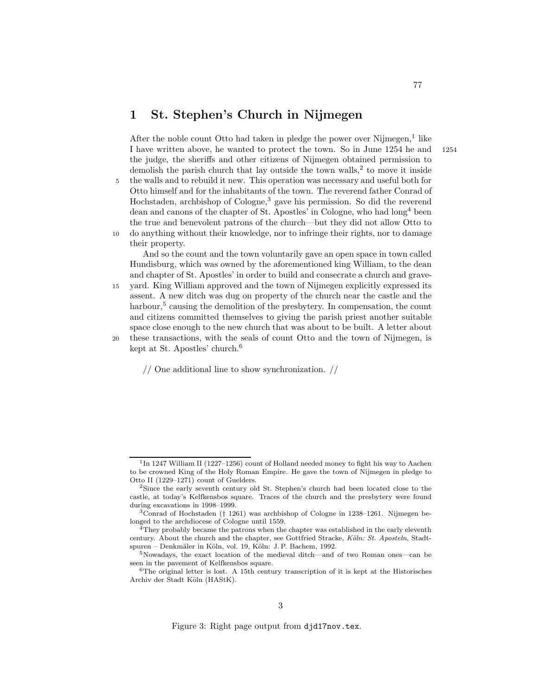# 1 St. Stephen's Church in Nijmegen

After the noble count Otto had taken in pledge the power over Nijmegen, $<sup>1</sup>$  like</sup> I have written above, he wanted to protect the town. So in June 1254 he and 1254 the judge, the sheriffs and other citizens of Nijmegen obtained permission to demolish the parish church that lay outside the town walls, $^2$  to move it inside 5 the walls and to rebuild it new. This operation was necessary and useful both for Otto himself and for the inhabitants of the town. The reverend father Conrad of

Hochstaden, archbishop of Cologne,<sup>3</sup> gave his permission. So did the reverend dean and canons of the chapter of St. Apostles' in Cologne, who had  $\log^4$  been the true and benevolent patrons of the church—but they did not allow Otto to 10 do anything without their knowledge, nor to infringe their rights, nor to damage

their property.

And so the count and the town voluntarily gave an open space in town called Hundisburg, which was owned by the aforementioned king William, to the dean and chapter of St. Apostles' in order to build and consecrate a church and grave-

<sup>15</sup> yard. King William approved and the town of Nijmegen explicitly expressed its assent. A new ditch was dug on property of the church near the castle and the harbour,<sup>5</sup> causing the demolition of the presbytery. In compensation, the count and citizens committed themselves to giving the parish priest another suitable space close enough to the new church that was about to be built. A letter about

<sup>20</sup> these transactions, with the seals of count Otto and the town of Nijmegen, is kept at St. Apostles' church.<sup>6</sup>

// One additional line to show synchronization. //

<span id="page-76-0"></span>Figure 3: Right page output from djd17nov.tex.

<sup>&</sup>lt;sup>1</sup>In 1247 William II (1227–1256) count of Holland needed money to fight his way to Aachen to be crowned King of the Holy Roman Empire. He gave the town of Nijmegen in pledge to Otto II (1229–1271) count of Guelders.

<sup>2</sup>Since the early seventh century old St. Stephen's church had been located close to the castle, at today's Kelfkensbos square. Traces of the church and the presbytery were found during excavations in 1998–1999.

<sup>3</sup>Conrad of Hochstaden († 1261) was archbishop of Cologne in 1238–1261. Nijmegen belonged to the archdiocese of Cologne until 1559.

 $^{4}$ They probably became the patrons when the chapter was established in the early eleventh century. About the church and the chapter, see Gottfried Stracke, Köln: St. Aposteln, Stadtspuren – Denkmäler in Köln, vol. 19, Köln: J.P. Bachem, 1992.

<sup>5</sup>Nowadays, the exact location of the medieval ditch—and of two Roman ones—can be seen in the pavement of Kelfkensbos square.

 $6$ The original letter is lost. A 15th century transcription of it is kept at the Historisches Archiv der Stadt Köln (HAStK).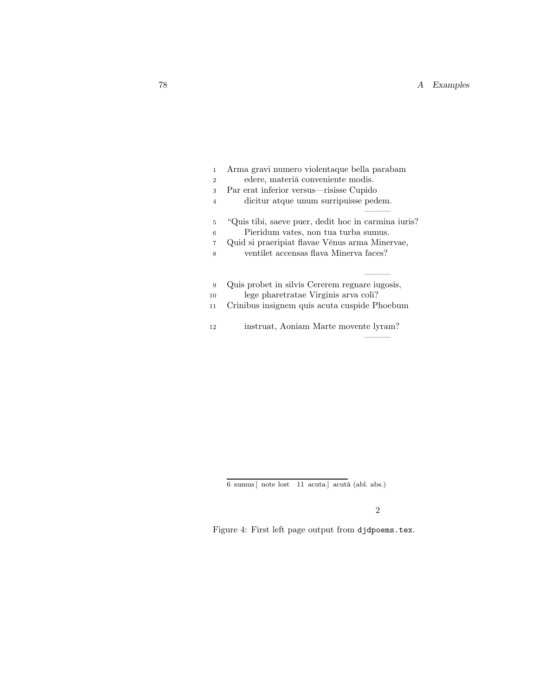| $\mathbf{1}$   | Arma gravi numero violentaque bella parabam          |  |  |  |
|----------------|------------------------------------------------------|--|--|--|
| $\overline{2}$ | edere, materia conveniente modis.                    |  |  |  |
| 3              | Par erat inferior versus—risisse Cupido              |  |  |  |
| $\overline{4}$ | dicitur atque unum surripuisse pedem.                |  |  |  |
| 5              | "Quis tibi, saeve puer, dedit hoc in carmina iuris?" |  |  |  |
| 6              | Pieridum vates, non tua turba sumus.                 |  |  |  |
| $\overline{7}$ | Quid si praeripiat flavae Věnus arma Minervae,       |  |  |  |
| 8              | ventilet accensas flava Minerya faces?               |  |  |  |
| 9              | Quis probet in silvis Cererem regnare iugosis,       |  |  |  |
| 10             | lege pharetratae Virginis arva coli?                 |  |  |  |
|                |                                                      |  |  |  |
| 11             | Crinibus insignem quis acuta cuspide Phoebum         |  |  |  |
| 12             | instruat, Aoniam Marte movente lyram?                |  |  |  |

 $6 \,$  sumus] note lost  $\,$  11 acuta] acutā (abl. abs.)

———

<span id="page-77-0"></span>Figure 4: First left page output from djdpoems.tex.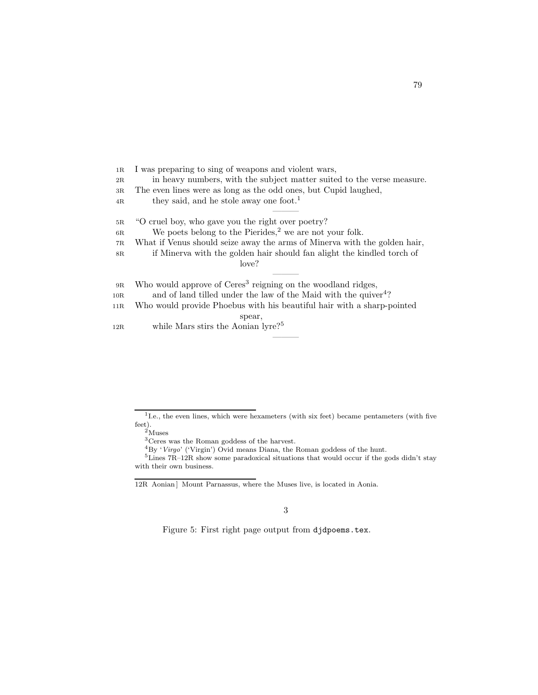1R I was preparing to sing of weapons and violent wars, 2R in heavy numbers, with the subject matter suited to the verse measure. 3R The even lines were as long as the odd ones, but Cupid laughed,  $4R$  they said, and he stole away one foot.<sup>1</sup> ——— 5R "O cruel boy, who gave you the right over poetry? 6R We poets belong to the Pierides,<sup>2</sup> we are not your folk. 7R What if Venus should seize away the arms of Minerva with the golden hair, 8R if Minerva with the golden hair should fan alight the kindled torch of love? ——— 9R Who would approve of Ceres<sup>3</sup> reigning on the woodland ridges, 10R and of land tilled under the law of the Maid with the quiver<sup>4</sup>? 11R Who would provide Phoebus with his beautiful hair with a sharp-pointed spear, 12R while Mars stirs the Aonian lyre?<sup>5</sup> ———

Figure 5: First right page output from djdpoems.tex.

<sup>&</sup>lt;sup>1</sup>I.e., the even lines, which were hexameters (with six feet) became pentameters (with five feet).

 $2$ Muses

<sup>3</sup>Ceres was the Roman goddess of the harvest.

 ${}^{4}$ By 'Virgo' ('Virgin') Ovid means Diana, the Roman goddess of the hunt.

<sup>5</sup>Lines 7R–12R show some paradoxical situations that would occur if the gods didn't stay with their own business.

<sup>12</sup>R Aonian | Mount Parnassus, where the Muses live, is located in Aonia.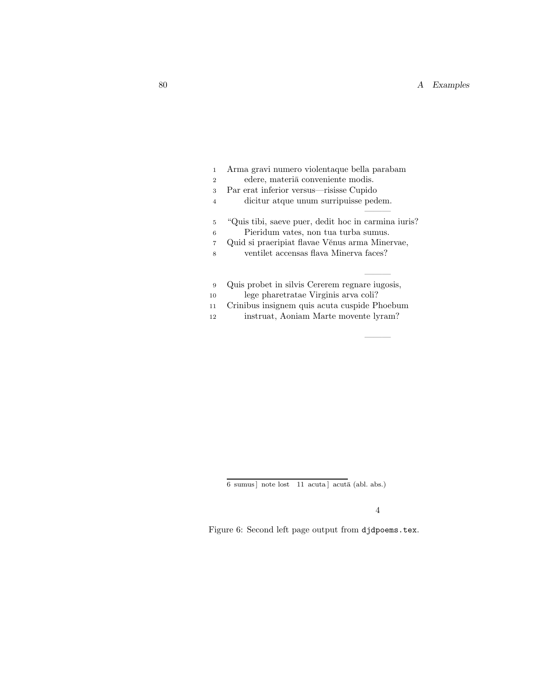| 1              | Arma gravi numero violentaque bella parabam          |
|----------------|------------------------------------------------------|
| $\overline{2}$ | edere, materia conveniente modis.                    |
| 3              | Par erat inferior versus—risisse Cupido              |
| $\overline{4}$ | dicitur atque unum surripuisse pedem.                |
|                |                                                      |
| 5              | "Quis tibi, saeve puer, dedit hoc in carmina iuris?" |
| 6              | Pieridum vates, non tua turba sumus.                 |
| $\overline{7}$ | Quid si praeripiat flavae Věnus arma Minervae,       |
| 8              | ventilet accensas flava Minerva faces?               |
|                |                                                      |
|                |                                                      |
| 9              | Quis probet in silvis Cererem regnare iugosis,       |
| 10             | lege pharetratae Virginis arva coli?                 |
| 11             | Crinibus insignem quis acuta cuspide Phoebum         |
| 12             | instruat, Aoniam Marte movente lyram?                |

 $\overline{6}$ sumus] note lost $\overline{11}$ acuta] acutā (abl. abs.)

4

———

Figure 6: Second left page output from djdpoems.tex.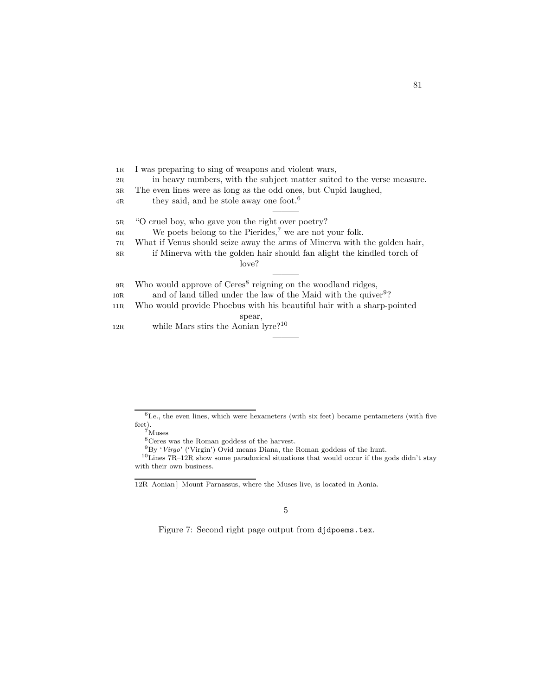1R I was preparing to sing of weapons and violent wars, 2R in heavy numbers, with the subject matter suited to the verse measure. 3R The even lines were as long as the odd ones, but Cupid laughed,  $4R$  they said, and he stole away one foot.<sup>6</sup> ——— 5R "O cruel boy, who gave you the right over poetry?  $6R$  We poets belong to the Pierides,<sup>7</sup> we are not your folk. 7R What if Venus should seize away the arms of Minerva with the golden hair, 8R if Minerva with the golden hair should fan alight the kindled torch of love? ——— 9R Who would approve of Ceres<sup>8</sup> reigning on the woodland ridges, 10R and of land tilled under the law of the Maid with the quiver<sup>9</sup>? 11R Who would provide Phoebus with his beautiful hair with a sharp-pointed spear, 12R while Mars stirs the Aonian lyre?<sup>10</sup> ———

<span id="page-80-0"></span>Figure 7: Second right page output from djdpoems.tex.

<sup>&</sup>lt;sup>6</sup>I.e., the even lines, which were hexameters (with six feet) became pentameters (with five feet).

<sup>7</sup>Muses

<sup>8</sup>Ceres was the Roman goddess of the harvest.

 $9By 'Virgo'$  ('Virgin') Ovid means Diana, the Roman goddess of the hunt.

 $10$ Lines  $7R-12R$  show some paradoxical situations that would occur if the gods didn't stay with their own business.

<sup>12</sup>R Aonian | Mount Parnassus, where the Muses live, is located in Aonia.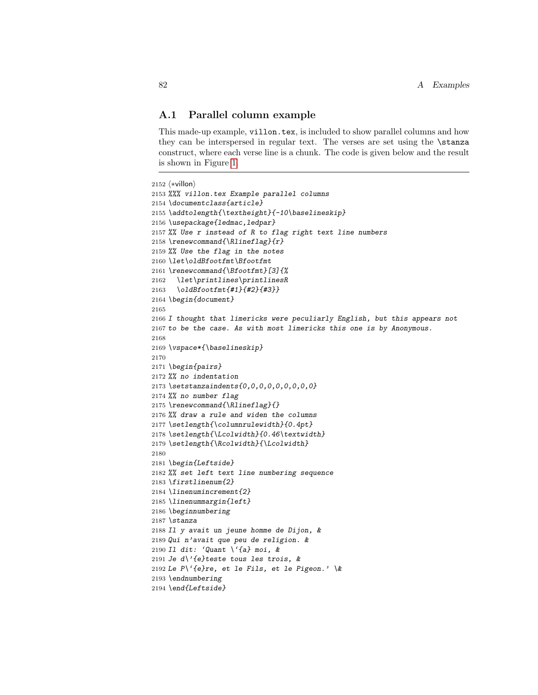## A.1 Parallel column example

This made-up example, villon.tex, is included to show parallel columns and how they can be interspersed in regular text. The verses are set using the **\stanza** construct, where each verse line is a chunk. The code is given below and the result is shown in Figure [1.](#page-74-0)

```
2152 (*villon)
2153 %%% villon.tex Example parallel columns
2154 \documentclass{article}
2155 \addtolength{\textheight}{-10\baselineskip}
2156 \usepackage{ledmac,ledpar}
2157 %% Use r instead of R to flag right text line numbers
2158 \renewcommand{\Rlineflag}{r}
2159 %% Use the flag in the notes
2160 \let\oldBfootfmt\Bfootfmt
2161 \renewcommand{\Bfootfmt}[3]{%
2162 \let\printlines\printlinesR
2163 \oldBfootfmt{#1}{#2}{#3}}
2164 \begin{document}
2165
2166 I thought that limericks were peculiarly English, but this appears not
2167 to be the case. As with most limericks this one is by Anonymous.
2168
2169 \vspace*{\baselineskip}
2170
2171 \begin{pairs}
2172 %% no indentation
2173 \setstanzaindents{0,0,0,0,0,0,0,0,0}
2174 %% no number flag
2175 \renewcommand{\Rlineflag}{}
2176 %% draw a rule and widen the columns
2177 \setlength{\columnrulewidth}{0.4pt}
2178 \setlength{\Lcolwidth}{0.46\textwidth}
2179 \setlength{\Rcolwidth}{\Lcolwidth}
2180
2181 \begin{Leftside}
2182 %% set left text line numbering sequence
2183 \firstlinenum{2}
2184 \linenumincrement{2}
2185 \linenummargin{left}
2186 \beginnumbering
2187 \stanza
2188 Il y avait un jeune homme de Dijon, &
2189 Qui n'avait que peu de religion. &
2190 Il dit: 'Quant \'{a} moi, &
2191 Je d\'{e}teste tous les trois, &
2192 Le P\'{e}re, et le Fils, et le Pigeon.' \&
2193 \endnumbering
2194 \end{Leftside}
```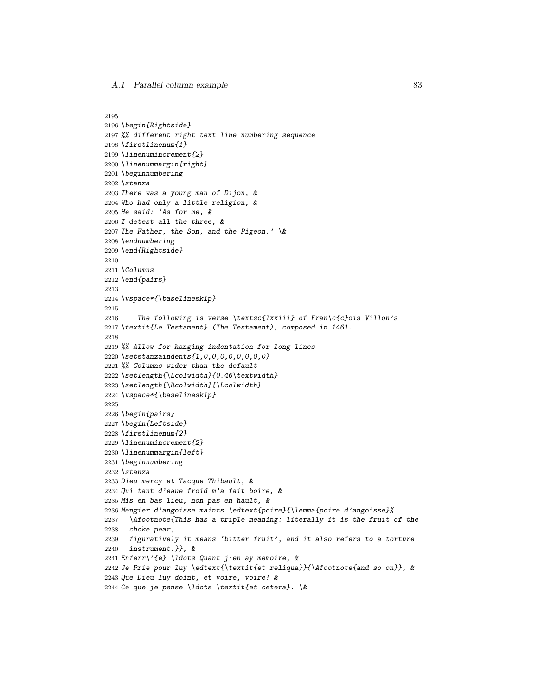```
2195
```

```
2196 \begin{Rightside}
2197 %% different right text line numbering sequence
2198 \firstlinenum{1}
2199 \linenumincrement{2}
2200 \linenummargin{right}
2201 \beginnumbering
2202 \stanza
2203 There was a young man of Dijon, &
2204 Who had only a little religion, &
2205 He said: 'As for me, &
2206 I detest all the three, &
2207 The Father, the Son, and the Pigeon.' \&2208 \endnumbering
2209 \end{Rightside}
2210
2211 \Columns
2212 \end{pairs}
2213
2214 \vspace*{\baselineskip}
2215
2216 The following is verse \textsc{lxxiii} of Fran\c{c}ois Villon's
2217 \textit{Le Testament} (The Testament), composed in 1461.
2218
2219 %% Allow for hanging indentation for long lines
2220 \setstanzaindents{1,0,0,0,0,0,0,0,0}
2221 %% Columns wider than the default
2222 \setlength{\Lcolwidth}{0.46\textwidth}
2223 \setlength{\Rcolwidth}{\Lcolwidth}
2224 \vspace*{\baselineskip}
2225
2226 \begin{pairs}
2227 \begin{Leftside}
2228 \firstlinenum{2}
2229 \linenumincrement{2}
2230 \linenummargin{left}
2231 \beginnumbering
2232 \stanza
2233 Dieu mercy et Tacque Thibault, &
2234 Qui tant d'eaue froid m'a fait boire, &
2235 Mis en bas lieu, non pas en hault, &
2236 Mengier d'angoisse maints \edtext{poire}{\lemma{poire d'angoisse}%
2237 \Afootnote{This has a triple meaning: literally it is the fruit of the
2238 choke pear,
2239 figuratively it means 'bitter fruit', and it also refers to a torture
2240 instrument.}}, &
2241 Enferr\{e\} \ldots Quant j'en ay memoire, &
2242 Je Prie pour luy \edtext{\textit{et reliqua}}{\Afootnote{and so on}}, &
2243 Que Dieu luy doint, et voire, voire! &
2244 Ce que je pense \ldots \textit{et cetera}. \&
```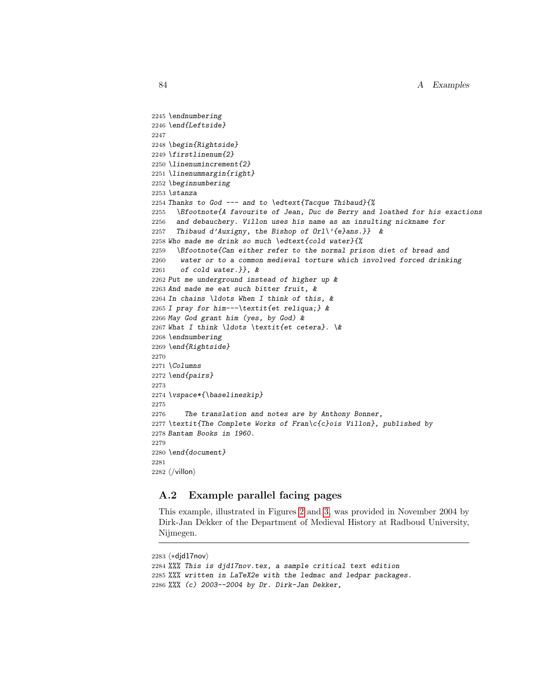```
2245 \endnumbering
2246 \end{Leftside}
2247
2248 \begin{Rightside}
2249 \firstlinenum{2}
2250 \linenumincrement{2}
2251 \linenummargin{right}
2252 \beginnumbering
2253 \stanza
2254 Thanks to God --- and to \edtext{Tacque Thibaud}{%
2255 \Bfootnote{A favourite of Jean, Duc de Berry and loathed for his exactions
2256 and debauchery. Villon uses his name as an insulting nickname for
2257 Thibaud d'Auxigny, the Bishop of Orl\'{e}ans.}} &
2258 Who made me drink so much \edtext{cold water}{%
2259 \Bfootnote{Can either refer to the normal prison diet of bread and
2260 water or to a common medieval torture which involved forced drinking
2261 of cold water. }, &
2262 Put me underground instead of higher up &
2263 And made me eat such bitter fruit, &
2264 In chains \ldots When I think of this, &
2265 I pray for him---\textit{et reliqua;} &
2266 May God grant him (yes, by God) &
2267 What I think \ldots \textit{et cetera}. \&
2268 \endnumbering
2269 \end{Rightside}
2270
2271 \Columns
2272 \end{pairs}
2273
2274 \vspace*{\baselineskip}
2275
2276 The translation and notes are by Anthony Bonner,
2277 \textit{The Complete Works of Fran\c{c}ois Villon}, published by
2278 Bantam Books in 1960.
2279
2280 \end{document}
2281
2282 \langle/villon\rangle
```
## A.2 Example parallel facing pages

This example, illustrated in Figures [2](#page-75-0) and [3,](#page-76-0) was provided in November 2004 by Dirk-Jan Dekker of the Department of Medieval History at Radboud University, Nijmegen.

```
2283 \langle *dj d17nov \rangle2284 %%% This is djd17nov.tex, a sample critical text edition
2285 %%% written in LaTeX2e with the ledmac and ledpar packages.
2286 %%% (c) 2003--2004 by Dr. Dirk-Jan Dekker,
```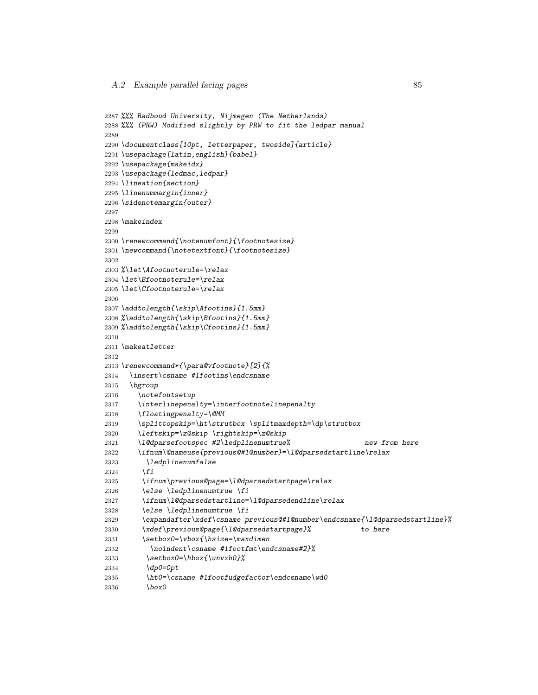```
2287 %%% Radboud University, Nijmegen (The Netherlands)
2288 %%% (PRW) Modified slightly by PRW to fit the ledpar manual
2289
2290 \documentclass[10pt, letterpaper, twoside]{article}
2291 \usepackage[latin,english]{babel}
2292 \usepackage{makeidx}
2293 \usepackage{ledmac,ledpar}
2294 \lineation{section}
2295 \linenummargin{inner}
2296 \sidenotemargin{outer}
2297
2298 \makeindex
2299
2300 \renewcommand{\notenumfont}{\footnotesize}
2301 \newcommand{\notetextfont}{\footnotesize}
2302
2303 %\let\Afootnoterule=\relax
2304 \let\Bfootnoterule=\relax
2305 \let\Cfootnoterule=\relax
2306
2307 \addtolength{\skip\Afootins}{1.5mm}
2308 %\addtolength{\skip\Bfootins}{1.5mm}
2309 %\addtolength{\skip\Cfootins}{1.5mm}
2310
2311 \makeatletter
2312
2313 \renewcommand*{\para@vfootnote}[2]{%
2314 \insert\csname #1footins\endcsname
2315 \bgroup
2316 \notefontsetup
2317 \interlinepenalty=\interfootnotelinepenalty
2318 \floatingpenalty=\@MM
2319 \splittopskip=\ht\strutbox \splitmaxdepth=\dp\strutbox
2320 \leftskip=\z@skip \rightskip=\z@skip
2321 \l@dparsefootspec #2\ledplinenumtrue% new from here
2322 \ifnum\@nameuse{previous@#1@number}=\l@dparsedstartline\relax
2323 \ledplinenumfalse
2324 \setminus f2325 \ifnum\previous@page=\l@dparsedstartpage\relax
2326 \else \ledplinenumtrue \fi
2327 \ifnum\l@dparsedstartline=\l@dparsedendline\relax
2328 \text{led} \left( \text{aligned} \right)2329 \expandafter\xdef\csname previous@#1@number\endcsname{\l@dparsedstartline}%
2330 \xdef\previous@page{\l@dparsedstartpage}% to here
2331 \setbox0=\vbox{\hsize=\maxdimen
2332 \noindent\csname #1footfmt\endcsname#2}%
2333 \setbox0=\hbox{\unvxh0}%
2334 \dp0=0pt
2335 \ht0=\csname #1footfudgefactor\endcsname\wd0
2336 \box0
```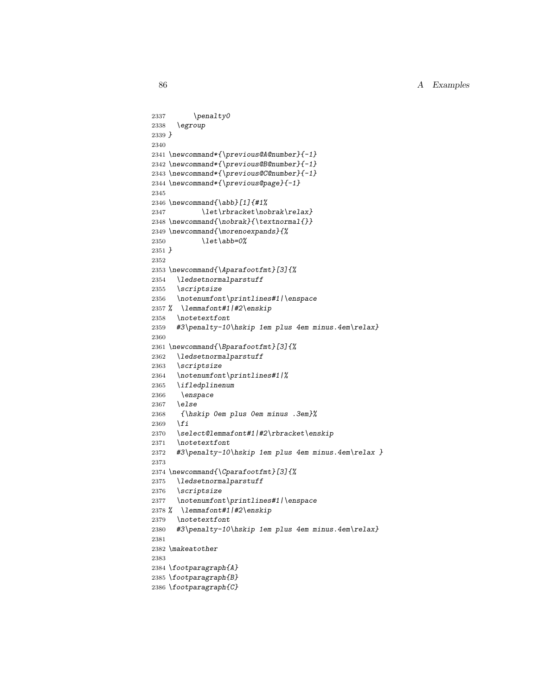```
2337 \penalty0
2338 \egroup
2339 }
2340
2341 \newcommand*{\previous@A@number}{-1}
2342 \newcommand*{\previous@B@number}{-1}
2343 \newcommand*{\previous@C@number}{-1}
2344 \newcommand*{\previous@page}{-1}
2345
2346 \newcommand{\abb}[1]{#1%
2347 \let\rbracket\nobrak\relax}
2348 \newcommand{\nobrak}{\textnormal{}}
2349 \newcommand{\morenoexpands}{%
2350 \let\ab\=0%
2351 }
2352
2353 \newcommand{\Aparafootfmt}[3]{%
2354 \ledsetnormalparstuff
2355 \scriptsize
2356 \notenumfont\printlines#1|\enspace
2357 % \lemmafont#1|#2\enskip
2358 \notetextfont
2359 #3\penalty-10\hskip 1em plus 4em minus.4em\relax}
2360
2361 \newcommand{\Bparafootfmt}[3]{%
2362 \ledsetnormalparstuff
2363 \scriptsize
2364 \notenumfont\printlines#1|%
2365 \ifledplinenum
2366 \enspace
2367 \else
2368 {\hskip 0em plus 0em minus .3em}%
2369 \overline{f}2370 \select@lemmafont#1|#2\rbracket\enskip
2371 \notetextfont
2372 #3\penalty-10\hskip 1em plus 4em minus.4em\relax }
2373
2374 \newcommand{\Cparafootfmt}[3]{%
2375 \ledsetnormalparstuff
2376 \scriptsize
2377 \notenumfont\printlines#1|\enspace
2378 % \lemmafont#1|#2\enskip
2379 \notetextfont
2380 #3\penalty-10\hskip 1em plus 4em minus.4em\relax}
2381
2382 \makeatother
2383
2384 \footparagraph{A}
2385 \footparagraph{B}
2386 \footparagraph{C}
```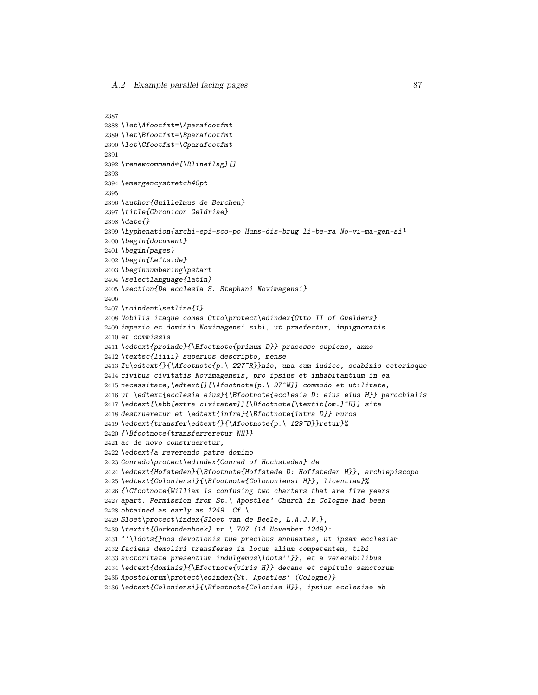```
2387
2388 \let\Afootfmt=\Aparafootfmt
2389 \let\Bfootfmt=\Bparafootfmt
2390 \let\Cfootfmt=\Cparafootfmt
2391
2392 \renewcommand*{\Rlineflag}{}
2393
2394 \emergencystretch40pt
2395
2396 \author{Guillelmus de Berchen}
2397 \title{Chronicon Geldriae}
2398 \date{}
2399 \hyphenation{archi-epi-sco-po Huns-dis-brug li-be-ra No-vi-ma-gen-si}
2400 \begin{document}
2401 \begin{pages}
2402 \begin{Leftside}
2403 \beginnumbering\pstart
2404 \selectlanguage{latin}
2405 \section{De ecclesia S. Stephani Novimagensi}
2406
2407 \noindent\setline{1}
2408 Nobilis itaque comes Otto\protect\edindex{Otto II of Guelders}
2409 imperio et dominio Novimagensi sibi, ut praefertur, impignoratis
2410 et commissis
2411 \edtext{proinde}{\Bfootnote{primum D}} praeesse cupiens, anno
2412 \textsc{liiii} superius descripto, mense
2413 Iu\edtext{}{\Afootnote{p.\ 227~R}}nio, una cum iudice, scabinis ceterisque
2414 civibus civitatis Novimagensis, pro ipsius et inhabitantium in ea
2415 necessitate,\edtext{}{\Afootnote{p.\ 97~N}} commodo et utilitate,
2416 ut \edtext{ecclesia eius}{\Bfootnote{ecclesia D: eius eius H}} parochialis
2417 \edtext{\abb{extra civitatem}}{\Bfootnote{\textit{om.}~H}} sita
2418 destrueretur et \edtext{infra}{\Bfootnote{intra D}} muros
2419 \edtext{transfer\edtext{}{\Afootnote{p.\ 129~D}}retur}%
2420 {\Bfootnote{transferreretur NH}}
2421 ac de novo construeretur,
2422 \edtext{a reverendo patre domino
2423 Conrado\protect\edindex{Conrad of Hochstaden} de
2424 \edtext{Hofsteden}{\Bfootnote{Hoffstede D: Hoffsteden H}}, archiepiscopo
2425 \edtext{Coloniensi}{\Bfootnote{Colononiensi H}}, licentiam}%
2426 {\Cfootnote{William is confusing two charters that are five years
2427 apart. Permission from St.\ Apostles' Church in Cologne had been
2428 obtained as early as 1249. Cf. \setminus2429 Sloet\protect\index{Sloet van de Beele, L.A.J.W.},
2430 \textit{Oorkondenboek} nr.\ 707 (14 November 1249):
2431 ''\ldots{}nos devotionis tue precibus annuentes, ut ipsam ecclesiam
2432 faciens demoliri transferas in locum alium competentem, tibi
2433 auctoritate presentium indulgemus\ldots''}}, et a venerabilibus
2434 \edtext{dominis}{\Bfootnote{viris H}} decano et capitulo sanctorum
2435 Apostolorum\protect\edindex{St. Apostles' (Cologne)}
2436 \edtext{Coloniensi}{\Bfootnote{Coloniae H}}, ipsius ecclesiae ab
```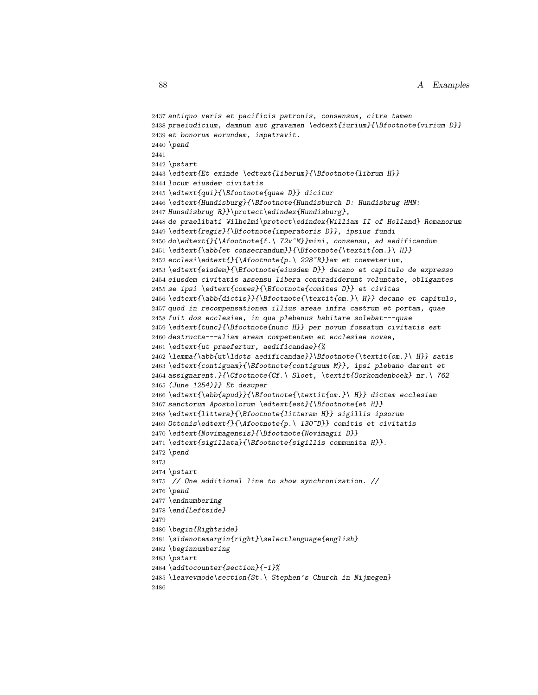```
2437 antiquo veris et pacificis patronis, consensum, citra tamen
2438 praeiudicium, damnum aut gravamen \edtext{iurium}{\Bfootnote{virium D}}
2439 et bonorum eorundem, impetravit.
2440 \pend
2441
2442 \pstart
2443 \edtext{Et exinde \edtext{liberum}{\Bfootnote{librum H}}
2444 locum eiusdem civitatis
2445 \edtext{qui}{\Bfootnote{quae D}} dicitur
2446 \edtext{Hundisburg}{\Bfootnote{Hundisburch D: Hundisbrug HMN:
2447 Hunsdisbrug R}}\protect\edindex{Hundisburg},
2448 de praelibati Wilhelmi\protect\edindex{William II of Holland} Romanorum
2449 \edtext{regis}{\Bfootnote{imperatoris D}}, ipsius fundi
2450 do\edtext{}{\Afootnote{f.\ 72v~M}}mini, consensu, ad aedificandum
2451 \edtext{\abb{et consecrandum}}{\Bfootnote{\textit{om.}\ H}}
2452 ecclesi\edtext{}{\Afootnote{p.\ 228~R}}am et coemeterium,
2453 \edtext{eisdem}{\Bfootnote{eiusdem D}} decano et capitulo de expresso
2454 eiusdem civitatis assensu libera contradiderunt voluntate, obligantes
2455 se ipsi \edtext{comes}{\Bfootnote{comites D}} et civitas
2456 \edtext{\abb{dictis}}{\Bfootnote{\textit{om.}\ H}} decano et capitulo,
2457 quod in recompensationem illius areae infra castrum et portam, quae
2458 fuit dos ecclesiae, in qua plebanus habitare solebat---quae
2459 \edtext{tunc}{\Bfootnote{nunc H}} per novum fossatum civitatis est
2460 destructa---aliam aream competentem et ecclesiae novae,
2461 \edtext{ut praefertur, aedificandae}{%
2462 \lemma{\abb{ut\ldots aedificandae}}\Bfootnote{\textit{om.}\ H}} satis
2463 \edtext{contiguam}{\Bfootnote{contiguum M}}, ipsi plebano darent et
2464 assignarent.}{\Cfootnote{Cf.\ Sloet, \textit{Oorkondenboek} nr.\ 762
2465 (June 1254)}} Et desuper
2466 \edtext{\abb{apud}}{\Bfootnote{\textit{om.}\ H}} dictam ecclesiam
2467 sanctorum Apostolorum \edtext{est}{\Bfootnote{et H}}
2468 \edtext{littera}{\Bfootnote{litteram H}} sigillis ipsorum
2469 Ottonis\edtext{}{\Afootnote{p.\ 130~D}} comitis et civitatis
2470 \edtext{Novimagensis}{\Bfootnote{Novimagii D}}
2471 \edtext{sigillata}{\Bfootnote{sigillis communita H}}.
2472 \pend
2473
2474 \pstart
2475 // One additional line to show synchronization. //
2476 \pend
2477 \endnumbering
2478 \end{Leftside}
2479
2480 \begin{Rightside}
2481 \sidenotemargin{right}\selectlanguage{english}
2482 \beginnumbering
2483 \pstart
2484 \addtocounter{section}{-1}%
2485 \leavevmode\section{St.\ Stephen's Church in Nijmegen}
2486
```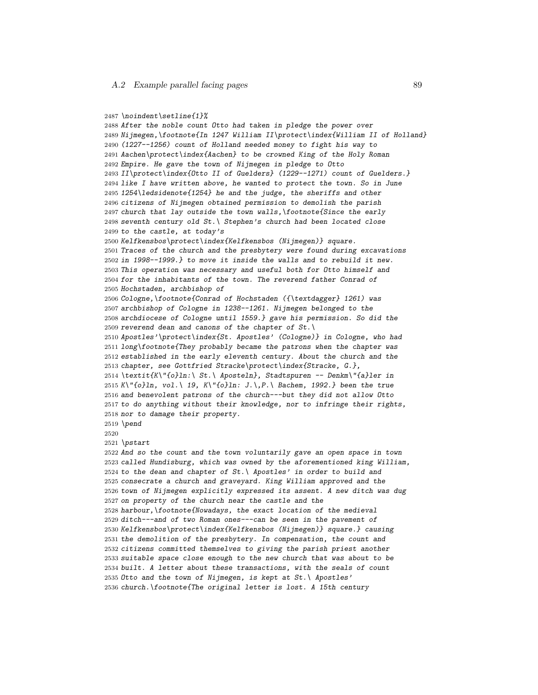```
2487 \noindent\setline{1}%
2488 After the noble count Otto had taken in pledge the power over
2489 Nijmegen,\footnote{In 1247 William II\protect\index{William II of Holland}
2490 (1227--1256) count of Holland needed money to fight his way to
2491 Aachen\protect\index{Aachen} to be crowned King of the Holy Roman
2492 Empire. He gave the town of Nijmegen in pledge to Otto
2493 II\protect\index{Otto II of Guelders} (1229--1271) count of Guelders.}
2494 like I have written above, he wanted to protect the town. So in June
2495 1254\ledsidenote{1254} he and the judge, the sheriffs and other
2496 citizens of Nijmegen obtained permission to demolish the parish
2497 church that lay outside the town walls,\footnote{Since the early
2498 seventh century old St.\ Stephen's church had been located close
2499 to the castle, at today's
2500 Kelfkensbos\protect\index{Kelfkensbos (Nijmegen)} square.
2501 Traces of the church and the presbytery were found during excavations
2502 in 1998--1999.} to move it inside the walls and to rebuild it new.
2503 This operation was necessary and useful both for Otto himself and
2504 for the inhabitants of the town. The reverend father Conrad of
2505 Hochstaden, archbishop of
2506 Cologne,\footnote{Conrad of Hochstaden ({\textdagger} 1261) was
2507 archbishop of Cologne in 1238--1261. Nijmegen belonged to the
2508 archdiocese of Cologne until 1559.} gave his permission. So did the
2509 reverend dean and canons of the chapter of St. \setminus2510 Apostles'\protect\index{St. Apostles' (Cologne)} in Cologne, who had
2511 long\footnote{They probably became the patrons when the chapter was
2512 established in the early eleventh century. About the church and the
2513 chapter, see Gottfried Stracke\protect\index{Stracke, G.},
2514 \textit{K\"{o}ln:\ St.\ Aposteln}, Stadtspuren -- Denkm\"{a}ler in
2515 K\'6ln, vol.\ 19, K\"{o}ln: J.\,P.\ Bachem, 1992.} been the true
2516 and benevolent patrons of the church---but they did not allow Otto
2517 to do anything without their knowledge, nor to infringe their rights,
2518 nor to damage their property.
2519 \pend
2520
2521 \pstart
2522 And so the count and the town voluntarily gave an open space in town
2523 called Hundisburg, which was owned by the aforementioned king William,
2524 to the dean and chapter of St. \ \ Apostles' in order to build and
2525 consecrate a church and graveyard. King William approved and the
2526 town of Nijmegen explicitly expressed its assent. A new ditch was dug
2527 on property of the church near the castle and the
2528 harbour,\footnote{Nowadays, the exact location of the medieval
2529 ditch---and of two Roman ones---can be seen in the pavement of
2530 Kelfkensbos\protect\index{Kelfkensbos (Nijmegen)} square.} causing
2531 the demolition of the presbytery. In compensation, the count and
2532 citizens committed themselves to giving the parish priest another
2533 suitable space close enough to the new church that was about to be
2534 built. A letter about these transactions, with the seals of count
2535 Otto and the town of Nijmegen, is kept at St.\ Apostles'
2536 church.\footnote{The original letter is lost. A 15th century
```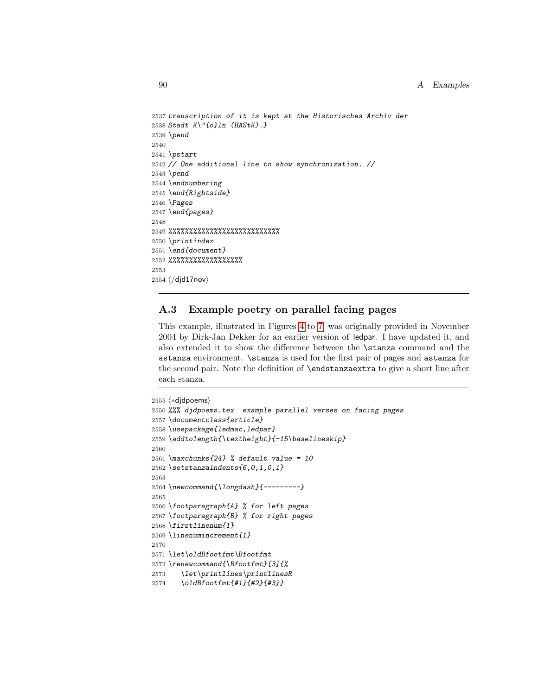```
2537 transcription of it is kept at the Historisches Archiv der
2538 Stadt K\"{o}ln (HAStK).}
2539 \pend
2540
2541 \pstart
2542 // One additional line to show synchronization. //
2543 \pend
2544 \endnumbering
2545 \end{Rightside}
2546 \Pages
2547 \end{pages}
2548
2549 %%%%%%%%%%%%%%%%%%%%%%%%%%%
2550 \printindex
2551 \end{document}
2552 %%%%%%%%%%%%%%%%%%
2553
2554 \langle/djd17nov\rangle
```
## A.3 Example poetry on parallel facing pages

This example, illustrated in Figures [4](#page-77-0) to [7,](#page-80-0) was originally provided in November 2004 by Dirk-Jan Dekker for an earlier version of ledpar. I have updated it, and also extended it to show the difference between the \stanza command and the astanza environment. \stanza is used for the first pair of pages and astanza for the second pair. Note the definition of \endstanzaextra to give a short line after each stanza.

```
2555 (*djdpoems)
2556 %%% djdpoems.tex example parallel verses on facing pages
2557 \documentclass{article}
2558 \usepackage{ledmac,ledpar}
2559 \addtolength{\textheight}{-15\baselineskip}
2560
2561 \maxchunks\{24\} % default value = 10
2562 \setstanzaindents\{6,0,1,0,1\}2563
2564 \newcommand{\longdash}{---------}
2565
2566 \footparagraph{A} % for left pages
2567 \footparagraph{B} % for right pages
2568 \firstlinenum{1}
2569 \linenumincrement{1}
2570
2571 \let\oldBfootfmt\Bfootfmt
2572 \renewcommand{\Bfootfmt}[3]{%
2573 \let\printlines\printlinesR
2574 \oldBfootfmt{#1}{#2}{#3}}
```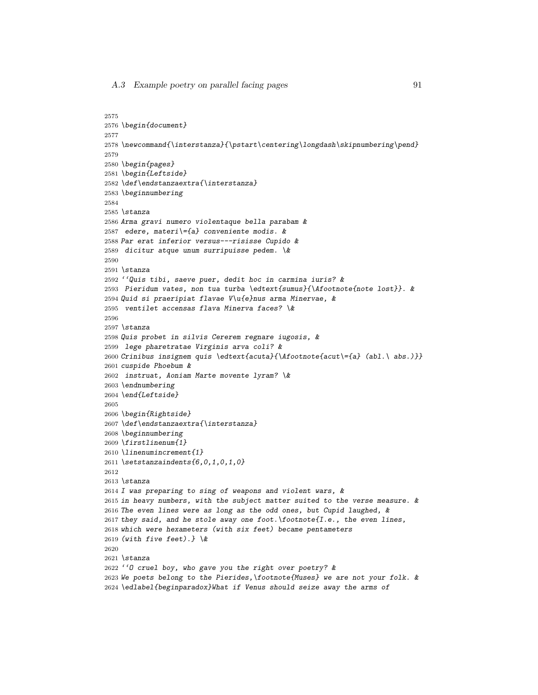```
2575
2576 \begin{document}
2577
2578 \newcommand{\interstanza}{\pstart\centering\longdash\skipnumbering\pend}
2579
2580 \begin{pages}
2581 \begin{Leftside}
2582 \def\endstanzaextra{\interstanza}
2583 \beginnumbering
2584
2585 \stanza
2586 Arma gravi numero violentaque bella parabam &
2587 edere, materi\={a} conveniente modis. &
2588 Par erat inferior versus---risisse Cupido &
2589 dicitur atque unum surripuisse pedem. \&
2590
2591 \stanza
2592 ''Quis tibi, saeve puer, dedit hoc in carmina iuris? &
2593 Pieridum vates, non tua turba \edtext{sumus}{\Afootnote{note lost}}. &
2594 Quid si praeripiat flavae V\u{e}nus arma Minervae, &
2595 ventilet accensas flava Minerva faces? \&
2596
2597 \stanza
2598 Quis probet in silvis Cererem regnare iugosis, &
2599 lege pharetratae Virginis arva coli? &
2600 Crinibus insignem quis \edtext{acuta}{\Afootnote{acut\={a} (abl.\ abs.)}}
2601 cuspide Phoebum &
2602 instruat, Aoniam Marte movente lyram? \&
2603 \endnumbering
2604 \end{Leftside}
2605
2606 \begin{Rightside}
2607 \def\endstanzaextra{\interstanza}
2608 \beginnumbering
2609 \firstlinenum{1}
2610 \linenumincrement{1}
2611 \setstanzaindents{6,0,1,0,1,0}
2612
2613 \stanza
2614 I was preparing to sing of weapons and violent wars, &
2615 in heavy numbers, with the subject matter suited to the verse measure. &
2616 The even lines were as long as the odd ones, but Cupid laughed, \&2617 they said, and he stole away one foot. \footnote{I.e., the even lines,
2618 which were hexameters (with six feet) became pentameters
2619 (with five feet).} \&
2620
2621 \stanza
2622 ''O cruel boy, who gave you the right over poetry? &
2623 We poets belong to the Pierides,\footnote{Muses} we are not your folk. &
2624 \edlabel{beginparadox}What if Venus should seize away the arms of
```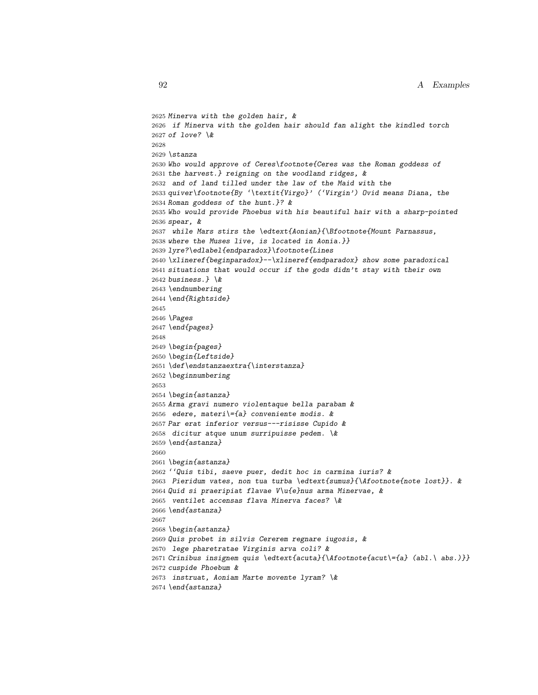```
2625 Minerva with the golden hair, &
2626 if Minerva with the golden hair should fan alight the kindled torch
2627 of love? \&2628
2629 \stanza
2630 Who would approve of Ceres\footnote{Ceres was the Roman goddess of
2631 the harvest.} reigning on the woodland ridges, &
2632 and of land tilled under the law of the Maid with the
2633 quiver\footnote{By '\textit{Virgo}' ('Virgin') Ovid means Diana, the
2634 Roman goddess of the hunt.}? &
2635 Who would provide Phoebus with his beautiful hair with a sharp-pointed
2636 spear, &
2637 while Mars stirs the \edtext{Aonian}{\Bfootnote{Mount Parnassus,
2638 where the Muses live, is located in Aonia.}}
2639 lyre?\edlabel{endparadox}\footnote{Lines
2640 \xlineref{beginparadox}--\xlineref{endparadox} show some paradoxical
2641 situations that would occur if the gods didn't stay with their own
2642 business.} \&
2643 \endnumbering
2644 \end{Rightside}
2645
2646 \Pages
2647 \end{pages}
2648
2649 \begin{pages}
2650 \begin{Leftside}
2651 \def\endstanzaextra{\interstanza}
2652 \beginnumbering
2653
2654 \begin{astanza}
2655 Arma gravi numero violentaque bella parabam &
2656 edere, materi\{-a\} conveniente modis. &
2657 Par erat inferior versus---risisse Cupido &
2658 dicitur atque unum surripuisse pedem. \&
2659 \end{astanza}
2660
2661 \begin{astanza}
2662 ''Quis tibi, saeve puer, dedit hoc in carmina iuris? &
2663 Pieridum vates, non tua turba \edtext{sumus}{\Afootnote{note lost}}. &
2664 Quid si praeripiat flavae V\u{e}nus arma Minervae, &
2665 ventilet accensas flava Minerva faces? \&
2666 \end{astanza}
2667
2668 \begin{astanza}
2669 Quis probet in silvis Cererem regnare iugosis, &
2670 lege pharetratae Virginis arva coli? &
2671 Crinibus insignem quis \edtext{acuta}{\Afootnote{acut\={a} (abl.\ abs.)}}
2672 cuspide Phoebum &
2673 instruat, Aoniam Marte movente lyram? \&
2674 \end{astanza}
```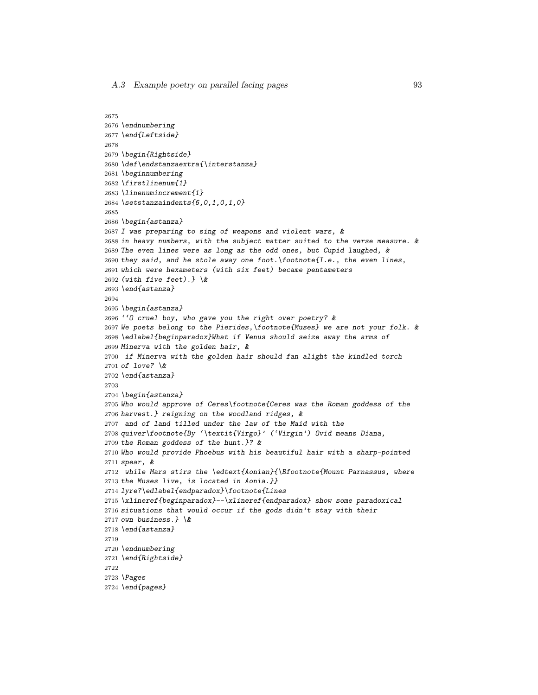```
2675
2676 \endnumbering
2677 \end{Leftside}
2678
2679 \begin{Rightside}
2680 \def\endstanzaextra{\interstanza}
2681 \beginnumbering
2682 \firstlinenum{1}
2683 \linenumincrement{1}
2684 \setstanzaindents{6,0,1,0,1,0}
2685
2686 \begin{astanza}
2687 I was preparing to sing of weapons and violent wars, &
2688 in heavy numbers, with the subject matter suited to the verse measure. &
2689 The even lines were as long as the odd ones, but Cupid laughed, &
2690 they said, and he stole away one foot. \footnote{I.e., the even lines,
2691 which were hexameters (with six feet) became pentameters
2692 (with five feet).} \&
2693 \end{astanza}
2694
2695 \begin{astanza}
2696 ''O cruel boy, who gave you the right over poetry? &
2697 We poets belong to the Pierides,\footnote{Muses} we are not your folk. &
2698 \edlabel{beginparadox}What if Venus should seize away the arms of
2699 Minerva with the golden hair, &
2700 if Minerva with the golden hair should fan alight the kindled torch
2701 of love? \&
2702 \end{astanza}
2703
2704 \begin{astanza}
2705 Who would approve of Ceres\footnote{Ceres was the Roman goddess of the
2706 harvest.} reigning on the woodland ridges, &
2707 and of land tilled under the law of the Maid with the
2708 quiver\footnote{By '\textit{Virgo}' ('Virgin') Ovid means Diana,
2709 the Roman goddess of the hunt.}? &
2710 Who would provide Phoebus with his beautiful hair with a sharp-pointed
2711 spear, &
2712 while Mars stirs the \edtext{Aonian}{\Bfootnote{Mount Parnassus, where
2713 the Muses live, is located in Aonia.}}
2714 lyre?\edlabel{endparadox}\footnote{Lines
2715 \xlineref{beginparadox}--\xlineref{endparadox} show some paradoxical
2716 situations that would occur if the gods didn't stay with their
2717 own business.} \&
2718 \end{astanza}
2719
2720 \endnumbering
2721 \end{Rightside}
2722
2723 \Pages
2724 \end{pages}
```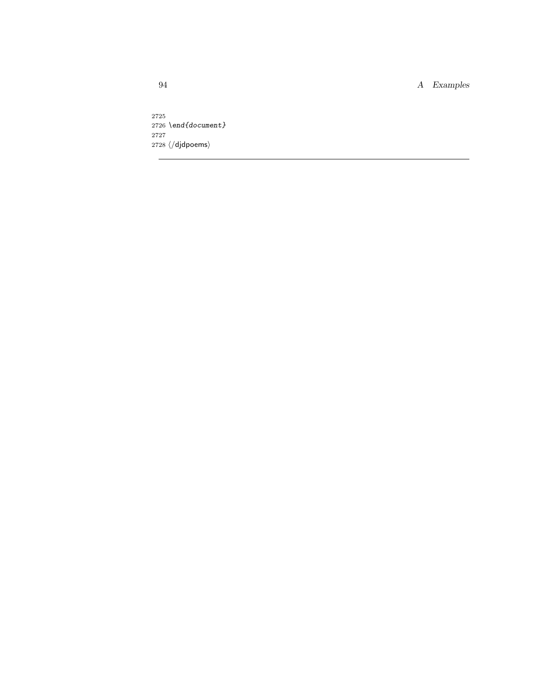\end{document}  $2728 \; \langle/\textrm{djdpoems}\rangle$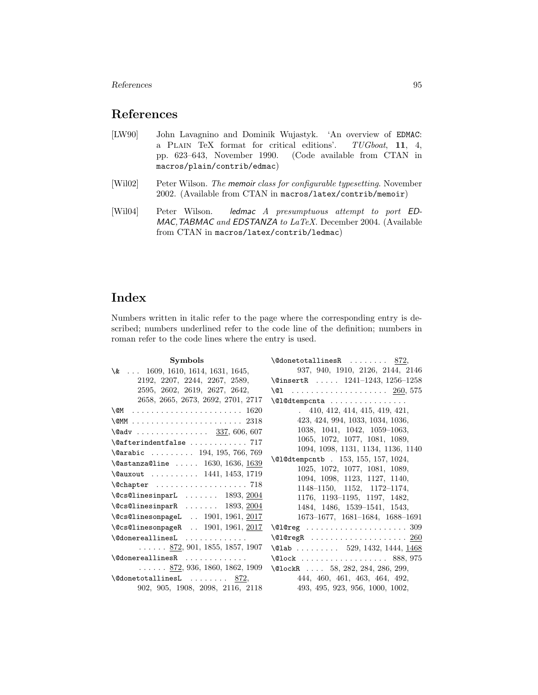References and  $95$ 

## References

- [LW90] John Lavagnino and Dominik Wujastyk. 'An overview of EDMAC: a PLAIN TeX format for critical editions'. TUGboat, 11, 4, pp. 623–643, November 1990. (Code available from CTAN in macros/plain/contrib/edmac)
- [Wil02] Peter Wilson. The memoir class for configurable typesetting. November 2002. (Available from CTAN in macros/latex/contrib/memoir)
- [Wil04] Peter Wilson. ledmac A presumptuous attempt to port ED-MAC,TABMAC and EDSTANZA to LaTeX. December 2004. (Available from CTAN in macros/latex/contrib/ledmac)

# Index

Numbers written in italic refer to the page where the corresponding entry is described; numbers underlined refer to the code line of the definition; numbers in roman refer to the code lines where the entry is used.

| <b>Symbols</b>                                            | $\delta$ \@donetotallinesR  872,                                      |  |  |  |
|-----------------------------------------------------------|-----------------------------------------------------------------------|--|--|--|
| $\& \ldots$ 1609, 1610, 1614, 1631, 1645,                 | 937, 940, 1910, 2126, 2144, 2146                                      |  |  |  |
| 2192, 2207, 2244, 2267, 2589,                             | \@insertR $1241-1243$ , $1256-1258$                                   |  |  |  |
| 2595, 2602, 2619, 2627, 2642,                             | \@1  260, 575                                                         |  |  |  |
| 2658, 2665, 2673, 2692, 2701, 2717                        | $\Q$ l@dtempcnta                                                      |  |  |  |
|                                                           | .410, 412, 414, 415, 419, 421,                                        |  |  |  |
|                                                           | 423, 424, 994, 1033, 1034, 1036,                                      |  |  |  |
| $\text{Qadv}$ 337, 606, 607                               | 1038, 1041, 1042, 1059-1063,                                          |  |  |  |
| $\setminus$ @afterindentfalse  717                        | 1065, 1072, 1077, 1081, 1089,                                         |  |  |  |
| \@arabic  194, 195, 766, 769                              | 1094, 1098, 1131, 1134, 1136, 1140                                    |  |  |  |
| $\lambda$ eastanza@line  1630, 1636, 1639                 | \@l@dtempcntb . 153, 155, 157, 1024,<br>1025, 1072, 1077, 1081, 1089, |  |  |  |
| \@auxout  1441, 1453, 1719                                |                                                                       |  |  |  |
|                                                           | 1094, 1098, 1123, 1127, 1140,                                         |  |  |  |
|                                                           | $1148-1150$ , $1152$ , $1172-1174$ ,                                  |  |  |  |
| $\text{Qcs}$ CalinesinparL  1893, 2004                    | 1176, 1193-1195, 1197, 1482,                                          |  |  |  |
| $\text{Qcs}$ CalinesinparR  1893, 2004                    | 1484, 1486, 1539-1541, 1543,                                          |  |  |  |
| $\text{Qcs@linesonpageL}$ 1901, 1961, 2017                | $1673-1677, 1681-1684, 1688-1691$                                     |  |  |  |
| $\text{Qcs@linesonpageR} \quad \quad 1901, 1961, 2017$    |                                                                       |  |  |  |
| \@donereallinesL                                          |                                                                       |  |  |  |
| $\ldots$ $\ldots$ 872, 901, 1855, 1857, 1907              | \@lab  529, 1432, 1444, $1468$                                        |  |  |  |
| $\setminus$ ©donereallinesR                               | $\text{Qlock}$ 888, 975                                               |  |  |  |
| $\ldots \ldots \, 872, \, 936, \, 1860, \, 1862, \, 1909$ | $\Delta 284, 284, 286, 299,$                                          |  |  |  |
| $\delta$ \@donetotallinesL  872,                          | 444, 460, 461, 463, 464, 492,                                         |  |  |  |
| 902, 905, 1908, 2098, 2116, 2118                          | 493, 495, 923, 956, 1000, 1002,                                       |  |  |  |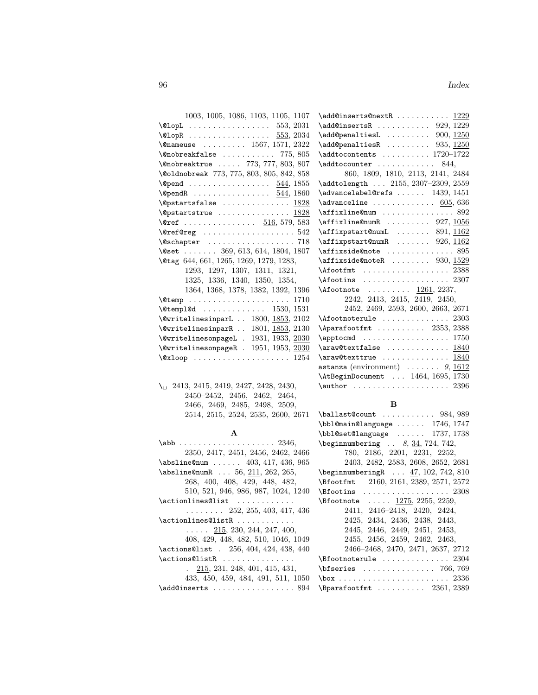| 1003, 1005, 1086, 1103, 1105, 1107                         |
|------------------------------------------------------------|
| $\text{QlopL}$ 553, 2031                                   |
| $\text{QlopR}$ 553, 2034                                   |
| $\{\n$ onameuse  1567, 1571, 2322                          |
| $\emptyset$ nobreakfalse  775, 805                         |
| \@nobreaktrue  773, 777, 803, 807                          |
| \@oldnobreak 773, 775, 803, 805, 842, 858                  |
| $\qquad$                                                   |
|                                                            |
| $\sqrt{9}$ pstartsfalse  1828                              |
| $\sqrt{28}$                                                |
| \@ref  516, 579, 583                                       |
| $\{\text{Order} \dots \dots \dots \dots \dots \ 542\}$     |
| $\text{Qschapter} \dots \dots \dots \dots \dots \dots 718$ |
| \@set $\underline{369}$ , 613, 614, 1804, 1807             |
| \@tag 644, 661, 1265, 1269, 1279, 1283,                    |
| 1293, 1297, 1307, 1311, 1321,                              |
| 1325, 1336, 1340, 1350, 1354,                              |
| 1364, 1368, 1378, 1382, 1392, 1396                         |
|                                                            |
| $\text{Utemp1@d}$ 1530, 1531                               |
| $\text{Qwritelinesinput}$ 1800, 1853, 2102                 |
| \@writelinesinparR  1801, 1853, 2130                       |
| \@writelinesonpageL . 1931, 1933, 2030                     |
| $\text{QwritelinesonpageR}$ . 1951, 1953, 2030             |
|                                                            |

\ 2413, 2415, 2419, 2427, 2428, 2430, 2450–2452, 2456, 2462, 2464, 2466, 2469, 2485, 2498, 2509, 2514, 2515, 2524, 2535, 2600, 2671

#### A

| $\abb$ 2346,                                   |
|------------------------------------------------|
| 2350, 2417, 2451, 2456, 2462, 2466             |
| $\lambda$ sbsline@num  403, 417, 436, 965      |
| $\{\nabla\$ 56, 211, 262, 265,                 |
| 268, 400, 408, 429, 448, 482,                  |
| 510, 521, 946, 986, 987, 1024, 1240            |
| \actionlines@list                              |
| $\ldots \ldots \ldots 252, 255, 403, 417, 436$ |
| $\text{Actionlines@listR}$                     |
| $\ldots$ 215, 230, 244, 247, 400,              |
| 408, 429, 448, 482, 510, 1046, 1049            |
| \actions@list . 256, 404, 424, 438, 440        |
| \actions@listR                                 |
| $. \quad 215, 231, 248, 401, 415, 431,$        |
| 433, 450, 459, 484, 491, 511, 1050             |
| $\add@inserts     894$                         |

| $\add@inserts@nextR$ $1229$                                   |
|---------------------------------------------------------------|
| $\add@insertsR    929, 1229$                                  |
| $\add@penaltiesL$ 900, 1250                                   |
| $\add@penaltiesR$ 935, 1250                                   |
| $\addto$ contents  1720-1722                                  |
| \addtocounter<br>844.                                         |
| 860, 1809, 1810, 2113, 2141, 2484                             |
| \addtolength  2155, 2307-2309, 2559                           |
| $\mathtt{advancelabelCres. \dots \dots \ 1439, 1451}$         |
| $\lambda$ advanceline  605, 636                               |
| $\texttt{affixline@num} \dots \dots \dots \dots \ 892$        |
| $\affixline@numR \ldots 927, 1056$                            |
| $\affixpstart@numL$ 891, 1162                                 |
| \affixpstart@numR  926, 1162                                  |
| $\texttt{affixside@note} \dots \dots \dots \dots \dots \ 895$ |
| $\alpha$ fixside@noteR  930, 1529                             |
| $\Lambda$ footfmt  2388                                       |
| $\Lambda$ footins  2307                                       |
| $\Lambda$ footnote  1261, 2237,                               |
| 2242, 2413, 2415, 2419, 2450,                                 |
| 2452, 2469, 2593, 2600, 2663, 2671                            |
| $\Lambda$ footnoterule $2303$                                 |
| $\Delta$ parafootfmt  2353, 2388                              |
| $\approx$ 1750                                                |
| $\araw@textfalse$ $1840$                                      |
| $\araw@texttrue$ 1840                                         |
| astanza (environment) $\ldots \ldots \ldots$ 9, 1612          |
| \AtBeginDocument  1464, 1695, 1730                            |
| $\{\text{author} \dots \dots \dots \dots \dots \ 2396$        |
|                                                               |

#### B

| $\b{ballast@count}$ 984, 989                    |
|-------------------------------------------------|
| $\bb{\bb{C}}$ hbl@main@language  1746, 1747     |
| $\bb{\b}$ bbl@set@language  1737, 1738          |
| $\begin{bmatrix} 0.34, 724, 742, \end{bmatrix}$ |
| 780, 2186, 2201, 2231, 2252,                    |

2403, 2482, 2583, 2608, 2652, 2681 \beginnumberingR . . . 47, 102, 742, 810 \Bfootfmt 2160, 2161, 2389, 2571, 2572 \Bfootins . . . . . . . . . . . . . . . . . . 2308  $\setminus$ Bfootnote .....  $1275, 2255, 2259,$ 2411, 2416–2418, 2420, 2424, 2425, 2434, 2436, 2438, 2443, 2445, 2446, 2449, 2451, 2453, 2455, 2456, 2459, 2462, 2463, 2466–2468, 2470, 2471, 2637, 2712  $\verb+\Bfootnoterule+\dots+... 2304+$ \bfseries . . . . . . . . . . . . . . . 766, 769 \box . . . . . . . . . . . . . . . . . . . . . . . 2336  $\verb+\Bparafootfmt + \ldots + 2361, 2389$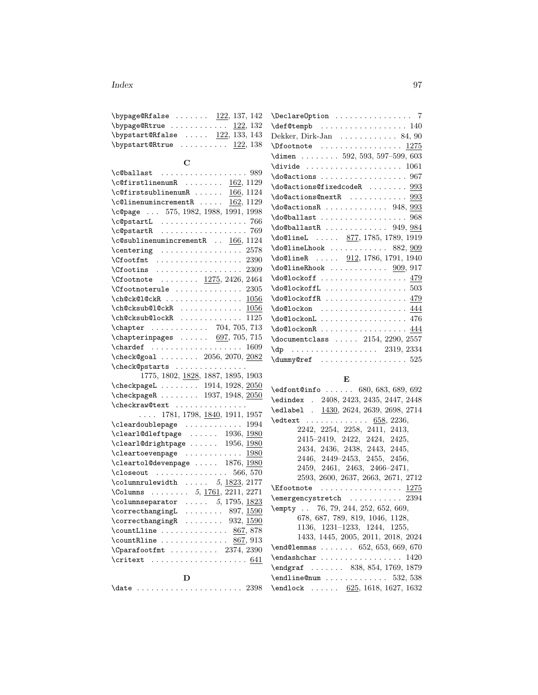#### Index 97

| \bypage@Rfalse $\dots \dots$ 122, 137, 142 |  |  |
|--------------------------------------------|--|--|
| $\b{bypage@Rtrue122,132}$                  |  |  |
| \bypstart@Rfalse $\dots 122, 133, 143$     |  |  |
| $\b{bypstart@Rtrue    122, 138}$           |  |  |

## $\mathbf C$

| $\c$ $\theta$ ballast  989                                             |  |  |  |  |  |
|------------------------------------------------------------------------|--|--|--|--|--|
| $\c{$ offirstlinenum R   162, 1129}                                    |  |  |  |  |  |
| $\c{effirst sublinenum R   } 166, 1124$                                |  |  |  |  |  |
| $\c{9}$ linenumincrementR $\underline{162}$ , 1129                     |  |  |  |  |  |
| \c@page  575, 1982, 1988, 1991, 1998                                   |  |  |  |  |  |
|                                                                        |  |  |  |  |  |
|                                                                        |  |  |  |  |  |
| $\cosh 1$ : $\sinh 2$                                                  |  |  |  |  |  |
| \centering  2578<br>\Cfootfmt  2390                                    |  |  |  |  |  |
|                                                                        |  |  |  |  |  |
| $\C$ footins  2309                                                     |  |  |  |  |  |
| $\sqrt{C}$ footnote <u>1275</u> , 2426, 2464                           |  |  |  |  |  |
| $\setminus$ Cfootnoterule  2305                                        |  |  |  |  |  |
| $\ch@ck@l@ckR$ 1056                                                    |  |  |  |  |  |
| $\verb+\ch@cksub@1@ckR \ldots  \ 1056$                                 |  |  |  |  |  |
| $\ch@cksub@lockR$ 1125                                                 |  |  |  |  |  |
| \chapter  704, 705, 713                                                |  |  |  |  |  |
| $\lambda$ chapterinpages  697, 705, 715                                |  |  |  |  |  |
| $\lambda$ : $\lambda$ 1609                                             |  |  |  |  |  |
| \check@goal  2056, 2070, 2082                                          |  |  |  |  |  |
| \check@pstarts                                                         |  |  |  |  |  |
| 1775, 1802, 1828, 1887, 1895, 1903                                     |  |  |  |  |  |
| \checkpageL 1914, 1928, 2050                                           |  |  |  |  |  |
| $\verb+\check+ the ckpageR+ \dots 1937, 1948, \underline{2050}$        |  |  |  |  |  |
| \checkraw@text                                                         |  |  |  |  |  |
| $\ldots$ 1781, 1798, 1840, 1911, 1957                                  |  |  |  |  |  |
| \cleardoublepage  1994                                                 |  |  |  |  |  |
| \clear1@dleftpage  1936, 1980<br>\clear1@drightpage  1956, <u>1980</u> |  |  |  |  |  |
|                                                                        |  |  |  |  |  |
| \cleartoevenpage  1980                                                 |  |  |  |  |  |
| \cleartol@devenpage  1876, 1980                                        |  |  |  |  |  |
| $\text{Closeout}$ 566, 570                                             |  |  |  |  |  |
| $\lambda$ columnrulewidth  5, 1823, 2177                               |  |  |  |  |  |
| \Columns $\ldots \ldots 5, \underline{1761}, 2211, 2271$               |  |  |  |  |  |
| $\column$                                                              |  |  |  |  |  |
|                                                                        |  |  |  |  |  |
|                                                                        |  |  |  |  |  |
|                                                                        |  |  |  |  |  |
| $\count$ R1ine  867, 913                                               |  |  |  |  |  |
| $\verb+\Cparafootfmt + \ldots + \ldots + 2374, 2390$                   |  |  |  |  |  |
|                                                                        |  |  |  |  |  |
| D                                                                      |  |  |  |  |  |

| $\lambda$ date  2398 |  |  |  |  |  |  |  |  |  |  |  |  |  |  |  |  |  |  |  |  |  |  |  |
|----------------------|--|--|--|--|--|--|--|--|--|--|--|--|--|--|--|--|--|--|--|--|--|--|--|
|----------------------|--|--|--|--|--|--|--|--|--|--|--|--|--|--|--|--|--|--|--|--|--|--|--|

| \DeclareOption  7                                        |
|----------------------------------------------------------|
| \def@tempb  140                                          |
| Dekker, Dirk-Jan $\ldots \ldots \ldots 84,90$            |
| $\Lambda$ Dfootnote  1275                                |
| \dimen $\ldots \ldots$ 592, 593, 597-599, 603            |
| $\d{i$ <sup>1061</sup>                                   |
| \do@actions  967                                         |
| \do@actions@fixedcodeR  993                              |
|                                                          |
| $\downarrow$ do@actionsR  948, 993                       |
|                                                          |
| $\do$ @ballastR  949, 984                                |
| $\delta$ 1785, 1789, 1919                                |
| $\delta$ \do@lineLhook  882, $909$                       |
| $\delta$ 1786, 1791, 1940                                |
| $\downarrow$ do@lineRhook  909, 917                      |
| \do@lockoff  479                                         |
|                                                          |
| $\do@lockoffR$ 479                                       |
| $\do@lockon$ 444                                         |
|                                                          |
| \do@lockonR  444                                         |
| $\dotsc$ 2154, 2290, 2557                                |
| $\{dp \dots r \dots r \dots r \dots 2319, 2334\}$        |
| $\{\text{dummy@ref} \dots \dots \dots \dots \dots \ 525$ |

## E

| $\text{Conf}(0 \ldots 680, 683, 689, 692)$         |
|----------------------------------------------------|
| \edindex . 2408, 2423, 2435, 2447, 2448            |
| \edlabel . 1430, 2624, 2639, 2698, 2714            |
| $\text{detext}$ 658, 2236,                         |
| 2242, 2254, 2258, 2411, 2413,                      |
| 2415-2419, 2422, 2424, 2425,                       |
| 2434, 2436, 2438, 2443, 2445,                      |
| 2446, 2449–2453, 2455, 2456,                       |
| 2459, 2461, 2463, 2466-2471,                       |
| 2593, 2600, 2637, 2663, 2671, 2712                 |
| $\setminus$ Efootnote  1275                        |
| $\text{emergencystretch} \dots \dots \dots \ 2394$ |
| \empty  76, 79, 244, 252, 652, 669,                |
| 678, 687, 789, 819, 1046, 1128,                    |
| 1136, 1231-1233, 1244, 1255,                       |
| 1433, 1445, 2005, 2011, 2018, 2024                 |
| $\end{O}$ and $\ldots$ 652, 653, 669, 670          |
|                                                    |
| $\text{1769, 1879}$                                |
|                                                    |
| $\end{color{red}$ 625, 1618, 1627, 1632            |
|                                                    |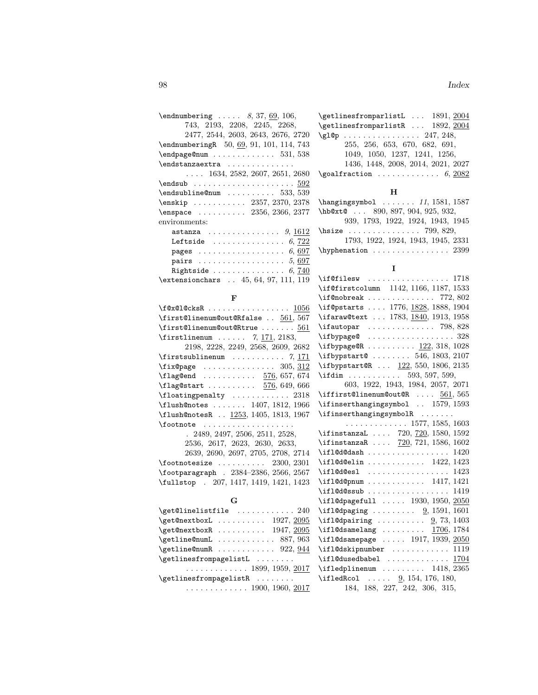| $\end{numbering} \ldots 8, 37, 69, 106,$                 |
|----------------------------------------------------------|
| 743, 2193, 2208, 2245, 2268,                             |
| 2477, 2544, 2603, 2643, 2676, 2720                       |
| \endnumberingR 50, 69, 91, 101, 114, 743                 |
| $\end{page{\text{enum}} \dots \dots \dots 531, 538$      |
|                                                          |
| $\ldots$ 1634, 2582, 2607, 2651, 2680                    |
|                                                          |
| $\end{subline}$ Characteristic methods in the $533, 539$ |
| \enskip  2357, 2370, 2378                                |
| \enspace  2356, 2366, 2377                               |
| environments:                                            |
| astanza $9, 1612$                                        |
| Leftside $\ldots \ldots \ldots \ldots 6,722$             |
|                                                          |
| pairs $\ldots \ldots \ldots \ldots \ldots \ldots 5,697$  |
| Rightside $6,740$                                        |
| \extensionchars  45, 64, 97, 111, 119                    |
|                                                          |

#### F

| $\texttt{f@x@l@cksR} \dots \dots \dots \dots \dots \dots \ 1056$ |
|------------------------------------------------------------------|
| \first@linenum@out@Rfalse  561, 567                              |
| $\frac{561}{3}$                                                  |
| \firstlinenum $7, 171, 2183$ ,                                   |
| 2198, 2228, 2249, 2568, 2609, 2682                               |
| $\frac{7}{171}$                                                  |
| $\frac{305}{312}$                                                |
| $\{\texttt{flagQend} \dots \dots \dots \frac{576}{657,674\}$     |
| $\{\text{flag@start} \dots \dots \dots \ 576, 649, 666\}$        |
|                                                                  |
| \flush@notes  1407, 1812, 1966                                   |
| \flush@notesR  1253, 1405, 1813, 1967                            |
| $\setminus$ footnote                                             |
| . 2489, 2497, 2506, 2511, 2528,                                  |
| 2536, 2617, 2623, 2630, 2633,                                    |
| 2639, 2690, 2697, 2705, 2708, 2714                               |
| $\setminus$ footnotesize  2300, 2301                             |
| \footparagraph 9384-9386 9566 9567                               |

| $\frac{100}{100}$ $\frac{2000}{2001}$   |  |
|-----------------------------------------|--|
| \footparagraph . 2384-2386, 2566, 2567  |  |
| \fullstop . 207, 1417, 1419, 1421, 1423 |  |
|                                         |  |

### G  $\verb+\get@linelistfile + \dots + \dots + 240$  $\verb+\get@nextbox+1+...... 1927, \underline{2095}$ \get@nextboxR . . . . . . . . . . 1947, 2095  $\verb+\getline@numL + \ldots + \ldots + 887, 963$  $\verb+\getline@numR + \ldots + \ldots + 922, 944$ \getlinesfrompagelistL ........ . . . . . . . . . . . . . 1899, 1959, 2017 \getlinesfrompagelistR . . . . . . . . . . . . . . . . . . . . . 1900, 1960, 2017

| \getlinesfromparlistR  1892, 2004                                                                                                                                          |  |    |  |                                                       |             |
|----------------------------------------------------------------------------------------------------------------------------------------------------------------------------|--|----|--|-------------------------------------------------------|-------------|
| $\gtrsim 247, 248,$                                                                                                                                                        |  |    |  |                                                       |             |
|                                                                                                                                                                            |  |    |  | 255, 256, 653, 670, 682, 691,                         |             |
|                                                                                                                                                                            |  |    |  | $1049, \ 1050, \ 1237, \ 1241, \ 1256,$               |             |
|                                                                                                                                                                            |  |    |  | 1436, 1448, 2008, 2014, 2021, 2027                    |             |
| $\qquad$ \goalfraction  6, 2082                                                                                                                                            |  |    |  |                                                       |             |
|                                                                                                                                                                            |  |    |  |                                                       |             |
|                                                                                                                                                                            |  | н  |  |                                                       |             |
| $\hbox{\tt hangingsymbol} \ldots 11, 1581, 1587$                                                                                                                           |  |    |  |                                                       |             |
| \hb@xt@ 890, 897, 904, 925, 932,<br>939, 1793, 1922, 1924, 1943, 1945                                                                                                      |  |    |  |                                                       |             |
|                                                                                                                                                                            |  |    |  |                                                       |             |
| $\hbox{\tt hsize}$ 799, 829,                                                                                                                                               |  |    |  |                                                       |             |
|                                                                                                                                                                            |  |    |  | 1793, 1922, 1924, 1943, 1945, 2331                    |             |
| $\hbox{\tt Nyphenation}\, \ldots \ldots \ldots \, 2399$                                                                                                                    |  |    |  |                                                       |             |
|                                                                                                                                                                            |  |    |  |                                                       |             |
|                                                                                                                                                                            |  | Ι. |  |                                                       |             |
| $\left\{\text{if}$ Cfilesw  1718                                                                                                                                           |  |    |  |                                                       |             |
| \if@firstcolumn 1142, 1166, 1187, 1533                                                                                                                                     |  |    |  |                                                       |             |
| $\iint$ Cnobreak  772, 802                                                                                                                                                 |  |    |  |                                                       |             |
| \if@pstarts  1776, 1828, 1888, 1904                                                                                                                                        |  |    |  |                                                       |             |
| \ifaraw@text  1783, 1840, 1913, 1958                                                                                                                                       |  |    |  |                                                       |             |
|                                                                                                                                                                            |  |    |  |                                                       |             |
| $\left\{ \begin{array}{ccc} \texttt{ifautopar} & \dots & \dots & \texttt{798,828} \\ \texttt{ifbypage@} & \dots & \dots & \dots & \dots & 328 \end{array} \right.$         |  |    |  |                                                       |             |
| \ifbypage@R $122, 318, 1028$                                                                                                                                               |  |    |  |                                                       |             |
| \ifbypstart@  546, 1803, 2107                                                                                                                                              |  |    |  |                                                       |             |
| \ifbypstart@R $122, 550, 1806, 2135$                                                                                                                                       |  |    |  |                                                       |             |
| $\left\{\text{if dim } \ldots \ldots \ldots \quad 593, 597, 599, \ldots \right\}$                                                                                          |  |    |  |                                                       |             |
|                                                                                                                                                                            |  |    |  | 603, 1922, 1943, 1984, 2057, 2071                     |             |
| \iffirst@linenum@out@R $\underline{561}$ , 565                                                                                                                             |  |    |  |                                                       |             |
| \ifinserthangingsymbol  1579, 1593                                                                                                                                         |  |    |  |                                                       |             |
| \ifinserthangingsymbolR                                                                                                                                                    |  |    |  |                                                       |             |
|                                                                                                                                                                            |  |    |  | $\ldots \ldots \ldots \ldots \ldots 1577, 1585, 1603$ |             |
|                                                                                                                                                                            |  |    |  |                                                       |             |
| \ifinstanzaL  720, <u>720</u> , 1580, 1592<br>\ifinstanzaR <u>720</u> , 721, 1586, 1602                                                                                    |  |    |  |                                                       |             |
| $\iint \text{10d} \text{0d}$ ash  1420                                                                                                                                     |  |    |  |                                                       |             |
| $\left\{ \iota_0, \iota_1, \iota_2, \iota_3, \iota_4, \iota_5, \iota_6, \iota_7, \iota_8, \iota_9, \iota_1, \iota_2, \iota_3, \iota_1, \iota_2, \iota_3, \iota_7 \right\}$ |  |    |  |                                                       |             |
| $\tilde{\qquad 10d0es1$ 1423                                                                                                                                               |  |    |  |                                                       |             |
| \ifl@d@pnum  1417, 1421                                                                                                                                                    |  |    |  |                                                       |             |
|                                                                                                                                                                            |  |    |  |                                                       |             |
| $\if1@d@ssub  \dots 1419$<br>\if1@dpagefull  1930, 1950, <u>2050</u>                                                                                                       |  |    |  |                                                       |             |
| $\iff$ 1501, 1601                                                                                                                                                          |  |    |  |                                                       |             |
| \ifl@dpairing $\frac{9}{73}$ , 1403                                                                                                                                        |  |    |  |                                                       |             |
| \ifl@dsamelang $1706, 1784$                                                                                                                                                |  |    |  |                                                       |             |
| $\iint$ 10dsamepage  1917, 1939, $2050$                                                                                                                                    |  |    |  |                                                       |             |
| $\iint$ l@dskipnumber  1119                                                                                                                                                |  |    |  |                                                       |             |
|                                                                                                                                                                            |  |    |  |                                                       | <u>1704</u> |
| $\left\{ \text{1418}, \text{2365} \right\}$                                                                                                                                |  |    |  |                                                       |             |
| $\left\{ \text{16dRcol} \dots \right\}$ 9, 154, 176, 180,                                                                                                                  |  |    |  |                                                       |             |
|                                                                                                                                                                            |  |    |  | 184, 188, 227, 242, 306, 315,                         |             |
|                                                                                                                                                                            |  |    |  |                                                       |             |

\getlinesfromparlistL ... 1891, 2004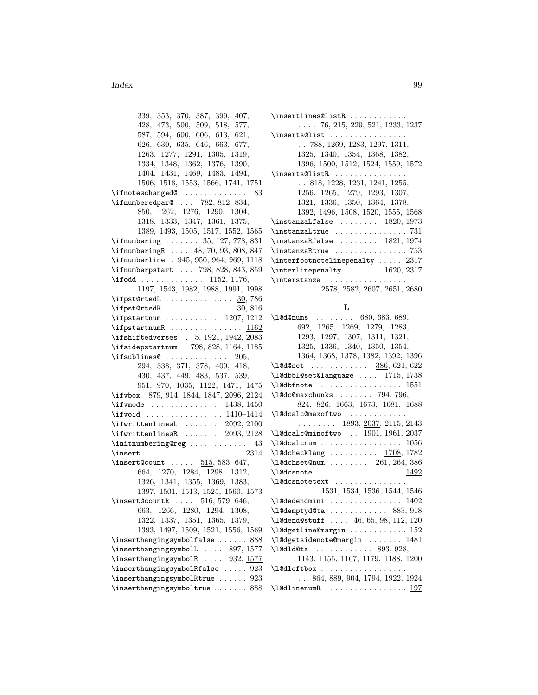#### Index 99

339, 353, 370, 387, 399, 407, 428, 473, 500, 509, 518, 577, 587, 594, 600, 606, 613, 621, 626, 630, 635, 646, 663, 677, 1263, 1277, 1291, 1305, 1319, 1334, 1348, 1362, 1376, 1390, 1404, 1431, 1469, 1483, 1494, 1506, 1518, 1553, 1566, 1741, 1751  $\left\{ \pi \right\}$  . . . . . . . . . . . . . 83 \ifnumberedpar@ ... 782, 812, 834, 850, 1262, 1276, 1290, 1304, 1318, 1333, 1347, 1361, 1375, 1389, 1493, 1505, 1517, 1552, 1565 \ifnumbering ....... 35, 127, 778, 831 \ifnumberingR .... 48, 70, 93, 808, 847 \ifnumberline . 945, 950, 964, 969, 1118 \ifnumberpstart ... 798, 828, 843, 859 \ifodd . . . . . . . . . . . . . 1152, 1176, 1197, 1543, 1982, 1988, 1991, 1998 \ifpst@rtedL . . . . . . . . . . . . . . 30, 786  $\iff$   $\forall$  if pst@rtedR . . . . . . . . . . . . . . 30, 816 \ifpstartnum .......... 1207, 1212  $\ifmmode\big\{\text{ifpstartnumR}\quad\ldots\quad \ldots \quad \text{ifp2}\fi\$ \ifshiftedverses . 5, 1921, 1942, 2083 \ifsidepstartnum 798, 828, 1164, 1185  $\iint sublines@ . . . . . . . . . . . . 205,$ 294, 338, 371, 378, 409, 418, 430, 437, 449, 483, 537, 539, 951, 970, 1035, 1122, 1471, 1475 \ifvbox 879, 914, 1844, 1847, 2096, 2124 \ifvmode ............. 1438, 1450 \ifvoid . . . . . . . . . . . . . . . . 1410–1414 \ifwrittenlinesL  $\dots \dots$  2092, 2100 \ifwrittenlinesR . . . . . . . 2093, 2128 \initnumbering@reg ............ 43 \insert . . . . . . . . . . . . . . . . . . . . 2314 \insert@count .....  $515, 583, 647,$ 664, 1270, 1284, 1298, 1312, 1326, 1341, 1355, 1369, 1383, 1397, 1501, 1513, 1525, 1560, 1573  $\infty$ Finsert@countR ....  $516, 579, 646,$ 663, 1266, 1280, 1294, 1308, 1322, 1337, 1351, 1365, 1379, 1393, 1497, 1509, 1521, 1556, 1569 \inserthangingsymbolfalse ...... 888 \inserthangingsymbolL .... 897, 1577 \inserthangingsymbolR .... 932, 1577 \inserthangingsymbolRfalse ..... 923 \inserthangingsymbolRtrue ...... 923 \inserthangingsymboltrue ....... 888

\insertlines@listR . . . . . . . . . . . . . . . 76, 215, 229, 521, 1233, 1237 \inserts@list ................ . . 788, 1269, 1283, 1297, 1311, 1325, 1340, 1354, 1368, 1382, 1396, 1500, 1512, 1524, 1559, 1572 \inserts@listR . . . . . . . . . . . . . . . . 818, 1228, 1231, 1241, 1255, 1256, 1265, 1279, 1293, 1307, 1321, 1336, 1350, 1364, 1378, 1392, 1496, 1508, 1520, 1555, 1568  $\{$ instanza<code>Lfalse</code>  $\ldots$ .....  $1820, 1973$ \instanzaLtrue . . . . . . . . . . . . . . . 731 \instanzaRfalse . . . . . . . . 1821, 1974  $\verb+\instantrule+...+... 753+$ \interfootnotelinepenalty ..... 2317 \interlinepenalty . . . . . . 1620, 2317 \interstanza . . . . . . . . . . . . . . . . . . . . . 2578, 2582, 2607, 2651, 2680

#### L

| $\lambda$ 10d0nums  680, 683, 689,                            |
|---------------------------------------------------------------|
| 692, 1265, 1269, 1279, 1283,                                  |
| 1293, 1297, 1307, 1311, 1321,                                 |
| 1325, 1336, 1340, 1350, 1354,                                 |
| 1364, 1368, 1378, 1382, 1392, 1396                            |
| $\lambda$ 10d0set  386, 621, 622                              |
| $\lceil \cdot \rceil$ 10dbbl@set@language $\frac{1715}{1738}$ |
| $\lambda$ 1@dbfnote  1551                                     |
| $\lambda$ 10dc0maxchunks  794, 796,                           |
| 824, 826, 1663, 1673, 1681, 1688                              |
| \1@dcalc@maxoftwo                                             |
| $\ldots \ldots \ldots 1893, \underline{2037}, 2115, 2143$     |
| \1@dcalc@minoftwo  1901, 1961, 2037                           |
| $\lambda$ 1@dcalcnum <u>1056</u>                              |
| $\lambda$ 1@dchecklang <u>1708</u> , 1782                     |
| $\lambda$ 1@dchset@num  261, 264, 386                         |
| $\lambda$ 1@dcsnote <u>1492</u>                               |
| \l@dcsnotetext                                                |
| $\ldots$ 1531, 1534, 1536, 1544, 1546                         |
| $\lambda$ 1@dedendmini <u>1402</u>                            |
| $\lambda$ 1@demptyd@ta  883, 918                              |
| \1@dend@stuff  46, 65, 98, 112, 120                           |
| $\lceil \text{10dgetline@margin    152}\rceil$                |
| \1@dgetsidenote@margin  1481                                  |
| $\lambda$ 1@dld@ta  893, 928,                                 |
| 1143, 1155, 1167, 1179, 1188, 1200                            |
|                                                               |
| $\ldots$ 864, 889, 904, 1794, 1922, 1924                      |
|                                                               |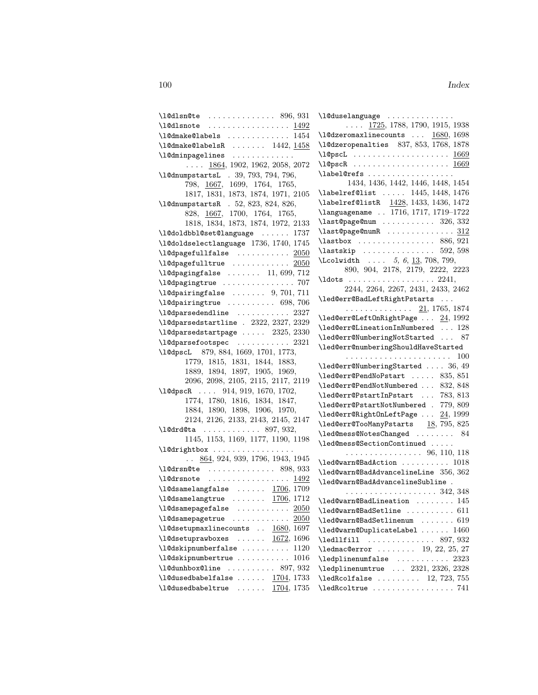| $\lambda$ 1@dlsn@te  896, 931                                           | \1             |
|-------------------------------------------------------------------------|----------------|
|                                                                         |                |
| $\lambda$ 10dmake01abe1s  1454                                          | \1             |
|                                                                         | \1             |
| $\label{thm:main} $$\l@dmake@labelsR\n    1442, 1458\n\l@dminpagelines$ | \1             |
| $\ldots$ 1864, 1902, 1962, 2058, 2072                                   | \1             |
| \10dnumpstartsL . 39, 793, 794, 796,                                    | $\setminus$ l  |
| $798, \ \underline{1667}, \ \ 1699, \ \ 1764, \ \ 1765,$                |                |
| 1817, 1831, 1873, 1874, 1971, 2105                                      | \1             |
| \l@dnumpstartsR . 52, 823, 824, 826,                                    | \1             |
| 828, 1667, 1700, 1764, 1765,                                            | $\setminus$ l  |
| 1818, 1834, 1873, 1874, 1972, 2133                                      | \1             |
| \1@doldbbl@set@language  1737                                           | \1             |
| \1@doldselectlanguage 1736, 1740, 1745                                  | \1             |
| $\lambda$ 1@dpagefullfalse  2050                                        | \1             |
| $\lambda$ 1@dpagefulltrue  2050                                         | ١L             |
| $\lceil \text{1@dpagingfalse} \ldots \ldots \ldots \rceil$ 11, 699, 712 |                |
|                                                                         | $\backslash$ l |
| $\lceil \text{Adpairingfalse} \ldots \ldots \rceil$ , 701, 711          |                |
| $\lambda$ 1@dpairingtrue  698,706                                       | $\backslash$ l |
| $\verb+\l@dparsedendline \dots \: . \: . \: . \: . \: . \: . \: 2327$   |                |
| \1@dparsedstartline . 2322, 2327, 2329                                  | \1<br>\1       |
| $\lceil \text{0dparsedstartpage  2325, 2330} \rceil$                    | \1             |
| $\lambda$ 1@dparsefootspec  2321                                        | $\setminus$ l  |
| \1@dpscL 879, 884, 1669, 1701, 1773,                                    |                |
| 1779, 1815, 1831, 1844, 1883,                                           | \1             |
| 1889, 1894, 1897, 1905, 1969,                                           | \1             |
| 2096, 2098, 2105, 2115, 2117, 2119                                      | $\sqrt{1}$     |
| \l@dpscR  914, 919, 1670, 1702,                                         | $\sqrt{1}$     |
| 1774, 1780, 1816, 1834, 1847,                                           | $\sqrt{1}$     |
| 1884, 1890, 1898, 1906, 1970,                                           | \1             |
| 2124, 2126, 2133, 2143, 2145, 2147                                      | \1             |
| $\lambda$ 10drd0ta  897, 932,                                           | \1             |
| 1145, 1153, 1169, 1177, 1190, 1198                                      | $\sqrt{1}$     |
| \l@drightbox                                                            |                |
| $\ldots$ 864, 924, 939, 1796, 1943, 1945                                | \1             |
| $\lambda$ 398, 933                                                      | $\sqrt{1}$     |
|                                                                         | \1             |
| \1@dsamelangfalse $\dots \dots$ 1706, 1709                              |                |
| $\lambda$ 1@dsamelangtrue <u>1706</u> , 1712                            | $\sqrt{1}$     |
| \10dsamepagefalse<br>2050<br>.                                          | /1             |
| \10dsamepagetrue<br>.<br>2050                                           | \1             |
| \1@dsetupmaxlinecounts  1680, 1697                                      | \1             |
| \l@dsetuprawboxes<br>$\frac{1672}{1696}$                                | \1             |
| \l@dskipnumberfalse<br>1120                                             | \1             |
| \1@dskipnumbertrue<br>1016                                              | \1             |
| \1@dunhbox@line<br>$\cdots \cdots \cdots$ 897, 932                      | \1             |
| $\lambda$ 1@dusedbabelfalse $1704, 1733$                                | \1             |
| $\lambda$ 1@dusedbabeltrue $1704, 1735$                                 | $\setminus$ l  |

| \1@duselanguage                                                                    |
|------------------------------------------------------------------------------------|
| $\ldots$ 1725, 1788, 1790, 1915, 1938                                              |
| $\lambda$ 10dzeromaxlinecounts $\underline{1680}$ , 1698                           |
| \1@dzeropenalties 837, 853, 1768, 1878                                             |
| $\lambda$ 1@pscL <u>1669</u>                                                       |
| \l@pscR  1669                                                                      |
| \label@refs                                                                        |
| 1434, 1436, 1442, 1446, 1448, 1454                                                 |
| \labelref@list  1445, 1448, 1476<br>\labelref@listR <u>1428</u> , 1433, 1436, 1472 |
|                                                                                    |
|                                                                                    |
| \languagename  1716, 1717, 1719—1722<br>\last@page@num  326, 332                   |
| $\lambda$ ast@page@numR  312                                                       |
| \lastbox  886, 921                                                                 |
| $\text{lastskip} \ldots \ldots \ldots \ldots 592, 598$                             |
| \Lcolwidth  5, 6, 13, 708, 799,                                                    |
| 890, 904, 2178, 2179, 2222, 2223                                                   |
|                                                                                    |
| 2244, 2264, 2267, 2431, 2433, 2462                                                 |
| \led@err@BadLeftRightPstarts                                                       |
| . <u>21</u> , 1765, 1874                                                           |
| $\lambda$ led@err@LeftOnRightPage $24, 1992$                                       |
| $\lambda$ 1ed@err@LineationInNumbered  128                                         |
| $\lambda$ led@err@NumberingNotStarted  87                                          |
| \led@err@numberingShouldHaveStarted                                                |
|                                                                                    |
| \led@err@NumberingStarted  36, 49                                                  |
|                                                                                    |
| \led@err@PendNoPstart  835,851<br>\led@err@PendNotNumbered  832,848                |
| \led@err@PstartInPstart  783, 813                                                  |
| \led@err@PstartNotNumbered . 779, 809                                              |
| $\lambda$ led@err@RightOnLeftPage $24, 1999$                                       |
| $\lambda$ led@err@TooManyPstarts 18,795,825                                        |
| \led@mess@NotesChanged  84                                                         |
| \led@mess@SectionContinued                                                         |
| $\cdots \cdots \cdots \cdots \cdots \cdots 96, 110, 118$                           |
| \led@warn@BadAction  1018                                                          |
| \led@warn@BadAdvancelineLine 356, 362                                              |
| \led@warn@BadAdvancelineSubline .                                                  |
| . 342, 348                                                                         |
| $\lambda$ led@warn@BadLineation  145                                               |
| \led@warn@BadSetline  611                                                          |
| $\leq$ d@warn@BadSetlinenum  619                                                   |
| $\lambda$ led@warn@DuplicateLabel  1460                                            |
|                                                                                    |
| $\lambda$ ledllfill  897, 932<br>$\lambda$ 23, 25, 27                              |
| $\lambda$ ledplinenumfalse  2323                                                   |
| \ledplinenumtrue  2321, 2326, 2328                                                 |
|                                                                                    |
| $\lambda$ ledRcolfalse  12, 723, 755                                               |
|                                                                                    |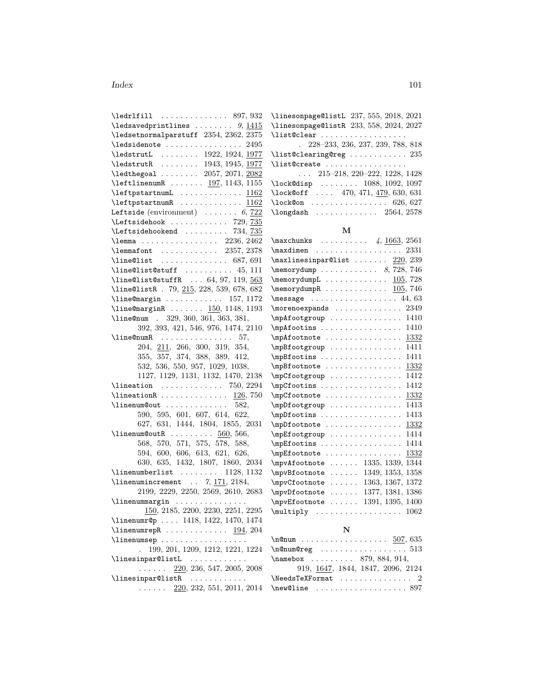#### Index 101

| $\left\{ \text{ledr1fill} \dots \dots \dots \dots \quad 897, 932 \right.$                                               |
|-------------------------------------------------------------------------------------------------------------------------|
| \ledsavedprintlines $9, 1415$                                                                                           |
| $\label{thm:rel}$<br>(ledsetnormalparstuff $\,$ 2354, 2362, 2375                                                        |
| $\lambda$ edsidenote  2495                                                                                              |
| $\lambda$ ledstrutL  1922, 1924, 1977                                                                                   |
|                                                                                                                         |
| \ledstrutR  1943, 1945, 1977<br>\ledthegoal  2057, 2071, 2082<br>\leftlinenumR  197, 1143, 1155                         |
|                                                                                                                         |
| $\left\{\texttt{left} \right\} \dots \dots \dots \frac{1162}{\texttt{right} \}$                                         |
|                                                                                                                         |
| Leftside (environment) $\ldots \ldots 6, 722$                                                                           |
|                                                                                                                         |
| $\Leftarrow$ T29, 735<br>$\Leftarrow$ Table 1. 729, 735<br>Teftsidehookend                                              |
|                                                                                                                         |
| \lemmafont  2357, 2378                                                                                                  |
|                                                                                                                         |
| $\label{thm:main} $$ \line@list  \ldots  . 687, 691 $$ \line@list@suffix f   . 45, 111$                                 |
| \line@list@stuffR $64, 97, 119, \frac{563}{ }$                                                                          |
| \line@listR . 79, 215, 228, 539, 678, 682                                                                               |
| $\{\text{line}$ Cmargin  157, 1172                                                                                      |
| \line@marginR  150, 1148, 1193                                                                                          |
| \line@num . 329, 360, 361, 363, 381,                                                                                    |
| 392, 393, 421, 546, 976, 1474, 2110                                                                                     |
|                                                                                                                         |
| \line@numR 57,<br>204, 211, 266, 300, 319, 354,                                                                         |
| 355, 357, 374, 388, 389, 412,                                                                                           |
| 532, 536, 550, 957, 1029, 1038,                                                                                         |
| 1127, 1129, 1131, 1132, 1470, 2138                                                                                      |
| $\lambda$ ineation  750, 2294                                                                                           |
|                                                                                                                         |
| \lineationR $126, 750$<br>\linenum@out  582,                                                                            |
|                                                                                                                         |
| 590, 595, 601, 607, 614, 622,                                                                                           |
| 627, 631, 1444, 1804, 1855, 2031                                                                                        |
| \linenum@outR $560, 566$ ,                                                                                              |
| $568,\ 570,\ 571,\ 575,\ 578,\ 588,$                                                                                    |
| $\begin{array}{rrrr} 594, & 600, & 606, & 613, & 621, & 626, \\ 630, & 635, & 1432, & 1807, & 1860, & 2034 \end{array}$ |
|                                                                                                                         |
| $\label{eq:linear}$<br>(linenumberlist  1128, 1132                                                                      |
| $\{linenumincrement$ . 7, 171, 2184,                                                                                    |
| 2199, 2229, 2250, 2569, 2610, 2683                                                                                      |
| \linenummargin                                                                                                          |
| 150, 2185, 2200, 2230, 2251, 2295                                                                                       |
| \linenumr@p  1418, 1422, 1470, 1474                                                                                     |
| $\lvert$ linenumrepR  194, 204                                                                                          |
| \linenumsep                                                                                                             |
| 199, 201, 1209, 1212, 1221, 1224                                                                                        |
| $\{\text{linearQlistL} \dots \dots \dots \}$                                                                            |
| $\ldots \ldots$ 220, 236, 547, 2005, 2008                                                                               |
| \linesinpar@listR                                                                                                       |
| $\ldots$ $\ldots$ 220, 232, 551, 2011, 2014                                                                             |
|                                                                                                                         |

\linesonpage@listL 237, 555, 2018, 2021 \linesonpage@listR 233, 558, 2024, 2027 \list@clear . . . . . . . . . . . . . . . . . .

| $. \quad 228 - 233, 236, 237, 239, 788, 818$               |
|------------------------------------------------------------|
| $\texttt{list@clearing@reg} \dots \dots \dots \dots \ 235$ |
| \list@create                                               |
| $\ldots$ 215–218, 220–222, 1228, 1428                      |
| \lock@disp  1088, 1092, 1097                               |
| \lock@off  470, 471, 479, 630, 631                         |
| \lock@on 626, 627                                          |
| $\lambda$ 2564, 2578                                       |

#### M

| $\max$ chunks  4, 1663, 2561                            |  |
|---------------------------------------------------------|--|
| 2331                                                    |  |
| $\texttt{maxlinesinpar}$ Clist $220, 239$               |  |
| $\emptyset$ , Table 728, 746                            |  |
| $\mbox{memorydumpL}$ 105, 728                           |  |
| $\m$ emorydumpR 105, 746                                |  |
| $\text{message} \dots \dots \dots \dots \dots \ 44, 63$ |  |
| $\{moreno expands \ldots \ldots$<br>2349                |  |
| 1410<br>$\mho$ Afootgroup                               |  |
| 1410                                                    |  |
| $\m{\mathsf{notne} \ldots \ldots$<br>1332               |  |
| 1411<br>\mpBfootgroup                                   |  |
| 1411<br>\mpBfootins                                     |  |
| 1332<br>\mpBfootnote                                    |  |
| 1412<br>\mpCfootgroup                                   |  |
| 1412<br>\mpCfootins                                     |  |
| 1332<br>\mpCfootnote                                    |  |
| 1413<br>\mpDfootgroup                                   |  |
| 1413<br>\mpDfootins                                     |  |
| 1332<br>\mpDfootnote                                    |  |
| 1414<br>\mpEfootgroup                                   |  |
| 1414<br>\mpEfootins                                     |  |
| 1332<br>\mpEfootnote                                    |  |
| 1335, 1339,<br>1344<br>\mpvAfootnote                    |  |
| 1349, 1353, 1358<br>\mpvBfootnote                       |  |
| 1372<br>1363, 1367,<br>\mpvCfootnote                    |  |
| 1377, 1381, 1386<br>\mpvDfootnote                       |  |
| 1391, 1395, 1400<br>\mpvEfootnote                       |  |
| 1062<br>$\text{Multiply} \ldots \ldots \ldots$          |  |
|                                                         |  |

## N

| $\{\texttt{m@num} \dots \dots \dots \dots \dots \dots \ 507, 635$                              |                                   |
|------------------------------------------------------------------------------------------------|-----------------------------------|
| $\{\texttt{n@num@reg}\quad \ldots \ldots \ldots \ldots \quad \ldots \quad \ldots \quad \ldots$ |                                   |
| \namebox  879,884,914,                                                                         |                                   |
|                                                                                                | 919, 1647, 1844, 1847, 2096, 2124 |
| $\texttt{\texttt{NeedsTeXFormat}} \dots \dots \dots \dots \dots \ 2$                           |                                   |
| $\{\text{new}@line \dots \dots \dots \dots \dots \ 897\}$                                      |                                   |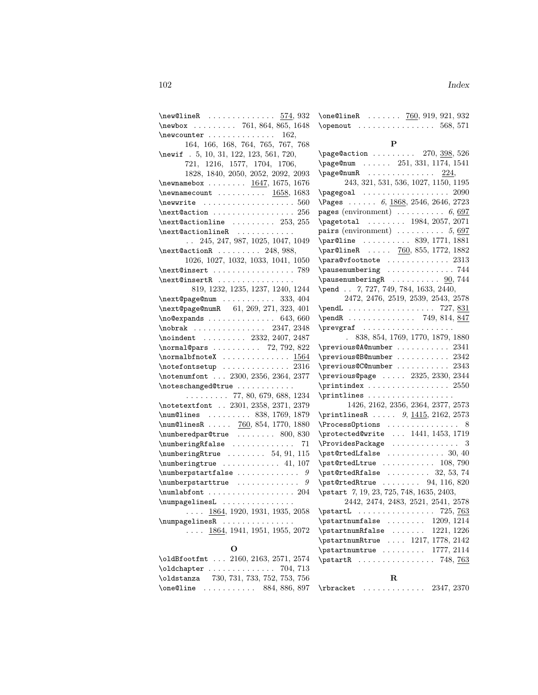| $\new$ OlineR $574,932$                                                                                                                                                                                                                             | \one        |
|-----------------------------------------------------------------------------------------------------------------------------------------------------------------------------------------------------------------------------------------------------|-------------|
| $\neq 761, 864, 865, 1648$                                                                                                                                                                                                                          | \ope        |
| $\neq 162$ ,                                                                                                                                                                                                                                        |             |
| 164, 166, 168, 764, 765, 767, 768                                                                                                                                                                                                                   |             |
| \newif . 5, 10, 31, 122, 123, 561, 720,                                                                                                                                                                                                             | \pag        |
| 721, 1216, 1577, 1704, 1706,                                                                                                                                                                                                                        | \pag        |
| 1828, 1840, 2050, 2052, 2092, 2093                                                                                                                                                                                                                  | \pag        |
| \newnamebox $1647, 1675, 1676$                                                                                                                                                                                                                      |             |
| $\label{eq:1658} \texttt{\textcolor{red}{newnamecount}} \dots \dots \dots \underbrace{1658}_{1683} , 1683$                                                                                                                                          | \pag        |
| $\text{newwrite} \dots \dots \dots \dots \dots \dots \dots \dots \dots \dots \dots \dots \dots$                                                                                                                                                     | <b>\Pag</b> |
|                                                                                                                                                                                                                                                     | page        |
| $\n\texttt{Qactionline} \dots \dots \ 253, 255$                                                                                                                                                                                                     | \pag        |
| \next@actionlineR<br>$\sim$ . The second second second second second second second second second second second second second second second second second second second second second second second second second second second second second second | pair        |
| $\ldots$ 245, 247, 987, 1025, 1047, 1049                                                                                                                                                                                                            | \par        |
| $\n\texttt{FactorR} \dots \dots \ 248, 988,$                                                                                                                                                                                                        | \par        |
| 1026, 1027, 1032, 1033, 1041, 1050                                                                                                                                                                                                                  | \par        |
| $\text{\textcircled{insert}} \dots \dots \dots \dots \dots \dots \dots \dots \dots \dots \dots \dots$                                                                                                                                               | \pau        |
| \next@insertR                                                                                                                                                                                                                                       | \pau        |
| 819, 1232, 1235, 1237, 1240, 1244                                                                                                                                                                                                                   | \pen        |
| $\verb+\next@page@num + \ldots + \ldots + 333, 404$                                                                                                                                                                                                 |             |
| \next@page@numR 61, 269, 271, 323, 401                                                                                                                                                                                                              | \pen        |
|                                                                                                                                                                                                                                                     | \pen        |
|                                                                                                                                                                                                                                                     | \pre        |
| \noindent  2332, 2407, 2487                                                                                                                                                                                                                         |             |
| $\label{eq:normal} \mbox{normal@pars } \ldots \ldots \ldots \mbox{~~72, 792, 822}$                                                                                                                                                                  | \pre        |
| \normalbfnoteX $1564$                                                                                                                                                                                                                               | \pre        |
| $\cdot$ \notefontsetup  2316                                                                                                                                                                                                                        | \pre        |
| \notenumfont  2300, 2356, 2364, 2377                                                                                                                                                                                                                | \pre        |
| \noteschanged@true                                                                                                                                                                                                                                  | \pri        |
| $\ldots \ldots \ldots$ 77, 80, 679, 688, 1234                                                                                                                                                                                                       | \pri        |
| \notetextfont  2301, 2358, 2371, 2379                                                                                                                                                                                                               |             |
| $\verb+\num@lines + \ldots + 838, 1769, 1879$                                                                                                                                                                                                       | \pri        |
| $\num@linesR  760, 854, 1770, 1880$                                                                                                                                                                                                                 | \Pro        |
| $\{\text{numberedpar@true} \dots \dots \ 800, 830\}$                                                                                                                                                                                                | \pro        |
| $\verb+\numberingRfalse + \dots + \dots + 71$                                                                                                                                                                                                       | \Pro        |
| $\{\n    numberingRtrue \ldots 54, 91, 115\n   $                                                                                                                                                                                                    | \pst        |
| $\text{numberingtrue} \dots \dots \dots \ 41, 107$                                                                                                                                                                                                  | \pst        |
| $\verb+\numberpstartfalse + \verb+\+.\dots + \verb+\+.\ 9$                                                                                                                                                                                          | \pst        |
| \numberpstarttrue<br>9                                                                                                                                                                                                                              | \pst        |
| $\texttt{numlabfont} \dots \dots \dots \dots \dots \ 204$                                                                                                                                                                                           | \pst        |
| \numpagelinesL                                                                                                                                                                                                                                      |             |
| $\ldots$ 1864, 1920, 1931, 1935, 2058                                                                                                                                                                                                               | \pst        |
| $\numpagelinesR$                                                                                                                                                                                                                                    | \pst        |
| $\ldots$ 1864, 1941, 1951, 1955, 2072                                                                                                                                                                                                               | \pst        |
|                                                                                                                                                                                                                                                     | \pst        |
| O                                                                                                                                                                                                                                                   | \pst        |
| \oldBfootfmt  2160, 2163, 2571, 2574                                                                                                                                                                                                                | \pst        |

\oldchapter .............. 704, 713 \oldstanza 730, 731, 733, 752, 753, 756

| \one@lineR $760, 919, 921, 932$                                |  |  |  |  |  |  |  |  |
|----------------------------------------------------------------|--|--|--|--|--|--|--|--|
| $\omega$ $\ldots$ $\ldots$ $\ldots$ $\ldots$ $\ldots$ 568, 571 |  |  |  |  |  |  |  |  |

### $\mathbf P$

| $\mathbf R$                                                                                                                                                                                                                                                                                                                                                                                                                                     |
|-------------------------------------------------------------------------------------------------------------------------------------------------------------------------------------------------------------------------------------------------------------------------------------------------------------------------------------------------------------------------------------------------------------------------------------------------|
|                                                                                                                                                                                                                                                                                                                                                                                                                                                 |
| $\sqrt{2114}$                                                                                                                                                                                                                                                                                                                                                                                                                                   |
|                                                                                                                                                                                                                                                                                                                                                                                                                                                 |
| \pstartnumRtrue  1217, 1778, 2142                                                                                                                                                                                                                                                                                                                                                                                                               |
|                                                                                                                                                                                                                                                                                                                                                                                                                                                 |
| \pstartL  725, 763                                                                                                                                                                                                                                                                                                                                                                                                                              |
| 2442, 2474, 2483, 2521, 2541, 2578                                                                                                                                                                                                                                                                                                                                                                                                              |
| \pstart 7, 19, 23, 725, 748, 1635, 2403,                                                                                                                                                                                                                                                                                                                                                                                                        |
| $\sqrt{94, 116, 820}$                                                                                                                                                                                                                                                                                                                                                                                                                           |
| $\sqrt{25}$ , $32, 53, 74$                                                                                                                                                                                                                                                                                                                                                                                                                      |
| $\text{C}$ \pst@rtedLtrue  108, 790                                                                                                                                                                                                                                                                                                                                                                                                             |
| $\texttt{{\small \textsf{A}}}$                                                                                                                                                                                                                                                                                                                                                                                                                  |
|                                                                                                                                                                                                                                                                                                                                                                                                                                                 |
|                                                                                                                                                                                                                                                                                                                                                                                                                                                 |
| \ProcessOptions  8                                                                                                                                                                                                                                                                                                                                                                                                                              |
| \printlinesR $9, \underline{1415}, 2162, 2573$                                                                                                                                                                                                                                                                                                                                                                                                  |
| 1426, 2162, 2356, 2364, 2377, 2573                                                                                                                                                                                                                                                                                                                                                                                                              |
| \printlines                                                                                                                                                                                                                                                                                                                                                                                                                                     |
| $\prime$ $2550$                                                                                                                                                                                                                                                                                                                                                                                                                                 |
| $\preceq$ $\preceq$ 2325, 2330, 2344                                                                                                                                                                                                                                                                                                                                                                                                            |
| \previous@C@number  2343                                                                                                                                                                                                                                                                                                                                                                                                                        |
|                                                                                                                                                                                                                                                                                                                                                                                                                                                 |
| \previous@A@number  2341<br>\previous@B@number  2342                                                                                                                                                                                                                                                                                                                                                                                            |
| . 838, 854, 1769, 1770, 1879, 1880                                                                                                                                                                                                                                                                                                                                                                                                              |
| \prevgraf                                                                                                                                                                                                                                                                                                                                                                                                                                       |
| \pendR  749, 814, 847                                                                                                                                                                                                                                                                                                                                                                                                                           |
|                                                                                                                                                                                                                                                                                                                                                                                                                                                 |
| 2472, 2476, 2519, 2539, 2543, 2578                                                                                                                                                                                                                                                                                                                                                                                                              |
| \pend . 7, 727, 749, 784, 1633, 2440,                                                                                                                                                                                                                                                                                                                                                                                                           |
| $\alpha$ usenumbering $\alpha$ $90, 744$                                                                                                                                                                                                                                                                                                                                                                                                        |
|                                                                                                                                                                                                                                                                                                                                                                                                                                                 |
| \para@vfootnote  2313<br>\pausenumbering  744                                                                                                                                                                                                                                                                                                                                                                                                   |
| $\{par@lineR  760, 855, 1772, 1882\}$                                                                                                                                                                                                                                                                                                                                                                                                           |
| \par@line  839, 1771, 1881                                                                                                                                                                                                                                                                                                                                                                                                                      |
| $pairs$ (environment)  5, 697                                                                                                                                                                                                                                                                                                                                                                                                                   |
|                                                                                                                                                                                                                                                                                                                                                                                                                                                 |
| <b>pages</b> (environment) $\ldots \ldots \ldots \ldots 6, 697$<br>$\begin{array}{ccc} \texttt{N} & \texttt{0.001} \\ \texttt{N} & \texttt{1.001} \\ \texttt{0.001} & \texttt{0.001} \\ \texttt{0.001} & \texttt{0.001} \\ \texttt{0.001} & \texttt{0.001} \\ \texttt{0.001} & \texttt{0.001} \\ \texttt{0.001} & \texttt{0.001} \\ \texttt{0.001} & \texttt{0.001} \\ \texttt{0.001} & \texttt{0.001} \\ \texttt{0.001} & \texttt{0.001} \\ \$ |
|                                                                                                                                                                                                                                                                                                                                                                                                                                                 |
| \Pages  6, 1868, 2546, 2646, 2723                                                                                                                                                                                                                                                                                                                                                                                                               |
|                                                                                                                                                                                                                                                                                                                                                                                                                                                 |
| 243, 321, 531, 536, 1027, 1150, 1195                                                                                                                                                                                                                                                                                                                                                                                                            |
| $\texttt{page@numR}$ $224$ ,                                                                                                                                                                                                                                                                                                                                                                                                                    |
| $\text{Page@action } \ldots \ldots \quad 270, \frac{398}{526}$<br>\page@num  251, 331, 1174, 1541                                                                                                                                                                                                                                                                                                                                               |
|                                                                                                                                                                                                                                                                                                                                                                                                                                                 |

\one@line ........... 884, 886, 897 \rbracket .............. 2347, 2370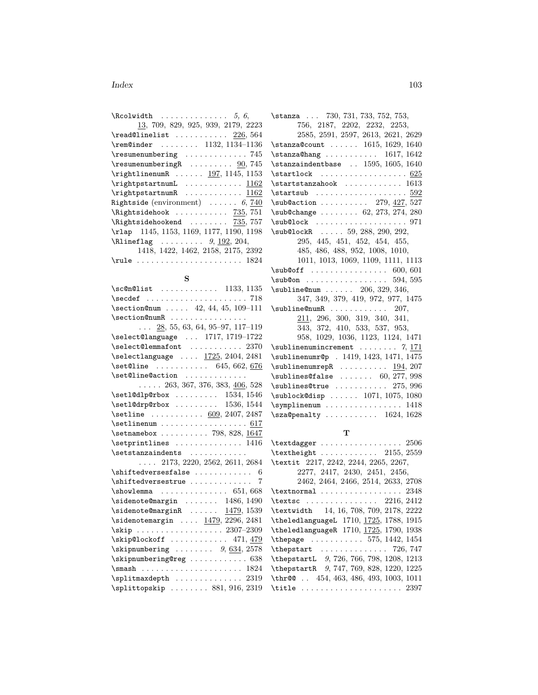#### Index 103

| $\lambda$ . $\beta$ , $\beta$ , $\beta$ , $\beta$ , $\beta$ , $\beta$ , $\beta$ , $\beta$ , $\beta$ , $\beta$ , $\beta$ , $\beta$ , $\beta$ , $\beta$ , $\alpha$ , $\beta$ , $\beta$ , $\alpha$ , $\beta$ , $\beta$ , $\alpha$ , $\beta$ , $\alpha$ , $\beta$ , $\alpha$ , $\beta$ , $\alpha$ , $\beta$ , $\alpha$ , $\alpha$ , $\beta$ , $\alpha$ , $\alpha$ , $\alpha$ , $\alpha$ , $\alpha$ , |
|--------------------------------------------------------------------------------------------------------------------------------------------------------------------------------------------------------------------------------------------------------------------------------------------------------------------------------------------------------------------------------------------------|
| 13, 709, 829, 925, 939, 2179, 2223                                                                                                                                                                                                                                                                                                                                                               |
| $\text{Pread}$ Clinelist  226, 564                                                                                                                                                                                                                                                                                                                                                               |
| $\rem@inder$ 1132, 1134-1136                                                                                                                                                                                                                                                                                                                                                                     |
| $\text{Yesumenumbering} \dots \dots \dots \dots \ 745$                                                                                                                                                                                                                                                                                                                                           |
| $\text{resumenumberingR}$ $90,745$                                                                                                                                                                                                                                                                                                                                                               |
| $\rightarrow$ R  197, 1145, 1153                                                                                                                                                                                                                                                                                                                                                                 |
| $\rightarrow$ $\{1162$                                                                                                                                                                                                                                                                                                                                                                           |
| $\rightarrow$ $\{rightpstartnumR$ 1162                                                                                                                                                                                                                                                                                                                                                           |
| Rightside (environment) $\ldots \ldots 6, 740$                                                                                                                                                                                                                                                                                                                                                   |
|                                                                                                                                                                                                                                                                                                                                                                                                  |
| $\hbox{\tt \&ight}$                                                                                                                                                                                                                                                                                                                                                                              |
| \rlap 1145, 1153, 1169, 1177, 1190, 1198                                                                                                                                                                                                                                                                                                                                                         |
| $\hbox{Rlineflag} \ldots \ldots \quad 9, \frac{192}{204},$                                                                                                                                                                                                                                                                                                                                       |
| 1418, 1422, 1462, 2158, 2175, 2392                                                                                                                                                                                                                                                                                                                                                               |
| $\texttt{rule} \dots \dots \dots \dots \dots \dots \dots \dots \dots$                                                                                                                                                                                                                                                                                                                            |

## S

| $\setminus$ sc@n@list  1133, 1135                                   |
|---------------------------------------------------------------------|
|                                                                     |
| $\setminus \text{section@num} \dots 42, 44, 45, 109-111$            |
| \section@numR                                                       |
| $\ldots$ 28, 55, 63, 64, 95-97, 117-119                             |
| \select@language  1717, 1719-1722                                   |
| $\verb+\select@lemma+ ont \dots 2370$                               |
| \selectlanguage  1725, 2404, 2481                                   |
| $\setminus$ set@line  645, 662, 676                                 |
| \set@line@action                                                    |
| $\ldots$ 263, 367, 376, 383, 406, 528                               |
| $\setminus$ setl@dlp@rbox  1534, 1546                               |
| $\setminus \texttt{setl@drp@rbox   1536, 1544}$                     |
| \setline $609, 2407, 2487$                                          |
| $\setminus$ setlinenum  617                                         |
| $\setminus$ setnamebox  798, 828, 1647                              |
| $\setminus$ setprintlines  1416                                     |
| $\setminus$ setstanzaindents                                        |
| $\ldots$ 2173, 2220, 2562, 2611, 2684                               |
| $\hbox{\scriptsize \small \small \textsf{shiftedversesfalse}}$<br>6 |
| \shiftedversestrue<br>7                                             |
|                                                                     |
| \sidenote@margin  1486, 1490                                        |
| $\setminus$ sidenote@marginR  1479, 1539                            |
| $\verb \sidentemargin   \underline{1479}, 2296, 2481$               |
| \skip 2307-2309                                                     |
| $\simeq$ 171, 479                                                   |
| $\skipnumbering \ldots \ldots \quad 9,634,2578$                     |
|                                                                     |
|                                                                     |
| $\sph{splitmaxdepth$ 2319                                           |
| $\sph{1}ttopskip  881, 916, 2319$                                   |

| \stanza  730, 731, 733, 752, 753,                                      |
|------------------------------------------------------------------------|
| 756, 2187, 2202, 2232, 2253,                                           |
| 2585, 2591, 2597, 2613, 2621, 2629                                     |
| \stanza@count  1615, 1629, 1640                                        |
| $\frac{\sigma}{1617}$ , 1642                                           |
| $\verb \stanzaindentbase  . 1595, 1605, 1640$                          |
|                                                                        |
| $\texttt{\&} \quad \ldots \quad \ldots \quad \quad 1613$               |
|                                                                        |
| \sub@action  279, 427, 527                                             |
| \sub@change  62, 273, 274, 280                                         |
| $\substack{\text{sub@lock} \dots \dots \dots \dots \dots \dots \dots}$ |
| $\sub{sub@lockR$ 59, 288, 290, 292,                                    |
| 295, 445, 451, 452, 454, 455,                                          |
| 485, 486, 488, 952, 1008, 1010,                                        |
| 1011, 1013, 1069, 1109, 1111, 1113                                     |
| $\sub{sub@off$ 600, 601                                                |
| $\sub{sub@on$ 594, 595                                                 |
| $\sub{subline@num \ldots \ldots 206, 329, 346, }$                      |
| 347, 349, 379, 419, 972, 977, 1475                                     |
| $\sub{subline@numR$ 207,                                               |
| 211, 296, 300, 319, 340, 341,                                          |
| 343, 372, 410, 533, 537, 953,                                          |
| 958, 1029, 1036, 1123, 1124, 1471                                      |
| $\sub{sublinearumincrement    ?, 171}$                                 |
| \sublinenumr@p . 1419, 1423, 1471, 1475                                |
| $\sub{sublinear}$ 194, 207                                             |
| $\sub{sublines@false$ 60, 277, 998                                     |
| $\sub{sublines@true 275, 996}$                                         |
| \sublock@disp  1071, 1075, 1080                                        |
| $\symplinenum$ 1418                                                    |
| $\verb+\sza@penalty + \ldots + \ldots + 1624, 1628$                    |
|                                                                        |

## T

| $\texttt{textagger} \dots \dots \dots \dots \dots 2506$                        |
|--------------------------------------------------------------------------------|
| $\text{textheight} \ldots \ldots \ldots 2155, 2559$                            |
| \textit 2217, 2242, 2244, 2265, 2267,                                          |
| 2277, 2417, 2430, 2451, 2456,                                                  |
| 2462, 2464, 2466, 2514, 2633, 2708                                             |
| $\texttt{\textcolor{red}{\texttt{textnormal}} \dots \dots \dots \dots \ 2348}$ |
| \textsc  2216, 2412                                                            |
| \textwidth 14, 16, 708, 709, 2178, 2222                                        |
| \theledlanguageL 1710, 1725, 1788, 1915                                        |
| \theledlanguageR 1710, 1725, 1790, 1938                                        |
| \thepage  575, 1442, 1454                                                      |
|                                                                                |
| \thepstartL 9, 726, 766, 798, 1208, 1213                                       |
| \thepstartR 9, 747, 769, 828, 1220, 1225                                       |
| \thr@@ 454, 463, 486, 493, 1003, 1011                                          |
| $\texttt{title} \dots \dots \dots \dots \dots \dots \ 2397$                    |
|                                                                                |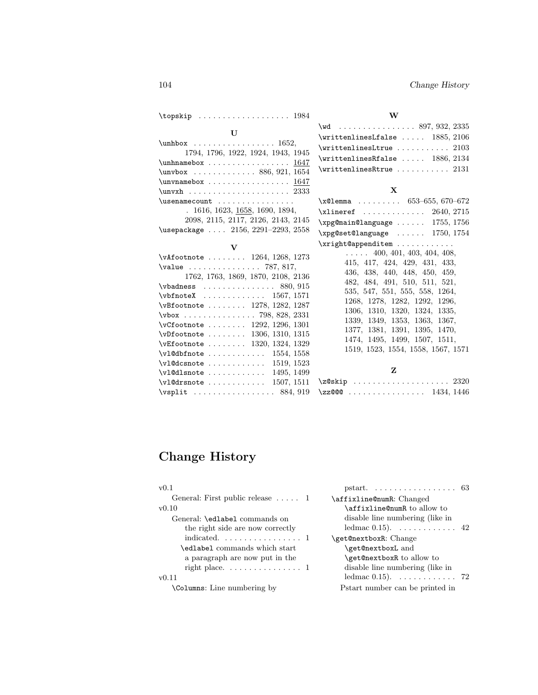|                                                                                                                                                                                                                                                                                                                                                                                                                                                                                                                                                   | W                                                                                                                                                                                                                                                                                                                                                                                                       |
|---------------------------------------------------------------------------------------------------------------------------------------------------------------------------------------------------------------------------------------------------------------------------------------------------------------------------------------------------------------------------------------------------------------------------------------------------------------------------------------------------------------------------------------------------|---------------------------------------------------------------------------------------------------------------------------------------------------------------------------------------------------------------------------------------------------------------------------------------------------------------------------------------------------------------------------------------------------------|
| $\mathbf{U}$<br>$\unhbox$ 1652,<br>1794, 1796, 1922, 1924, 1943, 1945<br>$\unhnamebox \dots \dots \dots \dots \ 1647$<br>$\unvbox$ 886, 921, 1654<br>$\unvnamebox \dots \dots \dots \dots \ 1647$<br>\unvxh  2333<br>$\texttt{\textbackslash}$ usenamecount<br>. 1616, 1623, 1658, 1690, 1894,                                                                                                                                                                                                                                                    | $\forall$ wd  897, 932, 2335<br>$\vert$ xrittenlinesLfalse  1885, 2106<br>$\verb+\writtenlines. It rule   2103$<br>$\vert$ writtenlinesRfalse  1886, 2134<br>$\vert$ writtenlinesRtrue  2131<br>$\mathbf{X}$<br>$\x01$ emma  653-655,670-672<br>$xlineref$ $2640, 2715$                                                                                                                                 |
| 2098, 2115, 2117, 2126, 2143, 2145<br>\usepackage  2156, 2291-2293, 2558                                                                                                                                                                                                                                                                                                                                                                                                                                                                          | $\xpg$ @main@language  1755, 1756<br>$\xpg@set@language$ 1750, 1754                                                                                                                                                                                                                                                                                                                                     |
| $\mathbf{V}$<br>$\forall$ Afootnote  1264, 1268, 1273<br>$\value$ 787, 817,<br>1762, 1763, 1869, 1870, 2108, 2136<br>$\forall$ vbadness 880, 915<br>$\verb+\vbfnotex+\dots\dots 1567, 1571$<br>$\forall$ Bfootnote  1278, 1282, 1287<br>\vbox  798, 828, 2331<br>$\sqrt{c}$ footnote $\ldots \ldots \ldots 1292, 1296, 1301$<br>$\verb \vDfootnote $ $1306, 1310, 1315$<br>$\text{VEFootnote} \dots \dots \dots \ 1320, \ 1324, \ 1329$<br>$\verb+\v1@dbfnote$ $\ldots \ldots \ldots \ldots \quad 1554, 1558$<br>$\forall$ ul@dcsnote  1519, 1523 | \xright@appenditem<br>$\ldots$ 400, 401, 403, 404, 408,<br>415, 417, 424, 429, 431, 433,<br>436, 438, 440, 448, 450, 459,<br>482, 484, 491, 510, 511, 521,<br>535, 547, 551, 555, 558, 1264,<br>1268, 1278, 1282, 1292, 1296,<br>1306, 1310, 1320, 1324, 1335,<br>1339, 1349, 1353, 1363, 1367,<br>1377, 1381, 1391, 1395, 1470,<br>1474, 1495, 1499, 1507, 1511,<br>1519, 1523, 1554, 1558, 1567, 1571 |
| $\\{v1@dlsnote\ \dots\ \dots\ \dots\ \ 1495,\ 1499$<br>$\text{Vul@drsnote}$ $1507, 1511$<br>$\sqrt{84, 919}$                                                                                                                                                                                                                                                                                                                                                                                                                                      | Z<br>\z@skip  2320<br>\zz@@@ 1434, 1446                                                                                                                                                                                                                                                                                                                                                                 |

# Change History

| v0.1                                    |                                                     |  |
|-----------------------------------------|-----------------------------------------------------|--|
| General: First public release $\dots$ 1 | \affixline@numR: Changed                            |  |
| v0.10                                   | <b>\affixline@numR</b> to allow to                  |  |
| General: <b>\edlabel</b> commands on    | disable line numbering (like in                     |  |
| the right side are now correctly        | ledmac $0.15$ ). $\dots \dots \dots \dots \dots$ 42 |  |
|                                         | \get@nextboxR: Change                               |  |
| \edlabel commands which start           | \get@nextboxL and                                   |  |
| a paragraph are now put in the          | \get@nextboxR to allow to                           |  |
|                                         | disable line numbering (like in                     |  |
| v(0.11)                                 | ledmac $0.15$ ). 72                                 |  |
| \Columns: Line numbering by             | Pstart number can be printed in                     |  |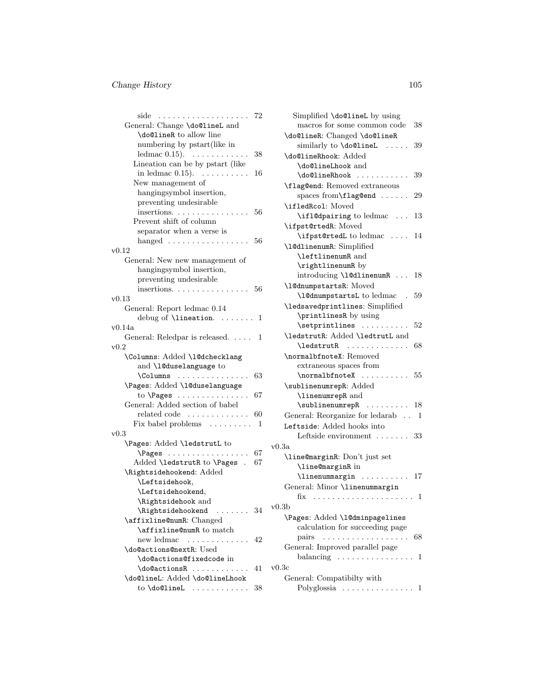# Change History 105

| 72                                                                                                                                                                               |      |
|----------------------------------------------------------------------------------------------------------------------------------------------------------------------------------|------|
| General: Change \do@lineL and                                                                                                                                                    |      |
| \do@lineR to allow line                                                                                                                                                          |      |
| numbering by pstart(like in                                                                                                                                                      |      |
| ledmac $0.15$ ). $\dots \dots \dots \dots$<br>38                                                                                                                                 |      |
| Lineation can be by pstart (like                                                                                                                                                 |      |
| in ledmac $0.15$ ). $\dots \dots \dots$<br>16                                                                                                                                    |      |
| New management of                                                                                                                                                                |      |
| hangingsymbol insertion,                                                                                                                                                         |      |
| preventing undesirable                                                                                                                                                           |      |
| insertions.<br>56                                                                                                                                                                |      |
| Prevent shift of column                                                                                                                                                          |      |
|                                                                                                                                                                                  |      |
| separator when a verse is                                                                                                                                                        |      |
| hanged $\ldots \ldots \ldots \ldots \ldots 56$                                                                                                                                   |      |
| v0.12                                                                                                                                                                            |      |
| General: New new management of                                                                                                                                                   |      |
| hangingsymbol insertion,                                                                                                                                                         |      |
| preventing undesirable                                                                                                                                                           |      |
| insertions. 56                                                                                                                                                                   |      |
| v(0.13)                                                                                                                                                                          |      |
| General: Report ledmac 0.14                                                                                                                                                      |      |
| debug of $\lceil$ lineation.  1                                                                                                                                                  |      |
| v0.14a                                                                                                                                                                           |      |
| General: Reledpar is released. 1                                                                                                                                                 |      |
| v0.2                                                                                                                                                                             |      |
| \Columns: Added \1@dchecklang                                                                                                                                                    |      |
| and \10duselanguage to                                                                                                                                                           |      |
| \Columns<br>63                                                                                                                                                                   |      |
| \Pages: Added \1@duselanguage                                                                                                                                                    |      |
| to $\Omega$ : $\Omega$<br>67                                                                                                                                                     |      |
| General: Added section of babel                                                                                                                                                  |      |
| $related code \dots \dots \dots \dots$<br>60                                                                                                                                     |      |
| Fix babel problems $\dots \dots \dots 1$                                                                                                                                         |      |
| $_{\rm v0.3}$                                                                                                                                                                    |      |
| \Pages: Added \ledstrutL to                                                                                                                                                      | v0.3 |
| $\text{Pages}$ 67                                                                                                                                                                |      |
| Added \ledstrutR to \Pages . 67                                                                                                                                                  |      |
| \Rightsidehookend: Added                                                                                                                                                         |      |
| \Leftsidehook,                                                                                                                                                                   |      |
| \Leftsidehookend,                                                                                                                                                                |      |
| \Rightsidehook and                                                                                                                                                               |      |
| $\left\{ \right. \left. \right. \left. \right. \left. \right. \left. \right. \left. \right. \left. \right. \right. \left. \right. \left. \right. \right. \left. \right. \right.$ | v0.: |
| \affixline@numR: Changed                                                                                                                                                         |      |
| \affixline@numR to match                                                                                                                                                         |      |
| new ledmac<br>42<br>.                                                                                                                                                            |      |
| \do@actions@nextR: Used                                                                                                                                                          |      |
| \do@actions@fixedcode in                                                                                                                                                         |      |
| \do@actionsR<br>41                                                                                                                                                               | v0.3 |
| \do@lineL: Added \do@lineLhook                                                                                                                                                   |      |
|                                                                                                                                                                                  |      |
| to $\delta$ . $\ldots$ . 38                                                                                                                                                      |      |

| Simplified \do@lineL by using                                                                                                                                                                                                                                                                                                                                                                                                                                                                        |    |
|------------------------------------------------------------------------------------------------------------------------------------------------------------------------------------------------------------------------------------------------------------------------------------------------------------------------------------------------------------------------------------------------------------------------------------------------------------------------------------------------------|----|
| macros for some common code                                                                                                                                                                                                                                                                                                                                                                                                                                                                          | 38 |
| \do@lineR: Changed \do@lineR                                                                                                                                                                                                                                                                                                                                                                                                                                                                         |    |
| similarly to \do@lineL<br>.                                                                                                                                                                                                                                                                                                                                                                                                                                                                          | 39 |
| \do@lineRhook: Added                                                                                                                                                                                                                                                                                                                                                                                                                                                                                 |    |
| \do@lineLhook and                                                                                                                                                                                                                                                                                                                                                                                                                                                                                    |    |
| \do@lineRhook<br>.                                                                                                                                                                                                                                                                                                                                                                                                                                                                                   | 39 |
| \flag@end: Removed extraneous                                                                                                                                                                                                                                                                                                                                                                                                                                                                        |    |
|                                                                                                                                                                                                                                                                                                                                                                                                                                                                                                      | 29 |
| spaces from \flag@end                                                                                                                                                                                                                                                                                                                                                                                                                                                                                |    |
| \ifledRcol: Moved                                                                                                                                                                                                                                                                                                                                                                                                                                                                                    |    |
| \ifl@dpairing to ledmac                                                                                                                                                                                                                                                                                                                                                                                                                                                                              | 13 |
| \ifpst@rtedR: Moved                                                                                                                                                                                                                                                                                                                                                                                                                                                                                  |    |
| \ifpst@rtedL to ledmac                                                                                                                                                                                                                                                                                                                                                                                                                                                                               | 14 |
| \10dlinenumR: Simplified                                                                                                                                                                                                                                                                                                                                                                                                                                                                             |    |
| \leftlinenumR and                                                                                                                                                                                                                                                                                                                                                                                                                                                                                    |    |
| \rightlinenumR by                                                                                                                                                                                                                                                                                                                                                                                                                                                                                    |    |
| introducing \1@dlinenumR                                                                                                                                                                                                                                                                                                                                                                                                                                                                             | 18 |
| \10dnumpstartsR: Moved                                                                                                                                                                                                                                                                                                                                                                                                                                                                               |    |
| \10dnumpstartsL to ledmac                                                                                                                                                                                                                                                                                                                                                                                                                                                                            | 59 |
| \ledsavedprintlines: Simplified                                                                                                                                                                                                                                                                                                                                                                                                                                                                      |    |
| \printlinesR by using                                                                                                                                                                                                                                                                                                                                                                                                                                                                                |    |
| \setprintlines                                                                                                                                                                                                                                                                                                                                                                                                                                                                                       | 52 |
| \ledstrutR: Added \ledtrutL and                                                                                                                                                                                                                                                                                                                                                                                                                                                                      |    |
| $\begin{array}{cccccccccccccc} \multicolumn{2}{c}{} & \multicolumn{2}{c}{} & \multicolumn{2}{c}{} & \multicolumn{2}{c}{} & \multicolumn{2}{c}{} & \multicolumn{2}{c}{} & \multicolumn{2}{c}{} & \multicolumn{2}{c}{} & \multicolumn{2}{c}{} & \multicolumn{2}{c}{} & \multicolumn{2}{c}{} & \multicolumn{2}{c}{} & \multicolumn{2}{c}{} & \multicolumn{2}{c}{} & \multicolumn{2}{c}{} & \multicolumn{2}{c}{} & \multicolumn{2}{c}{} & \multicolumn{2}{c}{} & \multicolumn{2}{c}{} & \$<br>\ledstrutR | 68 |
| \normalbfnoteX: Removed                                                                                                                                                                                                                                                                                                                                                                                                                                                                              |    |
|                                                                                                                                                                                                                                                                                                                                                                                                                                                                                                      |    |
| extraneous spaces from                                                                                                                                                                                                                                                                                                                                                                                                                                                                               |    |
| \normalbfnoteX<br>. 55                                                                                                                                                                                                                                                                                                                                                                                                                                                                               |    |
| \sublinenumrepR: Added                                                                                                                                                                                                                                                                                                                                                                                                                                                                               |    |
| \linenumrepR and                                                                                                                                                                                                                                                                                                                                                                                                                                                                                     |    |
| $\sub{sublinear}$ 18                                                                                                                                                                                                                                                                                                                                                                                                                                                                                 |    |
| General: Reorganize for ledarab                                                                                                                                                                                                                                                                                                                                                                                                                                                                      | 1  |
| Leftside: Added hooks into                                                                                                                                                                                                                                                                                                                                                                                                                                                                           |    |
| Leftside environment  33                                                                                                                                                                                                                                                                                                                                                                                                                                                                             |    |
| 3a                                                                                                                                                                                                                                                                                                                                                                                                                                                                                                   |    |
| \line@marginR: Don't just set                                                                                                                                                                                                                                                                                                                                                                                                                                                                        |    |
| \line@marginR in                                                                                                                                                                                                                                                                                                                                                                                                                                                                                     |    |
| \linenummargin  17                                                                                                                                                                                                                                                                                                                                                                                                                                                                                   |    |
| General: Minor \linenummargin                                                                                                                                                                                                                                                                                                                                                                                                                                                                        |    |
|                                                                                                                                                                                                                                                                                                                                                                                                                                                                                                      |    |
|                                                                                                                                                                                                                                                                                                                                                                                                                                                                                                      |    |
| 3b                                                                                                                                                                                                                                                                                                                                                                                                                                                                                                   |    |
| \Pages: Added \1@dminpagelines                                                                                                                                                                                                                                                                                                                                                                                                                                                                       |    |
| calculation for succeeding page                                                                                                                                                                                                                                                                                                                                                                                                                                                                      |    |
| pairs                                                                                                                                                                                                                                                                                                                                                                                                                                                                                                | 68 |
| General: Improved parallel page                                                                                                                                                                                                                                                                                                                                                                                                                                                                      |    |
| balancing<br>$\overline{\phantom{a}}$<br>$\mathbf{1} \cdot \mathbf{1} \cdot \mathbf{1} \cdot \mathbf{1} \cdot \mathbf{1} \cdot \mathbf{1} \cdot \mathbf{1} \cdot \mathbf{1}$<br>$\ddotsc$                                                                                                                                                                                                                                                                                                            | 1  |
| 3 <sub>c</sub>                                                                                                                                                                                                                                                                                                                                                                                                                                                                                       |    |
| General: Compatibilty with                                                                                                                                                                                                                                                                                                                                                                                                                                                                           |    |
| Polyglossia                                                                                                                                                                                                                                                                                                                                                                                                                                                                                          | 1  |